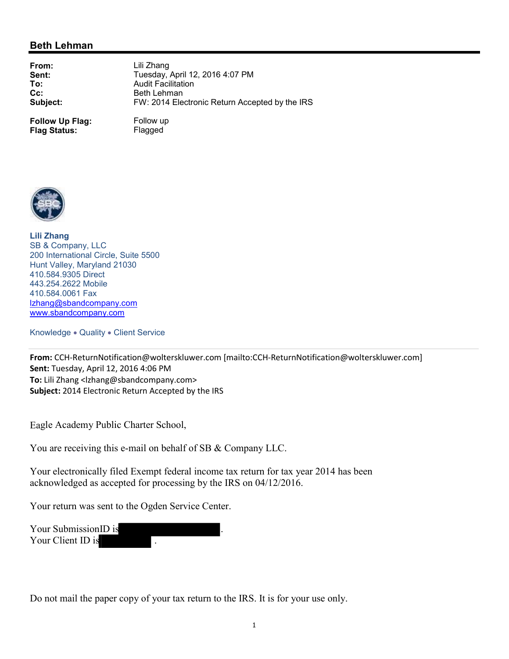# **Beth Lehman**

**From:** Lili Zhang **Sent:** Tuesday, April 12, 2016 4:07 PM<br> **To:** Audit Facilitation **To:** Audit Facilitation<br> **Co:** Beth Lehman **Cc:** Beth Lehman<br> **Subject:** FW: 2014 Ele FW: 2014 Electronic Return Accepted by the IRS

**Follow Up Flag:** Follow up<br> **Flag Status:** Flagged **Flag Status:** 



**Lili Zhang** SB & Company, LLC 200 International Circle, Suite 5500 Hunt Valley, Maryland 21030 410.584.9305 Direct 443.254.2622 Mobile 410.584.0061 Fax lzhang@sbandcompany.com www.sbandcompany.com

Knowledge • Quality • Client Service

**From:** CCH-ReturnNotification@wolterskluwer.com [mailto:CCH-ReturnNotification@wolterskluwer.com] **Sent:** Tuesday, April 12, 2016 4:06 PM **To:** Lili Zhang <lzhang@sbandcompany.com> **Subject:** 2014 Electronic Return Accepted by the IRS

Eagle Academy Public Charter School,

You are receiving this e-mail on behalf of SB & Company LLC.

Your electronically filed Exempt federal income tax return for tax year 2014 has been acknowledged as accepted for processing by the IRS on 04/12/2016.

Your return was sent to the Ogden Service Center.

| Your SubmissionID is |  |
|----------------------|--|
| Your Client ID is    |  |

Do not mail the paper copy of your tax return to the IRS. It is for your use only.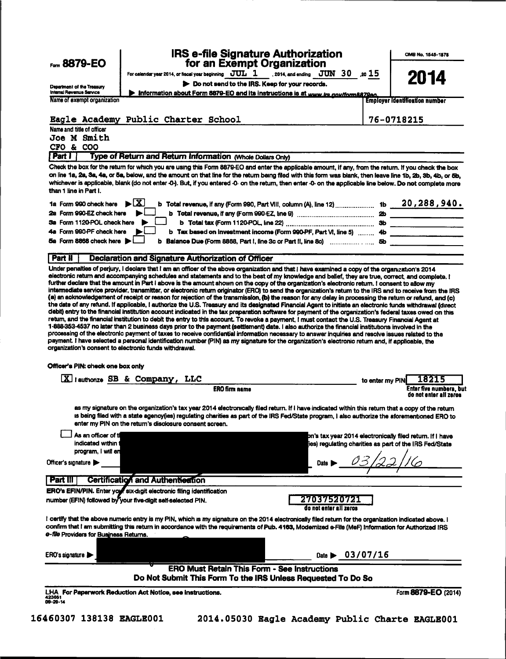Exam 8879-EO

# **IRS e-file Signature Authorization** n

OMB No. 1545-1878

|  | r an Exempt Organizatio |  |  |  |  |  |  |
|--|-------------------------|--|--|--|--|--|--|
|  |                         |  |  |  |  |  |  |

For calendar year 2014, or fiscal year beginning  $JUL$   $1$ . 2014, and ending  $JUN$  30

Do not send to the IRS. Keep for your records.

Deparment of the Treasury .<br>Imal Revenue Service Name of exempt organization Let the serie of the structions is at www.irs.gov/form8879eo.<br>I Employer identification number | Employer identification number

76-0718215

25 20,

# Eagle Academy Public Charter School

Name and title of officer Joe M Smith CFO & COO

Type of Return and Return Information (Whole Dollars Only) Part 1

Check the box for the return for which you are using this Form 8879-EO and enter the applicable amount, if any, from the return. If you check the box on line 1a, 2a, 3a, 4a, or 5a, below, and the amount on that line for the return being filed with this form was blank, then leave line 1b, 2b, 3b, 4b, or 5b, whichever is applicable, blank (do not enter -0-). But, if you entered -0- on the return, then enter -0- on the applicable line below. Do not complete more than 1 line in Part I.

|                                                                                                  | 1b  | 20,288,940. |
|--------------------------------------------------------------------------------------------------|-----|-------------|
|                                                                                                  |     |             |
|                                                                                                  | -36 |             |
| 4a Form 990-PF check here<br>b Tax based on investment income (Form 990-PF, Part VI, line 5)  4b |     |             |
| b Balance Due (Form 8868, Part I, line 3c or Part II, line 8c)                                   |     |             |

#### Part II Declaration and Signature Authorization of Officer

Under penalties of perjury, I declare that I am an officer of the above organization and that I have examined a copy of the organization's 2014 electronic return and accompanying schedules and statements and to the best of my knowledge and balief, they are true, correct, and complete, i further declare that the amount in Part I above is the amount shown on the copy of the organization's electronic return. I consent to allow my intermediate service provider, transmitter, or electronic return originator (ERO) to send the organization's return to the IRS and to receive from the IRS (a) an acknowledgement of receipt or reason for rejection of the transmission, (b) the reason for any delay in processing the return or refund, and (c) the date of any refund. If applicable, I authorize the U.S. Treasury and its designated Financial Agent to initiate an electronic funds withdrawal (direct debit) entry to the financial institution account indicated in the tax preparation software for payment of the organization's federal taxes owed on this retum, and the financial institution to debit the entry to this account. To revoke a payment, I must contact the U.S. Treasury Financial Agent at 1-888-353-4537 no later than 2 business days prior to the payment (settlement) date. I also authorize the financial institutions involved in the processing of the electronic payment of taxes to receive confidential information necessary to answer inquiries and resolve issues related to the payment. I have selected a personal identification number (PIN) as my signature for the organization's electronic return and, if applicable, the organization's consent to electronic funds withdrawal.

#### Officer's PIN: check one box only

| lauthonze SB & Company, LLC                                                                                                                                                                                                                                                                                                                           | 18215<br>to enter my PIN                                                                                                                                                                                                                                                                           |
|-------------------------------------------------------------------------------------------------------------------------------------------------------------------------------------------------------------------------------------------------------------------------------------------------------------------------------------------------------|----------------------------------------------------------------------------------------------------------------------------------------------------------------------------------------------------------------------------------------------------------------------------------------------------|
| <b>ERO firm name</b>                                                                                                                                                                                                                                                                                                                                  | Enter five numbers, but<br>do not enter all zeros                                                                                                                                                                                                                                                  |
| enter my PIN on the return's disclosure consent screen.                                                                                                                                                                                                                                                                                               | as my signature on the organization's tax year 2014 electronically filed return. If I have indicated within this return that a copy of the return<br>is being filed with a state agency(ies) regulating charities as part of the IRS Fed/State program, I also authorize the aforementioned ERO to |
| As an officer of ti<br>indicated within<br>program, I will en                                                                                                                                                                                                                                                                                         | bn's tax year 2014 electronically filed return. If I have<br>ies) regulating charities as part of the IRS Fed/State                                                                                                                                                                                |
| Officer's signature                                                                                                                                                                                                                                                                                                                                   | Date D                                                                                                                                                                                                                                                                                             |
| Certification and Authentication<br><b>Part III</b>                                                                                                                                                                                                                                                                                                   |                                                                                                                                                                                                                                                                                                    |
| ERO's EFIN/PIN. Enter your six-digit electronic filing identification                                                                                                                                                                                                                                                                                 |                                                                                                                                                                                                                                                                                                    |
| number (EFIN) followed by your five-digit self-selected PIN.                                                                                                                                                                                                                                                                                          | 27037520721<br>do not enter all zeros                                                                                                                                                                                                                                                              |
| ! certify that the above numeric entry is my PIN, which is my signature on the 2014 electronically filed return for the organization indicated above. I<br>confirm that I am submitting this return in accordance with the requirements of Pub. 4163, Modemized e-File (MeF) Information for Authorized IRS<br>e-file Providers for Business Returns. |                                                                                                                                                                                                                                                                                                    |
| ERO's signature                                                                                                                                                                                                                                                                                                                                       | Date $\triangleright$ 03/07/16                                                                                                                                                                                                                                                                     |
| <b>ERO Must Retain This Form - See Instructions</b>                                                                                                                                                                                                                                                                                                   |                                                                                                                                                                                                                                                                                                    |
| Do Not Submit This Form To the IRS Unless Requested To Do So                                                                                                                                                                                                                                                                                          |                                                                                                                                                                                                                                                                                                    |
| LHA For Paperwork Reduction Act Notice, see instructions.<br>423051<br>09-20-14                                                                                                                                                                                                                                                                       | Form 8879-EO (2014)                                                                                                                                                                                                                                                                                |

16460307 138138 EAGLE001

2014.05030 Eagle Academy Public Charte EAGLE001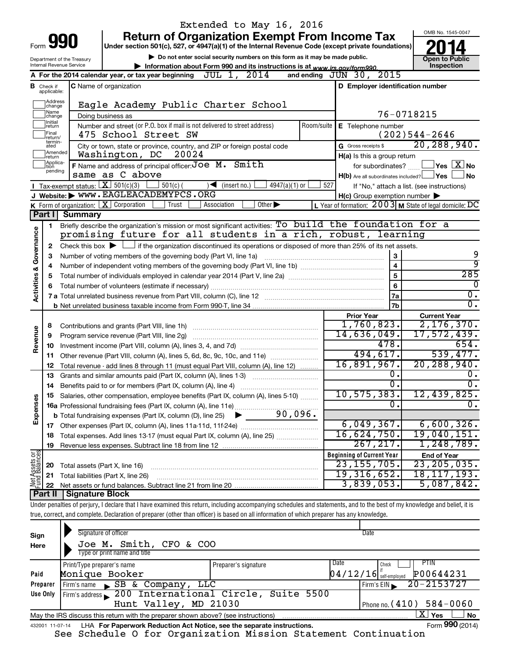|                         |                               |                                | Extended to May 16, 2016                                                                                                                                                   |                                                     |                                                           |
|-------------------------|-------------------------------|--------------------------------|----------------------------------------------------------------------------------------------------------------------------------------------------------------------------|-----------------------------------------------------|-----------------------------------------------------------|
|                         |                               |                                | <b>Return of Organization Exempt From Income Tax</b>                                                                                                                       |                                                     | OMB No. 1545-0047                                         |
|                         |                               | Form 990                       | Under section 501(c), 527, or 4947(a)(1) of the Internal Revenue Code (except private foundations)                                                                         |                                                     |                                                           |
|                         |                               | Department of the Treasury     | Do not enter social security numbers on this form as it may be made public.                                                                                                |                                                     | <b>Open to Public</b>                                     |
|                         |                               | Internal Revenue Service       | Information about Form 990 and its instructions is at www.irs.gov/form990.                                                                                                 | 2015                                                | Inspection                                                |
|                         |                               |                                | A For the 2014 calendar year, or tax year beginning JUL 1, 2014<br>and ending $JUN$ 30,                                                                                    |                                                     |                                                           |
|                         | <b>B</b> Check if applicable: |                                | <b>C</b> Name of organization                                                                                                                                              | D Employer identification number                    |                                                           |
|                         | Address<br>change             |                                | Eagle Academy Public Charter School                                                                                                                                        |                                                     |                                                           |
|                         | Name<br>change                |                                | Doing business as                                                                                                                                                          |                                                     | 76-0718215                                                |
|                         | Initial<br>return<br>Final    |                                | Number and street (or P.O. box if mail is not delivered to street address)<br>Room/suite                                                                                   | E Telephone number                                  |                                                           |
|                         | return/<br>termin-            |                                | 475 School Street SW                                                                                                                                                       |                                                     | $(202)544 - 2646$<br>20, 288, 940.                        |
|                         | ated<br>Amended               |                                | City or town, state or province, country, and ZIP or foreign postal code<br>Washington, DC<br>20024                                                                        | G Gross receipts \$                                 |                                                           |
|                         | Ireturn<br>Applica-           |                                | <b>F</b> Name and address of principal officer: $\overline{JOe}$ $\overline{M}$ . $\overline{Smith}$                                                                       | H(a) Is this a group return<br>for subordinates?    | $\Box$ Yes $\Box X$ No                                    |
|                         | tion<br>pending               |                                | same as C above                                                                                                                                                            | $H(b)$ Are all subordinates included? $\Box$ Yes    | No                                                        |
|                         |                               |                                | Tax-exempt status: $X \over 301(c)(3)$<br>$501(c)$ (<br>$4947(a)(1)$ or<br>$\sqrt{\frac{1}{1}}$ (insert no.)<br>527                                                        |                                                     | If "No," attach a list. (see instructions)                |
|                         |                               |                                | J Website: WWW.EAGLEACADEMYPCS.ORG                                                                                                                                         | $H(c)$ Group exemption number $\blacktriangleright$ |                                                           |
|                         |                               |                                | K Form of organization: $X$ Corporation<br>Other $\blacktriangleright$<br>Trust<br>Association                                                                             |                                                     | L Year of formation: $2003$ M State of legal domicile: DC |
|                         | Part I                        | <b>Summary</b>                 |                                                                                                                                                                            |                                                     |                                                           |
|                         | 1                             |                                | Briefly describe the organization's mission or most significant activities: To build the foundation for a                                                                  |                                                     |                                                           |
|                         |                               |                                | promising future for all students in a rich, robust, learning                                                                                                              |                                                     |                                                           |
|                         | 2                             |                                | Check this box $\blacktriangleright$ $\Box$ if the organization discontinued its operations or disposed of more than 25% of its net assets.                                |                                                     |                                                           |
| Governance              | з                             |                                | Number of voting members of the governing body (Part VI, line 1a)                                                                                                          | 3                                                   | 9                                                         |
|                         | 4                             |                                | $\overline{4}$                                                                                                                                                             | ॺ                                                   |                                                           |
|                         | 5                             |                                |                                                                                                                                                                            | $\overline{5}$                                      | 285                                                       |
|                         | 6                             |                                |                                                                                                                                                                            | 6                                                   | $\Omega$                                                  |
| <b>Activities &amp;</b> |                               |                                |                                                                                                                                                                            | <b>7a</b>                                           | $\overline{0}$ .                                          |
|                         |                               |                                |                                                                                                                                                                            | <b>7b</b>                                           | $\overline{0}$ .                                          |
|                         |                               |                                |                                                                                                                                                                            | <b>Prior Year</b>                                   | <b>Current Year</b>                                       |
|                         | 8                             |                                |                                                                                                                                                                            | 1,760,823.                                          | 2, 176, 370.                                              |
| Revenue                 | 9                             |                                | Program service revenue (Part VIII, line 2g)                                                                                                                               | 14,636,049.                                         | 17,572,439.                                               |
|                         | 10                            |                                |                                                                                                                                                                            | 478.                                                | 654.                                                      |
|                         | 11                            |                                | Other revenue (Part VIII, column (A), lines 5, 6d, 8c, 9c, 10c, and 11e)                                                                                                   | 494,617.                                            | 539,477.                                                  |
|                         | 12                            |                                | Total revenue - add lines 8 through 11 (must equal Part VIII, column (A), line 12)                                                                                         | 16,891,967.                                         | 20, 288, 940.                                             |
|                         | 13                            |                                | Grants and similar amounts paid (Part IX, column (A), lines 1-3)                                                                                                           | $\overline{0}$ .                                    | $0$ .                                                     |
|                         |                               |                                |                                                                                                                                                                            | $\overline{\mathfrak{o}}$ .                         | $\overline{0}$ .                                          |
|                         |                               |                                | Salaries, other compensation, employee benefits (Part IX, column (A), lines 5-10)                                                                                          | 10,575,383.                                         | 12,439,825.                                               |
| Expenses                |                               |                                |                                                                                                                                                                            | σ.                                                  | $\overline{0}$ .                                          |
|                         |                               |                                |                                                                                                                                                                            |                                                     |                                                           |
|                         |                               |                                |                                                                                                                                                                            | 6,049,367.                                          | 6,600,326.                                                |
|                         | 18                            |                                | Total expenses. Add lines 13-17 (must equal Part IX, column (A), line 25) <i></i>                                                                                          | 16,624,750.                                         | 19,040,151.                                               |
|                         | 19                            |                                |                                                                                                                                                                            | 267, 217.                                           | 1,248,789.                                                |
|                         |                               |                                |                                                                                                                                                                            | <b>Beginning of Current Year</b>                    | <b>End of Year</b>                                        |
|                         | 20                            | Total assets (Part X, line 16) |                                                                                                                                                                            | 23, 155, 705.                                       | 23, 205, 035.                                             |
| Net Assets or           | 21                            |                                | Total liabilities (Part X, line 26)                                                                                                                                        | 19, 316, 652.                                       | 18, 117, 193.                                             |
|                         | 22                            |                                |                                                                                                                                                                            | 3,839,053.                                          | 5,087,842.                                                |
|                         | Part II                       | Signature Block                |                                                                                                                                                                            |                                                     |                                                           |
|                         |                               |                                | Under penalties of perjury, I declare that I have examined this return, including accompanying schedules and statements, and to the best of my knowledge and belief, it is |                                                     |                                                           |
|                         |                               |                                | true, correct, and complete. Declaration of preparer (other than officer) is based on all information of which preparer has any knowledge.                                 |                                                     |                                                           |
|                         |                               |                                |                                                                                                                                                                            |                                                     |                                                           |

| Sign            | Signature of officer                                                              |                      |      | Date                     |                            |
|-----------------|-----------------------------------------------------------------------------------|----------------------|------|--------------------------|----------------------------|
| Here            | Joe M. Smith, CFO & COO                                                           |                      |      |                          |                            |
|                 | Type or print name and title                                                      |                      |      |                          |                            |
|                 | Print/Type preparer's name                                                        | Preparer's signature | Date | Check                    | PTIN                       |
| Paid            | Monique Booker                                                                    |                      |      | $04/12/16$ self-employed | P00644231                  |
| Preparer        | $\mathsf{S}$ B & Company,<br>LLC<br>Firm's name                                   |                      |      | Firm's EIN               | 20-2153727                 |
| Use Only        | Firm's address 200 International Circle, Suite 5500                               |                      |      |                          |                            |
|                 | Hunt Valley, MD 21030                                                             |                      |      |                          | Phone no. $(410)$ 584-0060 |
|                 | May the IRS discuss this return with the preparer shown above? (see instructions) |                      |      |                          | ΧI<br>No<br>Yes            |
| 432001 11-07-14 | LHA For Paperwork Reduction Act Notice, see the separate instructions.            |                      |      |                          | Form 990 (2014)            |

See Schedule O for Organization Mission Statement Continuation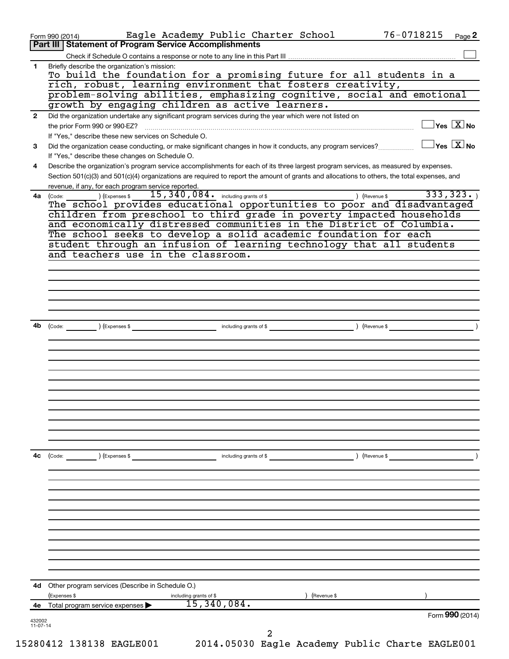|                | 76-0718215<br>Eagle Academy Public Charter School<br>Form 990 (2014)<br>Page 2                                                                                                               |
|----------------|----------------------------------------------------------------------------------------------------------------------------------------------------------------------------------------------|
|                | Part III   Statement of Program Service Accomplishments                                                                                                                                      |
| 1              |                                                                                                                                                                                              |
|                | Briefly describe the organization's mission:<br>To build the foundation for a promising future for all students in a                                                                         |
|                | rich, robust, learning environment that fosters creativity,                                                                                                                                  |
|                | problem-solving abilities, emphasizing cognitive, social and emotional                                                                                                                       |
|                | growth by engaging children as active learners.                                                                                                                                              |
| $\overline{2}$ | Did the organization undertake any significant program services during the year which were not listed on<br>$\overline{X}$ Yes $\overline{X}$ No                                             |
|                | the prior Form 990 or 990-EZ?<br>If "Yes," describe these new services on Schedule O.                                                                                                        |
| 3              | $\exists$ Yes $\boxed{\text{X}}$ No<br>Did the organization cease conducting, or make significant changes in how it conducts, any program services?                                          |
|                | If "Yes," describe these changes on Schedule O.                                                                                                                                              |
| 4              | Describe the organization's program service accomplishments for each of its three largest program services, as measured by expenses.                                                         |
|                | Section 501(c)(3) and 501(c)(4) organizations are required to report the amount of grants and allocations to others, the total expenses, and                                                 |
|                | revenue, if any, for each program service reported.<br>15, 340, 084. including grants of \$<br>333, 323.                                                                                     |
|                | $($ Revenue $\overline{\phantom{a}}$ $)$ $($ Revenue $\overline{\phantom{a}}$<br>(Expenses \$<br><b>4a</b> (Code:<br>The school provides educational opportunities to poor and disadvantaged |
|                | children from preschool to third grade in poverty impacted households                                                                                                                        |
|                | and economically distressed communities in the District of Columbia.                                                                                                                         |
|                | The school seeks to develop a solid academic foundation for each                                                                                                                             |
|                | student through an infusion of learning technology that all students                                                                                                                         |
|                | and teachers use in the classroom.                                                                                                                                                           |
|                |                                                                                                                                                                                              |
|                |                                                                                                                                                                                              |
|                |                                                                                                                                                                                              |
|                |                                                                                                                                                                                              |
|                |                                                                                                                                                                                              |
| 4b             |                                                                                                                                                                                              |
|                |                                                                                                                                                                                              |
|                |                                                                                                                                                                                              |
|                |                                                                                                                                                                                              |
|                |                                                                                                                                                                                              |
|                |                                                                                                                                                                                              |
|                |                                                                                                                                                                                              |
|                |                                                                                                                                                                                              |
|                |                                                                                                                                                                                              |
|                |                                                                                                                                                                                              |
|                |                                                                                                                                                                                              |
| 4c             | (Code: ) (Expenses \$<br>) (Revenue \$<br>including grants of \$                                                                                                                             |
|                |                                                                                                                                                                                              |
|                |                                                                                                                                                                                              |
|                |                                                                                                                                                                                              |
|                |                                                                                                                                                                                              |
|                |                                                                                                                                                                                              |
|                |                                                                                                                                                                                              |
|                |                                                                                                                                                                                              |
|                |                                                                                                                                                                                              |
|                |                                                                                                                                                                                              |
|                |                                                                                                                                                                                              |
|                |                                                                                                                                                                                              |
|                |                                                                                                                                                                                              |
|                | 4d Other program services (Describe in Schedule O.)<br>(Expenses \$<br>) (Revenue \$<br>including grants of \$                                                                               |
| 4е             | 15,340,084.<br>Total program service expenses                                                                                                                                                |
| 432002         | Form 990 (2014)                                                                                                                                                                              |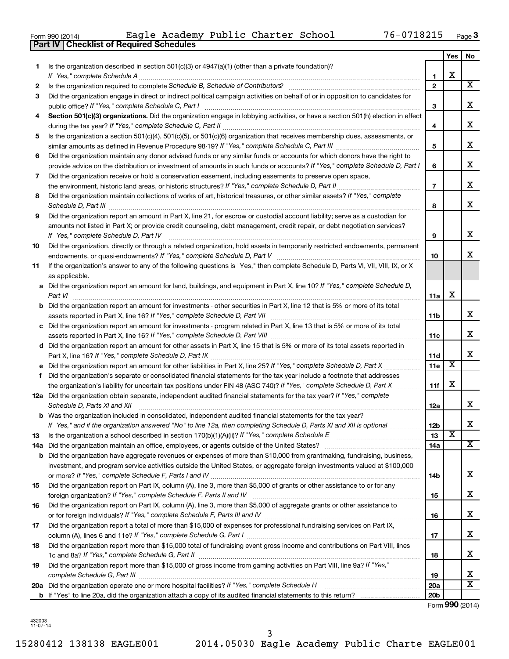|  | Form 990 (2014) |
|--|-----------------|
|  |                 |

**Part IV Checklist of Required Schedules**

|     |                                                                                                                                                                                                                                                           |                 | Yes                     | No                      |
|-----|-----------------------------------------------------------------------------------------------------------------------------------------------------------------------------------------------------------------------------------------------------------|-----------------|-------------------------|-------------------------|
| 1   | Is the organization described in section 501(c)(3) or $4947(a)(1)$ (other than a private foundation)?                                                                                                                                                     |                 |                         |                         |
|     |                                                                                                                                                                                                                                                           | 1               | X                       |                         |
| 2   |                                                                                                                                                                                                                                                           | $\overline{2}$  |                         | $\overline{\mathbf{X}}$ |
| 3   | Did the organization engage in direct or indirect political campaign activities on behalf of or in opposition to candidates for                                                                                                                           | 3               |                         | х                       |
| 4   | Section 501(c)(3) organizations. Did the organization engage in lobbying activities, or have a section 501(h) election in effect                                                                                                                          |                 |                         |                         |
|     |                                                                                                                                                                                                                                                           | 4               |                         | х                       |
| 5   | Is the organization a section 501(c)(4), 501(c)(5), or 501(c)(6) organization that receives membership dues, assessments, or                                                                                                                              |                 |                         | x                       |
|     |                                                                                                                                                                                                                                                           | 5               |                         |                         |
| 6   | Did the organization maintain any donor advised funds or any similar funds or accounts for which donors have the right to<br>provide advice on the distribution or investment of amounts in such funds or accounts? If "Yes," complete Schedule D, Part I | 6               |                         | x                       |
| 7   | Did the organization receive or hold a conservation easement, including easements to preserve open space,                                                                                                                                                 |                 |                         |                         |
|     |                                                                                                                                                                                                                                                           | $\overline{7}$  |                         | х                       |
| 8   | Did the organization maintain collections of works of art, historical treasures, or other similar assets? If "Yes," complete                                                                                                                              |                 |                         |                         |
|     | Schedule D, Part III <b>Marting Communities</b> and the contract of the contract of the contract of the contract of the contract of the contract of the contract of the contract of the contract of the contract of the contract of                       | 8               |                         | x                       |
| 9   | Did the organization report an amount in Part X, line 21, for escrow or custodial account liability; serve as a custodian for                                                                                                                             |                 |                         |                         |
|     | amounts not listed in Part X; or provide credit counseling, debt management, credit repair, or debt negotiation services?                                                                                                                                 |                 |                         |                         |
|     | If "Yes," complete Schedule D, Part IV                                                                                                                                                                                                                    | 9               |                         | х                       |
| 10  | Did the organization, directly or through a related organization, hold assets in temporarily restricted endowments, permanent                                                                                                                             |                 |                         | x                       |
| 11  | If the organization's answer to any of the following questions is "Yes," then complete Schedule D, Parts VI, VII, VIII, IX, or X                                                                                                                          | 10              |                         |                         |
|     | as applicable.                                                                                                                                                                                                                                            |                 |                         |                         |
|     | a Did the organization report an amount for land, buildings, and equipment in Part X, line 10? If "Yes," complete Schedule D,<br>Part VI                                                                                                                  | 11a             | X                       |                         |
|     | <b>b</b> Did the organization report an amount for investments - other securities in Part X, line 12 that is 5% or more of its total                                                                                                                      |                 |                         |                         |
|     |                                                                                                                                                                                                                                                           | 11b             |                         | х                       |
|     | c Did the organization report an amount for investments - program related in Part X, line 13 that is 5% or more of its total                                                                                                                              |                 |                         |                         |
|     |                                                                                                                                                                                                                                                           | 11c             |                         | x                       |
|     | d Did the organization report an amount for other assets in Part X, line 15 that is 5% or more of its total assets reported in                                                                                                                            |                 |                         | x                       |
|     |                                                                                                                                                                                                                                                           | 11d<br>11e      | $\overline{\textbf{x}}$ |                         |
| f   | Did the organization's separate or consolidated financial statements for the tax year include a footnote that addresses                                                                                                                                   |                 |                         |                         |
|     | the organization's liability for uncertain tax positions under FIN 48 (ASC 740)? If "Yes," complete Schedule D, Part X                                                                                                                                    | 11f             | X                       |                         |
|     | 12a Did the organization obtain separate, independent audited financial statements for the tax year? If "Yes," complete                                                                                                                                   |                 |                         |                         |
|     | Schedule D, Parts XI and XII                                                                                                                                                                                                                              | 12a             |                         | x                       |
|     | <b>b</b> Was the organization included in consolidated, independent audited financial statements for the tax year?                                                                                                                                        |                 |                         |                         |
|     | If "Yes," and if the organization answered "No" to line 12a, then completing Schedule D, Parts XI and XII is optional                                                                                                                                     | 12b             |                         | ▵                       |
| 13  |                                                                                                                                                                                                                                                           | 13              | х                       |                         |
| 14a |                                                                                                                                                                                                                                                           | 14a             |                         | X                       |
| b   | Did the organization have aggregate revenues or expenses of more than \$10,000 from grantmaking, fundraising, business,                                                                                                                                   |                 |                         |                         |
|     | investment, and program service activities outside the United States, or aggregate foreign investments valued at \$100,000                                                                                                                                |                 |                         |                         |
|     |                                                                                                                                                                                                                                                           | 14b             |                         | x                       |
| 15  | Did the organization report on Part IX, column (A), line 3, more than \$5,000 of grants or other assistance to or for any                                                                                                                                 |                 |                         | х                       |
|     |                                                                                                                                                                                                                                                           | 15              |                         |                         |
| 16  | Did the organization report on Part IX, column (A), line 3, more than \$5,000 of aggregate grants or other assistance to                                                                                                                                  |                 |                         | x                       |
| 17  | Did the organization report a total of more than \$15,000 of expenses for professional fundraising services on Part IX,                                                                                                                                   | 16              |                         |                         |
|     |                                                                                                                                                                                                                                                           | 17              |                         | x                       |
| 18  | Did the organization report more than \$15,000 total of fundraising event gross income and contributions on Part VIII, lines                                                                                                                              |                 |                         |                         |
|     |                                                                                                                                                                                                                                                           | 18              |                         | x                       |
| 19  | Did the organization report more than \$15,000 of gross income from gaming activities on Part VIII, line 9a? If "Yes,"                                                                                                                                    |                 |                         |                         |
|     |                                                                                                                                                                                                                                                           | 19              |                         | х                       |
|     | 20a Did the organization operate one or more hospital facilities? If "Yes," complete Schedule H                                                                                                                                                           | 20a             |                         | X                       |
|     |                                                                                                                                                                                                                                                           | 20 <sub>b</sub> |                         |                         |

Form (2014) **990**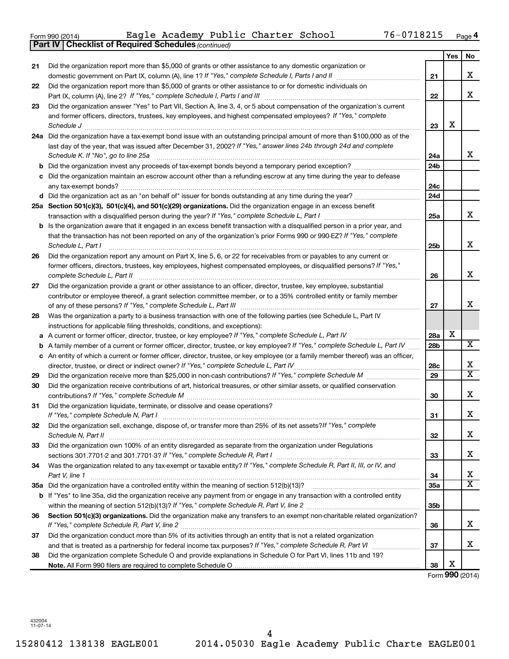# Form 990 (2014) **Eagle Academy Public Charter School** 76-0718215 <sub>Page</sub>

|    | 76-0718215<br>Eagle Academy Public Charter School<br>Form 990 (2014)                                                                |                 |     | Page 4                       |
|----|-------------------------------------------------------------------------------------------------------------------------------------|-----------------|-----|------------------------------|
|    | <b>Checklist of Required Schedules (continued)</b><br><b>Part IV</b>                                                                |                 |     |                              |
|    |                                                                                                                                     |                 | Yes | No                           |
| 21 | Did the organization report more than \$5,000 of grants or other assistance to any domestic organization or                         |                 |     |                              |
|    |                                                                                                                                     | 21              |     | х                            |
| 22 | Did the organization report more than \$5,000 of grants or other assistance to or for domestic individuals on                       |                 |     |                              |
|    |                                                                                                                                     | 22              |     | х                            |
| 23 | Did the organization answer "Yes" to Part VII, Section A, line 3, 4, or 5 about compensation of the organization's current          |                 |     |                              |
|    | and former officers, directors, trustees, key employees, and highest compensated employees? If "Yes," complete                      |                 |     |                              |
|    | Schedule J <b>Execute Schedule J Execute Schedule J</b>                                                                             | 23              | X   |                              |
|    | 24a Did the organization have a tax-exempt bond issue with an outstanding principal amount of more than \$100,000 as of the         |                 |     |                              |
|    | last day of the year, that was issued after December 31, 2002? If "Yes," answer lines 24b through 24d and complete                  |                 |     |                              |
|    | Schedule K. If "No", go to line 25a                                                                                                 | 24a             |     | x                            |
|    |                                                                                                                                     | 24 <sub>b</sub> |     |                              |
|    | c Did the organization maintain an escrow account other than a refunding escrow at any time during the year to defease              |                 |     |                              |
|    |                                                                                                                                     | 24c             |     |                              |
|    |                                                                                                                                     | 24d             |     |                              |
|    | 25a Section 501(c)(3), 501(c)(4), and 501(c)(29) organizations. Did the organization engage in an excess benefit                    |                 |     |                              |
|    |                                                                                                                                     | 25a             |     | x                            |
|    | <b>b</b> Is the organization aware that it engaged in an excess benefit transaction with a disqualified person in a prior year, and |                 |     |                              |
|    | that the transaction has not been reported on any of the organization's prior Forms 990 or 990-EZ? If "Yes," complete               |                 |     |                              |
|    | Schedule L, Part I                                                                                                                  | 25b             |     | х                            |
| 26 | Did the organization report any amount on Part X, line 5, 6, or 22 for receivables from or payables to any current or               |                 |     |                              |
|    | former officers, directors, trustees, key employees, highest compensated employees, or disqualified persons? If "Yes,"              |                 |     |                              |
|    | complete Schedule L, Part II                                                                                                        | 26              |     | х                            |
| 27 | Did the organization provide a grant or other assistance to an officer, director, trustee, key employee, substantial                |                 |     |                              |
|    | contributor or employee thereof, a grant selection committee member, or to a 35% controlled entity or family member                 |                 |     |                              |
|    |                                                                                                                                     | 27              |     | х                            |
| 28 | Was the organization a party to a business transaction with one of the following parties (see Schedule L, Part IV                   |                 |     |                              |
|    | instructions for applicable filing thresholds, conditions, and exceptions):                                                         |                 |     |                              |
|    | a A current or former officer, director, trustee, or key employee? If "Yes," complete Schedule L, Part IV                           | 28a             | X   |                              |
| b  | A family member of a current or former officer, director, trustee, or key employee? If "Yes," complete Schedule L, Part IV          | 28b             |     | х                            |
|    | c An entity of which a current or former officer, director, trustee, or key employee (or a family member thereof) was an officer,   |                 |     |                              |
|    | director, trustee, or direct or indirect owner? If "Yes," complete Schedule L, Part IV                                              | 28c             |     | X                            |
| 29 |                                                                                                                                     | 29              |     | X                            |
| 30 | Did the organization receive contributions of art, historical treasures, or other similar assets, or qualified conservation         |                 |     |                              |
|    |                                                                                                                                     | 30              |     | x                            |
| 31 | Did the organization liquidate, terminate, or dissolve and cease operations?                                                        |                 |     |                              |
|    | If "Yes," complete Schedule N, Part I                                                                                               | 31              |     | х                            |
| 32 | Did the organization sell, exchange, dispose of, or transfer more than 25% of its net assets? If "Yes," complete                    |                 |     |                              |
|    |                                                                                                                                     | 32              |     | x                            |
| 33 | Did the organization own 100% of an entity disregarded as separate from the organization under Regulations                          |                 |     |                              |
|    |                                                                                                                                     | 33              |     | x                            |
| 34 | Was the organization related to any tax-exempt or taxable entity? If "Yes," complete Schedule R, Part II, III, or IV, and           |                 |     |                              |
|    | Part V, line 1                                                                                                                      | 34              |     | х<br>$\overline{\textbf{X}}$ |
|    |                                                                                                                                     | <b>35a</b>      |     |                              |
|    | b If "Yes" to line 35a, did the organization receive any payment from or engage in any transaction with a controlled entity         |                 |     |                              |
|    |                                                                                                                                     | 35b             |     |                              |
| 36 | Section 501(c)(3) organizations. Did the organization make any transfers to an exempt non-charitable related organization?          |                 |     |                              |
|    |                                                                                                                                     | 36              |     | х                            |
| 37 | Did the organization conduct more than 5% of its activities through an entity that is not a related organization                    |                 |     | х                            |
|    |                                                                                                                                     | 37              |     |                              |
| 38 | Did the organization complete Schedule O and provide explanations in Schedule O for Part VI, lines 11b and 19?                      |                 | Χ   |                              |
|    |                                                                                                                                     | 38              |     |                              |

Form (2014) **990**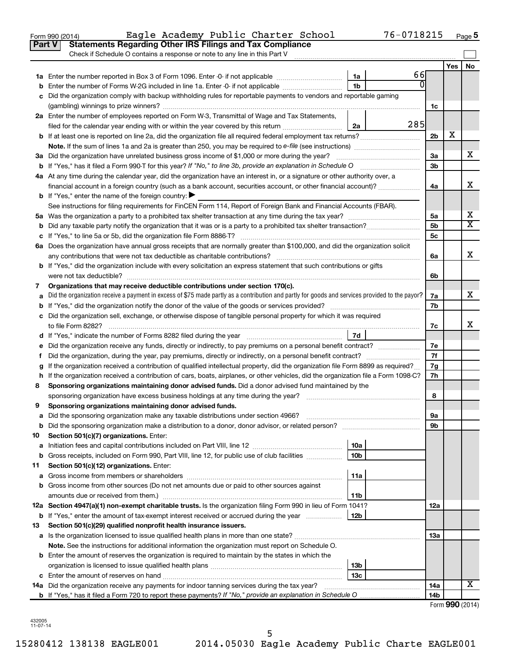|               | 76-0718215<br>Eagle Academy Public Charter School<br>Form 990 (2014)                                                                              |                |     | Page 5                  |
|---------------|---------------------------------------------------------------------------------------------------------------------------------------------------|----------------|-----|-------------------------|
| <b>Part V</b> | <b>Statements Regarding Other IRS Filings and Tax Compliance</b>                                                                                  |                |     |                         |
|               | Check if Schedule O contains a response or note to any line in this Part V                                                                        |                |     |                         |
|               |                                                                                                                                                   |                | Yes | No                      |
|               | 66<br>1a                                                                                                                                          |                |     |                         |
| b             | n<br>Enter the number of Forms W-2G included in line 1a. Enter -0- if not applicable<br>1b                                                        |                |     |                         |
|               | c Did the organization comply with backup withholding rules for reportable payments to vendors and reportable gaming                              |                |     |                         |
|               |                                                                                                                                                   | 1c             |     |                         |
|               | 2a Enter the number of employees reported on Form W-3, Transmittal of Wage and Tax Statements,                                                    |                |     |                         |
|               | 285<br>filed for the calendar year ending with or within the year covered by this return<br>2a                                                    |                |     |                         |
|               | <b>b</b> If at least one is reported on line 2a, did the organization file all required federal employment tax returns?                           | 2 <sub>b</sub> | х   |                         |
|               |                                                                                                                                                   |                |     |                         |
|               | 3a Did the organization have unrelated business gross income of \$1,000 or more during the year?                                                  | За             |     | х                       |
|               | <b>b</b> If "Yes," has it filed a Form 990 T for this year? If "No," to line 3b, provide an explanation in Schedule O                             | 3b             |     |                         |
|               | 4a At any time during the calendar year, did the organization have an interest in, or a signature or other authority over, a                      |                |     |                         |
|               | financial account in a foreign country (such as a bank account, securities account, or other financial account)?                                  | 4a             |     | x                       |
|               | <b>b</b> If "Yes," enter the name of the foreign country: $\blacktriangleright$                                                                   |                |     |                         |
|               | See instructions for filing requirements for FinCEN Form 114, Report of Foreign Bank and Financial Accounts (FBAR).                               |                |     |                         |
|               |                                                                                                                                                   | 5a             |     | x                       |
|               | <b>b</b> Did any taxable party notify the organization that it was or is a party to a prohibited tax shelter transaction?                         | 5b             |     | $\overline{\texttt{x}}$ |
|               |                                                                                                                                                   | 5c             |     |                         |
|               | 6a Does the organization have annual gross receipts that are normally greater than \$100,000, and did the organization solicit                    |                |     |                         |
|               | any contributions that were not tax deductible as charitable contributions?                                                                       | 6a             |     | x                       |
|               | b If "Yes," did the organization include with every solicitation an express statement that such contributions or gifts                            |                |     |                         |
|               | were not tax deductible?                                                                                                                          | 6b             |     |                         |
|               | Organizations that may receive deductible contributions under section 170(c).                                                                     |                |     |                         |
| 7             | a Did the organization receive a payment in excess of \$75 made partly as a contribution and partly for goods and services provided to the payor? | 7a             |     | х                       |
|               |                                                                                                                                                   | 7b             |     |                         |
|               |                                                                                                                                                   |                |     |                         |
|               | c Did the organization sell, exchange, or otherwise dispose of tangible personal property for which it was required                               |                |     | x                       |
|               | to file Form 8282?                                                                                                                                | 7c             |     |                         |
|               | 7d                                                                                                                                                |                |     |                         |
| е             | Did the organization receive any funds, directly or indirectly, to pay premiums on a personal benefit contract? <i>management</i>                 | 7e             |     |                         |
| f.            | Did the organization, during the year, pay premiums, directly or indirectly, on a personal benefit contract?                                      | 7f             |     |                         |
| g             | If the organization received a contribution of qualified intellectual property, did the organization file Form 8899 as required?                  | 7g             |     |                         |
|               | h If the organization received a contribution of cars, boats, airplanes, or other vehicles, did the organization file a Form 1098-C?              | 7h             |     |                         |
| 8             | Sponsoring organizations maintaining donor advised funds. Did a donor advised fund maintained by the                                              |                |     |                         |
|               | sponsoring organization have excess business holdings at any time during the year?                                                                | 8              |     |                         |
| 9             | Sponsoring organizations maintaining donor advised funds.                                                                                         |                |     |                         |
| а             | Did the sponsoring organization make any taxable distributions under section 4966?                                                                | 9а             |     |                         |
| b             |                                                                                                                                                   | 9b             |     |                         |
| 10            | Section 501(c)(7) organizations. Enter:                                                                                                           |                |     |                         |
| а             | 10a                                                                                                                                               |                |     |                         |
| b             | Gross receipts, included on Form 990, Part VIII, line 12, for public use of club facilities<br>10 <sub>b</sub>                                    |                |     |                         |
| 11            | Section 501(c)(12) organizations. Enter:                                                                                                          |                |     |                         |
| а             | 11a                                                                                                                                               |                |     |                         |
| b             | Gross income from other sources (Do not net amounts due or paid to other sources against                                                          |                |     |                         |
|               | 11b                                                                                                                                               |                |     |                         |
|               | 12a Section 4947(a)(1) non-exempt charitable trusts. Is the organization filing Form 990 in lieu of Form 1041?                                    | 12a            |     |                         |
| b             | If "Yes," enter the amount of tax-exempt interest received or accrued during the year<br>12b                                                      |                |     |                         |
| 13            | Section 501(c)(29) qualified nonprofit health insurance issuers.                                                                                  |                |     |                         |
|               |                                                                                                                                                   | 13a            |     |                         |
|               | Note. See the instructions for additional information the organization must report on Schedule O.                                                 |                |     |                         |
|               | <b>b</b> Enter the amount of reserves the organization is required to maintain by the states in which the                                         |                |     |                         |
|               | 13 <sub>b</sub>                                                                                                                                   |                |     |                         |
|               | 13c                                                                                                                                               |                |     |                         |
|               | <b>14a</b> Did the organization receive any payments for indoor tanning services during the tax year?                                             | 14a            |     | х                       |
|               |                                                                                                                                                   | 14b            |     |                         |
|               |                                                                                                                                                   |                |     | Form 990 (2014)         |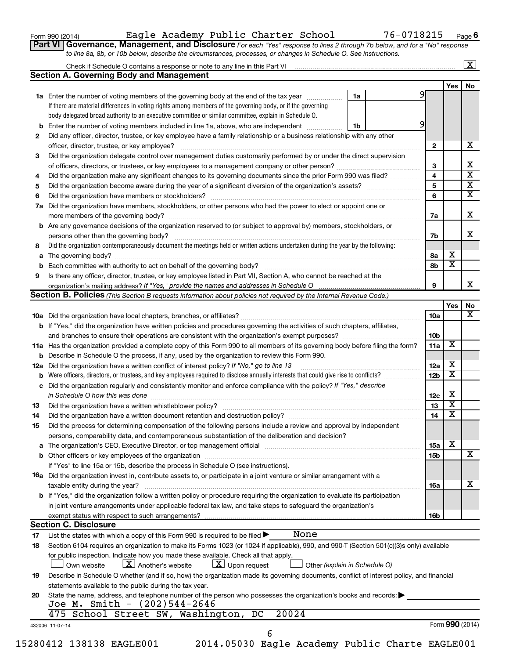| Form 990 (2014) |  |
|-----------------|--|
|-----------------|--|

## Form 990 (2014) **Eagle Academy Public Charter School** 76-0718215 <sub>Page</sub>

**Part VI** Governance, Management, and Disclosure For each "Yes" response to lines 2 through 7b below, and for a "No" response *to line 8a, 8b, or 10b below, describe the circumstances, processes, or changes in Schedule O. See instructions.*

|    |                                                                                                                                           |                               |                 |                         | $\overline{\mathbf{x}}$ |
|----|-------------------------------------------------------------------------------------------------------------------------------------------|-------------------------------|-----------------|-------------------------|-------------------------|
|    | <b>Section A. Governing Body and Management</b>                                                                                           |                               |                 |                         |                         |
|    |                                                                                                                                           |                               | 9               | Yes                     | No                      |
|    | 1a Enter the number of voting members of the governing body at the end of the tax year                                                    | 1a                            |                 |                         |                         |
|    | If there are material differences in voting rights among members of the governing body, or if the governing                               |                               |                 |                         |                         |
|    | body delegated broad authority to an executive committee or similar committee, explain in Schedule O.                                     |                               | 9               |                         |                         |
|    | <b>b</b> Enter the number of voting members included in line 1a, above, who are independent <i>manumum</i>                                | 1b                            |                 |                         |                         |
| 2  | Did any officer, director, trustee, or key employee have a family relationship or a business relationship with any other                  |                               |                 |                         |                         |
|    |                                                                                                                                           |                               | $\mathbf{2}$    |                         |                         |
| 3  | Did the organization delegate control over management duties customarily performed by or under the direct supervision                     |                               |                 |                         |                         |
|    |                                                                                                                                           |                               | 3               |                         |                         |
| 4  | Did the organization make any significant changes to its governing documents since the prior Form 990 was filed?                          |                               | 4               |                         |                         |
| 5  |                                                                                                                                           |                               | 5               |                         |                         |
| 6  |                                                                                                                                           |                               | 6               |                         |                         |
| 7a | Did the organization have members, stockholders, or other persons who had the power to elect or appoint one or                            |                               |                 |                         |                         |
|    |                                                                                                                                           |                               | 7a              |                         |                         |
|    | <b>b</b> Are any governance decisions of the organization reserved to (or subject to approval by) members, stockholders, or               |                               |                 |                         |                         |
|    | persons other than the governing body?                                                                                                    |                               | 7b              |                         |                         |
| 8  | Did the organization contemporaneously document the meetings held or written actions undertaken during the year by the following:         |                               |                 |                         |                         |
|    |                                                                                                                                           |                               | 8a              | х                       |                         |
|    |                                                                                                                                           |                               | 8b              | $\overline{\textbf{x}}$ |                         |
| 9  | Is there any officer, director, trustee, or key employee listed in Part VII, Section A, who cannot be reached at the                      |                               |                 |                         |                         |
|    | organization's mailing address? If "Yes," provide the names and addresses in Schedule O multimarrow multimarrow                           |                               | 9               |                         |                         |
|    | Section B. Policies (This Section B requests information about policies not required by the Internal Revenue Code.)                       |                               |                 |                         |                         |
|    |                                                                                                                                           |                               |                 | Yes                     |                         |
|    |                                                                                                                                           |                               | 10a             |                         |                         |
|    | <b>b</b> If "Yes," did the organization have written policies and procedures governing the activities of such chapters, affiliates,       |                               |                 |                         |                         |
|    |                                                                                                                                           |                               | 10b             |                         |                         |
|    | 11a Has the organization provided a complete copy of this Form 990 to all members of its governing body before filing the form?           |                               | 11a             | X                       |                         |
|    | <b>b</b> Describe in Schedule O the process, if any, used by the organization to review this Form 990.                                    |                               |                 |                         |                         |
|    | 12a Did the organization have a written conflict of interest policy? If "No," go to line 13                                               |                               | 12a             | х                       |                         |
| b  |                                                                                                                                           |                               | 12 <sub>b</sub> | $\overline{\textbf{x}}$ |                         |
|    | c Did the organization regularly and consistently monitor and enforce compliance with the policy? If "Yes," describe                      |                               |                 |                         |                         |
|    | in Schedule O how this was done <i>manufacture contract to the set of the set of the set of the set of the set of t</i>                   |                               | 12c             | х                       |                         |
| 13 |                                                                                                                                           |                               | 13              | $\overline{\mathbf{x}}$ |                         |
| 14 | Did the organization have a written document retention and destruction policy? [11] manufaction manufaction in                            |                               | 14              | $\overline{\mathbf{x}}$ |                         |
| 15 | Did the process for determining compensation of the following persons include a review and approval by independent                        |                               |                 |                         |                         |
|    |                                                                                                                                           |                               |                 |                         |                         |
|    | persons, comparability data, and contemporaneous substantiation of the deliberation and decision?                                         |                               |                 | х                       |                         |
|    |                                                                                                                                           |                               | <b>15a</b>      |                         |                         |
|    |                                                                                                                                           |                               | 15b             |                         |                         |
|    | If "Yes" to line 15a or 15b, describe the process in Schedule O (see instructions).                                                       |                               |                 |                         |                         |
|    |                                                                                                                                           |                               |                 |                         |                         |
|    | <b>16a</b> Did the organization invest in, contribute assets to, or participate in a joint venture or similar arrangement with a          |                               |                 |                         |                         |
|    | taxable entity during the year?                                                                                                           |                               | 16a             |                         |                         |
|    | <b>b</b> If "Yes," did the organization follow a written policy or procedure requiring the organization to evaluate its participation     |                               |                 |                         |                         |
|    | in joint venture arrangements under applicable federal tax law, and take steps to safeguard the organization's                            |                               |                 |                         |                         |
|    | exempt status with respect to such arrangements?                                                                                          |                               | 16b             |                         |                         |
|    | <b>Section C. Disclosure</b>                                                                                                              |                               |                 |                         |                         |
| 17 | None<br>List the states with which a copy of this Form 990 is required to be filed >                                                      |                               |                 |                         |                         |
| 18 | Section 6104 requires an organization to make its Forms 1023 (or 1024 if applicable), 990, and 990-T (Section 501(c)(3)s only) available  |                               |                 |                         |                         |
|    | for public inspection. Indicate how you made these available. Check all that apply.                                                       |                               |                 |                         |                         |
|    | $\lfloor x \rfloor$ Upon request<br>$\lfloor X \rfloor$ Another's website<br>Own website                                                  | Other (explain in Schedule O) |                 |                         |                         |
| 19 | Describe in Schedule O whether (and if so, how) the organization made its governing documents, conflict of interest policy, and financial |                               |                 |                         |                         |
|    | statements available to the public during the tax year.                                                                                   |                               |                 |                         |                         |
| 20 | State the name, address, and telephone number of the person who possesses the organization's books and records:                           |                               |                 |                         |                         |
|    | Joe M. Smith - (202)544-2646                                                                                                              |                               |                 |                         |                         |
|    | School Street SW, Washington, DC<br>20024<br>475                                                                                          |                               |                 |                         |                         |
|    | 432006 11-07-14                                                                                                                           |                               |                 | Form 990 (2014)         |                         |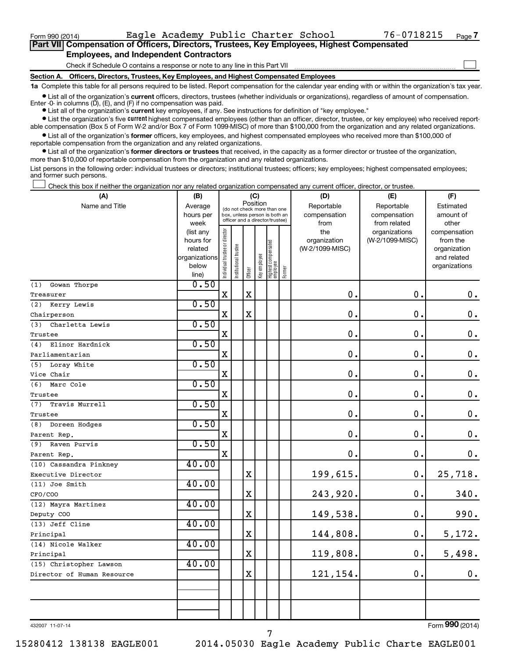$\Box$ 

| Part VII Compensation of Officers, Directors, Trustees, Key Employees, Highest Compensated |
|--------------------------------------------------------------------------------------------|
| <b>Employees, and Independent Contractors</b>                                              |

Check if Schedule O contains a response or note to any line in this Part VII

**Section A. Officers, Directors, Trustees, Key Employees, and Highest Compensated Employees**

**1a**  Complete this table for all persons required to be listed. Report compensation for the calendar year ending with or within the organization's tax year.

**•** List all of the organization's current officers, directors, trustees (whether individuals or organizations), regardless of amount of compensation. Enter -0- in columns  $(D)$ ,  $(E)$ , and  $(F)$  if no compensation was paid.

**•** List all of the organization's **current** key employees, if any. See instructions for definition of "key employee."

**•** List the organization's five current highest compensated employees (other than an officer, director, trustee, or key employee) who received reportable compensation (Box 5 of Form W-2 and/or Box 7 of Form 1099-MISC) of more than \$100,000 from the organization and any related organizations.

**•** List all of the organization's former officers, key employees, and highest compensated employees who received more than \$100,000 of reportable compensation from the organization and any related organizations.

**•** List all of the organization's former directors or trustees that received, in the capacity as a former director or trustee of the organization, more than \$10,000 of reportable compensation from the organization and any related organizations.

List persons in the following order: individual trustees or directors; institutional trustees; officers; key employees; highest compensated employees; and former such persons.

Check this box if neither the organization nor any related organization compensated any current officer, director, or trustee.  $\Box$ 

| (A)                        | (B)                      |                                |                                                                  |             | (C)          |                                   |        | (D)             | (E)             | (F)                         |
|----------------------------|--------------------------|--------------------------------|------------------------------------------------------------------|-------------|--------------|-----------------------------------|--------|-----------------|-----------------|-----------------------------|
| Name and Title             | Average                  |                                | (do not check more than one                                      | Position    |              |                                   |        | Reportable      | Reportable      | Estimated                   |
|                            | hours per                |                                | box, unless person is both an<br>officer and a director/trustee) |             |              |                                   |        | compensation    | compensation    | amount of                   |
|                            | week                     |                                |                                                                  |             |              |                                   |        | from            | from related    | other                       |
|                            | (list any                |                                |                                                                  |             |              |                                   |        | the             | organizations   | compensation                |
|                            | hours for                |                                |                                                                  |             |              |                                   |        | organization    | (W-2/1099-MISC) | from the                    |
|                            | related<br>organizations |                                |                                                                  |             |              |                                   |        | (W-2/1099-MISC) |                 | organization<br>and related |
|                            | below                    |                                |                                                                  |             |              |                                   |        |                 |                 | organizations               |
|                            | line)                    | Individual trustee or director | Institutional trustee                                            | Officer     | Key employee | Highest compensated<br>  employee | Former |                 |                 |                             |
| Gowan Thorpe<br>(1)        | 0.50                     |                                |                                                                  |             |              |                                   |        |                 |                 |                             |
| Treasurer                  |                          | X                              |                                                                  | X           |              |                                   |        | 0.              | $\mathbf 0$ .   | $\boldsymbol{0}$ .          |
| Kerry Lewis<br>(2)         | 0.50                     |                                |                                                                  |             |              |                                   |        |                 |                 |                             |
| Chairperson                |                          | $\mathbf x$                    |                                                                  | $\mathbf X$ |              |                                   |        | 0.              | 0.              | $0$ .                       |
| Charletta Lewis<br>(3)     | 0.50                     |                                |                                                                  |             |              |                                   |        |                 |                 |                             |
| Trustee                    |                          | $\mathbf X$                    |                                                                  |             |              |                                   |        | 0.              | $\mathbf 0$ .   | $\mathbf 0$ .               |
| Elinor Hardnick<br>(4)     | 0.50                     |                                |                                                                  |             |              |                                   |        |                 |                 |                             |
| Parliamentarian            |                          | $\mathbf X$                    |                                                                  |             |              |                                   |        | 0.              | 0.              | $\mathbf 0$ .               |
| Loray White<br>(5)         | 0.50                     |                                |                                                                  |             |              |                                   |        |                 |                 |                             |
| Vice Chair                 |                          | $\mathbf x$                    |                                                                  |             |              |                                   |        | 0.              | 0.              | $\mathbf 0$ .               |
| (6)<br>Marc Cole           | 0.50                     |                                |                                                                  |             |              |                                   |        |                 |                 |                             |
| Trustee                    |                          | $\mathbf X$                    |                                                                  |             |              |                                   |        | $\mathbf 0$ .   | 0.              | $\mathbf 0$ .               |
| Travis Murrell<br>(7)      | 0.50                     |                                |                                                                  |             |              |                                   |        |                 |                 |                             |
| Trustee                    |                          | $\mathbf X$                    |                                                                  |             |              |                                   |        | 0.              | $\mathbf 0$ .   | $\mathbf 0$ .               |
| Doreen Hodges<br>(8)       | 0.50                     |                                |                                                                  |             |              |                                   |        |                 |                 |                             |
| Parent Rep.                |                          | $\mathbf X$                    |                                                                  |             |              |                                   |        | 0.              | 0.              | $\mathbf 0$ .               |
| Raven Purvis<br>(9)        | 0.50                     |                                |                                                                  |             |              |                                   |        |                 |                 |                             |
| Parent Rep.                |                          | $\mathbf X$                    |                                                                  |             |              |                                   |        | 0.              | 0.              | $0$ .                       |
| (10) Cassandra Pinkney     | 40.00                    |                                |                                                                  |             |              |                                   |        |                 |                 |                             |
| Executive Director         |                          |                                |                                                                  | $\mathbf X$ |              |                                   |        | 199,615.        | 0.              | 25,718.                     |
| (11) Joe Smith             | 40.00                    |                                |                                                                  |             |              |                                   |        |                 |                 |                             |
| CFO/COO                    |                          |                                |                                                                  | $\mathbf X$ |              |                                   |        | 243,920.        | $\mathbf 0$ .   | 340.                        |
| (12) Mayra Martinez        | 40.00                    |                                |                                                                  |             |              |                                   |        |                 |                 |                             |
| Deputy COO                 |                          |                                |                                                                  | $\mathbf X$ |              |                                   |        | 149,538.        | 0.              | 990.                        |
| (13) Jeff Cline            | 40.00                    |                                |                                                                  |             |              |                                   |        |                 |                 |                             |
| Principal                  |                          |                                |                                                                  | $\mathbf x$ |              |                                   |        | 144,808.        | $\mathbf{0}$ .  | 5,172.                      |
| (14) Nicole Walker         | 40.00                    |                                |                                                                  |             |              |                                   |        |                 |                 |                             |
| Principal                  |                          |                                |                                                                  | $\mathbf X$ |              |                                   |        | 119,808.        | 0.              | 5,498.                      |
| (15) Christopher Lawson    | 40.00                    |                                |                                                                  |             |              |                                   |        |                 |                 |                             |
| Director of Human Resource |                          |                                |                                                                  | $\mathbf X$ |              |                                   |        | 121,154.        | 0.              | $0$ .                       |
|                            |                          |                                |                                                                  |             |              |                                   |        |                 |                 |                             |
|                            |                          |                                |                                                                  |             |              |                                   |        |                 |                 |                             |
|                            |                          |                                |                                                                  |             |              |                                   |        |                 |                 |                             |

7

432007 11-07-14

Form (2014) **990**

15280412 138138 EAGLE001 2014.05030 Eagle Academy Public Charte EAGLE001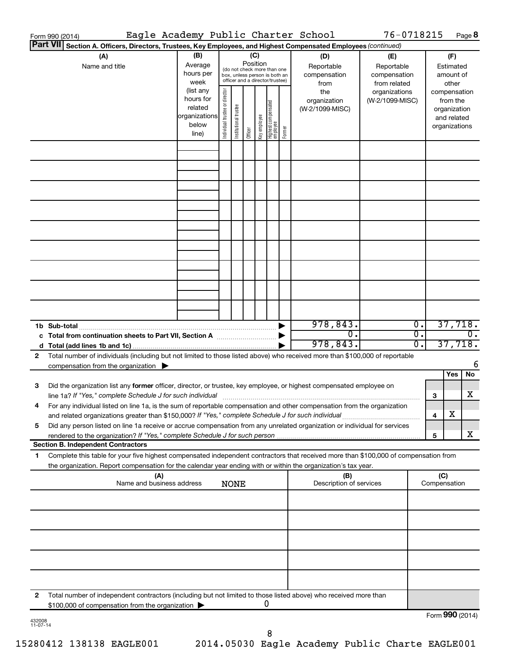|                 | Form 990 (2014)                                                                                                                                                                                                                                        |                                  |                                                               |                                             |                                |                       |         |                                                                                                 |                                   |                                                                  | Eagle Academy Public Charter School                                                                    | 76-0718215 |          |                                                                    |                                              | Page 8           |
|-----------------|--------------------------------------------------------------------------------------------------------------------------------------------------------------------------------------------------------------------------------------------------------|----------------------------------|---------------------------------------------------------------|---------------------------------------------|--------------------------------|-----------------------|---------|-------------------------------------------------------------------------------------------------|-----------------------------------|------------------------------------------------------------------|--------------------------------------------------------------------------------------------------------|------------|----------|--------------------------------------------------------------------|----------------------------------------------|------------------|
| <b>Part VII</b> |                                                                                                                                                                                                                                                        |                                  |                                                               |                                             |                                |                       |         |                                                                                                 |                                   |                                                                  | Section A. Officers, Directors, Trustees, Key Employees, and Highest Compensated Employees (continued) |            |          |                                                                    |                                              |                  |
|                 | (A)<br>Name and title                                                                                                                                                                                                                                  |                                  | (B)<br>Average<br>hours per<br>week<br>(list any<br>hours for |                                             |                                | (C)<br>Position       |         | (do not check more than one<br>box, unless person is both an<br>officer and a director/trustee) |                                   | (D)<br>Reportable<br>compensation<br>from<br>the<br>organization | (E)<br>Reportable<br>compensation<br>from related<br>organizations<br>(W-2/1099-MISC)                  |            |          | (F)<br>Estimated<br>amount of<br>other<br>compensation<br>from the |                                              |                  |
|                 |                                                                                                                                                                                                                                                        |                                  |                                                               | related<br> organizations<br>below<br>line) | Individual trustee or director | Institutional trustee | Officer | Key employee                                                                                    | Highest compensated<br>  employee | Former                                                           | (W-2/1099-MISC)                                                                                        |            |          |                                                                    | organization<br>and related<br>organizations |                  |
|                 |                                                                                                                                                                                                                                                        |                                  |                                                               |                                             |                                |                       |         |                                                                                                 |                                   |                                                                  |                                                                                                        |            |          |                                                                    |                                              |                  |
|                 |                                                                                                                                                                                                                                                        |                                  |                                                               |                                             |                                |                       |         |                                                                                                 |                                   |                                                                  |                                                                                                        |            |          |                                                                    |                                              |                  |
|                 |                                                                                                                                                                                                                                                        |                                  |                                                               |                                             |                                |                       |         |                                                                                                 |                                   |                                                                  |                                                                                                        |            |          |                                                                    |                                              |                  |
|                 |                                                                                                                                                                                                                                                        |                                  |                                                               |                                             |                                |                       |         |                                                                                                 |                                   |                                                                  |                                                                                                        |            |          |                                                                    |                                              |                  |
|                 |                                                                                                                                                                                                                                                        |                                  |                                                               |                                             |                                |                       |         |                                                                                                 |                                   |                                                                  |                                                                                                        |            |          |                                                                    |                                              |                  |
|                 | 1b Sub-total                                                                                                                                                                                                                                           |                                  |                                                               |                                             |                                |                       |         |                                                                                                 |                                   |                                                                  | 978,843.                                                                                               |            | Ο.       |                                                                    | 37,718.                                      |                  |
|                 | c Total from continuation sheets to Part VII, Section A manuscreen continuum                                                                                                                                                                           |                                  |                                                               |                                             |                                |                       |         |                                                                                                 |                                   |                                                                  | $\overline{0}$ .<br>978,843.                                                                           |            | σ.<br>σ. |                                                                    | 37,718.                                      | $\overline{0}$ . |
| 2               | Total number of individuals (including but not limited to those listed above) who received more than \$100,000 of reportable<br>compensation from the organization                                                                                     |                                  |                                                               |                                             |                                |                       |         |                                                                                                 |                                   |                                                                  |                                                                                                        |            |          |                                                                    |                                              | 6<br><b>No</b>   |
| 3               | Did the organization list any former officer, director, or trustee, key employee, or highest compensated employee on                                                                                                                                   |                                  |                                                               |                                             |                                |                       |         |                                                                                                 |                                   |                                                                  |                                                                                                        |            |          | з                                                                  | Yes                                          | x                |
|                 | For any individual listed on line 1a, is the sum of reportable compensation and other compensation from the organization<br>and related organizations greater than \$150,000? If "Yes," complete Schedule J for such individual                        |                                  |                                                               |                                             |                                |                       |         |                                                                                                 |                                   |                                                                  |                                                                                                        |            |          | 4                                                                  | х                                            |                  |
| 5               | Did any person listed on line 1a receive or accrue compensation from any unrelated organization or individual for services<br>rendered to the organization? If "Yes," complete Schedule J for such person<br><b>Section B. Independent Contractors</b> |                                  |                                                               |                                             |                                |                       |         |                                                                                                 |                                   |                                                                  |                                                                                                        |            |          | 5                                                                  |                                              | x                |
| 1               | Complete this table for your five highest compensated independent contractors that received more than \$100,000 of compensation from<br>the organization. Report compensation for the calendar year ending with or within the organization's tax year. |                                  |                                                               |                                             |                                |                       |         |                                                                                                 |                                   |                                                                  |                                                                                                        |            |          |                                                                    |                                              |                  |
|                 |                                                                                                                                                                                                                                                        | (A)<br>Name and business address |                                                               |                                             |                                | <b>NONE</b>           |         |                                                                                                 |                                   |                                                                  | (B)<br>Description of services                                                                         |            |          | (C)<br>Compensation                                                |                                              |                  |
|                 |                                                                                                                                                                                                                                                        |                                  |                                                               |                                             |                                |                       |         |                                                                                                 |                                   |                                                                  |                                                                                                        |            |          |                                                                    |                                              |                  |
|                 |                                                                                                                                                                                                                                                        |                                  |                                                               |                                             |                                |                       |         |                                                                                                 |                                   |                                                                  |                                                                                                        |            |          |                                                                    |                                              |                  |
|                 |                                                                                                                                                                                                                                                        |                                  |                                                               |                                             |                                |                       |         |                                                                                                 |                                   |                                                                  |                                                                                                        |            |          |                                                                    |                                              |                  |
| 2               | Total number of independent contractors (including but not limited to those listed above) who received more than<br>\$100,000 of compensation from the organization                                                                                    |                                  |                                                               |                                             |                                |                       |         |                                                                                                 | 0                                 |                                                                  |                                                                                                        |            |          |                                                                    |                                              |                  |
|                 |                                                                                                                                                                                                                                                        |                                  |                                                               |                                             |                                |                       |         |                                                                                                 |                                   |                                                                  |                                                                                                        |            |          | Form 990 (2014)                                                    |                                              |                  |

| 432008   |  |
|----------|--|
| 11-07-14 |  |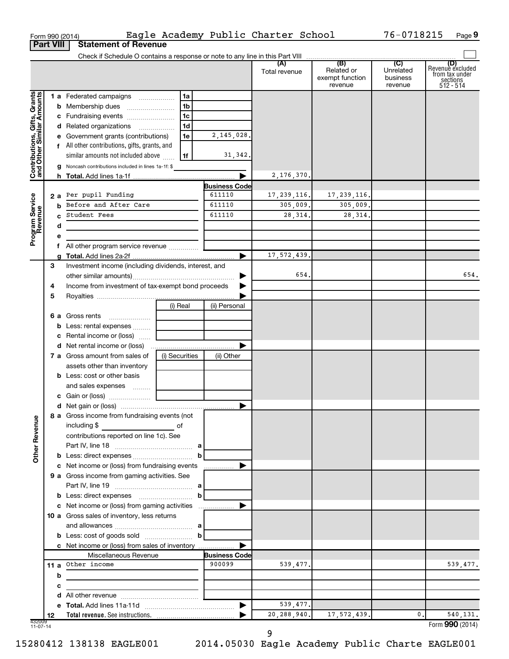|                                                           |                  | Form 990 (2014)                                                                         |                |                      | Eagle Academy Public Charter School |                                          | 76-0718215                       | Page 9                                                      |
|-----------------------------------------------------------|------------------|-----------------------------------------------------------------------------------------|----------------|----------------------|-------------------------------------|------------------------------------------|----------------------------------|-------------------------------------------------------------|
|                                                           | <b>Part VIII</b> | <b>Statement of Revenue</b>                                                             |                |                      |                                     |                                          |                                  |                                                             |
|                                                           |                  |                                                                                         |                |                      | (A)                                 | (B)                                      | $\overline{C}$                   | (D)                                                         |
|                                                           |                  |                                                                                         |                |                      | Total revenue                       | Related or<br>exempt function<br>revenue | Unrelated<br>business<br>revenue | Revenue excluded<br>from tax under<br>sections<br>512 - 514 |
|                                                           |                  | 1 a Federated campaigns                                                                 | 1a             |                      |                                     |                                          |                                  |                                                             |
| Contributions, Gifts, Grants<br>and Other Similar Amounts |                  | <b>b</b> Membership dues                                                                | 1 <sub>b</sub> |                      |                                     |                                          |                                  |                                                             |
|                                                           |                  | c Fundraising events                                                                    | 1с             |                      |                                     |                                          |                                  |                                                             |
|                                                           |                  | d Related organizations                                                                 | 1 <sub>d</sub> |                      |                                     |                                          |                                  |                                                             |
|                                                           |                  | e Government grants (contributions)                                                     | 1e             | 2,145,028.           |                                     |                                          |                                  |                                                             |
|                                                           |                  | f All other contributions, gifts, grants, and                                           |                |                      |                                     |                                          |                                  |                                                             |
|                                                           |                  | similar amounts not included above<br>Noncash contributions included in lines 1a-1f: \$ | 1f             | 31,342.              |                                     |                                          |                                  |                                                             |
|                                                           |                  |                                                                                         |                |                      | 2,176,370.                          |                                          |                                  |                                                             |
|                                                           |                  |                                                                                         |                | <b>Business Code</b> |                                     |                                          |                                  |                                                             |
|                                                           | 2a               | Per pupil Funding                                                                       |                | 611110               | 17, 239, 116.                       | 17, 239, 116.                            |                                  |                                                             |
|                                                           |                  | Before and After Care<br>b                                                              |                | 611110               | 305,009.                            | 305,009.                                 |                                  |                                                             |
|                                                           |                  | Student Fees<br>c.                                                                      |                | 611110               | 28, 314.                            | 28,314.                                  |                                  |                                                             |
|                                                           |                  | d                                                                                       |                |                      |                                     |                                          |                                  |                                                             |
| Program Service<br>Revenue                                |                  | е                                                                                       |                |                      |                                     |                                          |                                  |                                                             |
|                                                           |                  | f All other program service revenue                                                     |                |                      |                                     |                                          |                                  |                                                             |
|                                                           |                  | a                                                                                       |                |                      | 17,572,439.                         |                                          |                                  |                                                             |
|                                                           | 3                | Investment income (including dividends, interest, and                                   |                |                      | 654.                                |                                          |                                  | 654.                                                        |
|                                                           | 4                | Income from investment of tax-exempt bond proceeds                                      |                |                      |                                     |                                          |                                  |                                                             |
|                                                           | 5                |                                                                                         |                |                      |                                     |                                          |                                  |                                                             |
|                                                           |                  |                                                                                         | (i) Real       | (ii) Personal        |                                     |                                          |                                  |                                                             |
|                                                           |                  | <b>6 a</b> Gross rents                                                                  |                |                      |                                     |                                          |                                  |                                                             |
|                                                           |                  | Less: rental expenses   <br>b                                                           |                |                      |                                     |                                          |                                  |                                                             |
|                                                           |                  | Rental income or (loss)<br>c                                                            |                |                      |                                     |                                          |                                  |                                                             |
|                                                           |                  |                                                                                         |                | ▶                    |                                     |                                          |                                  |                                                             |
|                                                           |                  | <b>7 a</b> Gross amount from sales of                                                   | (i) Securities | (ii) Other           |                                     |                                          |                                  |                                                             |
|                                                           |                  | assets other than inventory                                                             |                |                      |                                     |                                          |                                  |                                                             |
|                                                           |                  | <b>b</b> Less: cost or other basis                                                      |                |                      |                                     |                                          |                                  |                                                             |
|                                                           |                  | and sales expenses  [                                                                   |                |                      |                                     |                                          |                                  |                                                             |
|                                                           |                  |                                                                                         |                |                      |                                     |                                          |                                  |                                                             |
|                                                           |                  | 8 a Gross income from fundraising events (not                                           |                |                      |                                     |                                          |                                  |                                                             |
| <b>Other Revenue</b>                                      |                  | including \$<br>contributions reported on line 1c). See                                 |                |                      |                                     |                                          |                                  |                                                             |
|                                                           |                  |                                                                                         |                |                      |                                     |                                          |                                  |                                                             |
|                                                           |                  |                                                                                         |                |                      |                                     |                                          |                                  |                                                             |
|                                                           |                  | c Net income or (loss) from fundraising events                                          |                |                      |                                     |                                          |                                  |                                                             |
|                                                           |                  | 9 a Gross income from gaming activities. See                                            |                |                      |                                     |                                          |                                  |                                                             |
|                                                           |                  |                                                                                         |                |                      |                                     |                                          |                                  |                                                             |
|                                                           |                  |                                                                                         |                |                      |                                     |                                          |                                  |                                                             |
|                                                           |                  |                                                                                         |                |                      |                                     |                                          |                                  |                                                             |
|                                                           |                  | 10 a Gross sales of inventory, less returns                                             |                |                      |                                     |                                          |                                  |                                                             |
|                                                           |                  |                                                                                         |                |                      |                                     |                                          |                                  |                                                             |
|                                                           |                  | <b>b</b> Less: cost of goods sold $\ldots$ <b>b</b>                                     |                |                      |                                     |                                          |                                  |                                                             |
|                                                           |                  | c Net income or (loss) from sales of inventory<br>Miscellaneous Revenue                 |                | <b>Business Code</b> |                                     |                                          |                                  |                                                             |
|                                                           |                  | 11 a Other income                                                                       |                | 900099               | 539,477.                            |                                          |                                  | 539,477.                                                    |
|                                                           |                  | b<br>the company of the company of the company                                          |                |                      |                                     |                                          |                                  |                                                             |
|                                                           |                  | с                                                                                       |                |                      |                                     |                                          |                                  |                                                             |
|                                                           |                  | d                                                                                       |                |                      |                                     |                                          |                                  |                                                             |
|                                                           |                  |                                                                                         |                |                      | 539,477.                            |                                          |                                  |                                                             |
|                                                           | 12               |                                                                                         |                |                      | 20,288,940.                         | 17,572,439.                              | $\mathbf{0}$ .                   | 540,131.                                                    |
| 432009<br>$11-07-14$                                      |                  |                                                                                         |                |                      |                                     |                                          |                                  | Form 990 (2014)                                             |

15280412 138138 EAGLE001 2014.05030 Eagle Academy Public Charte EAGLE001

9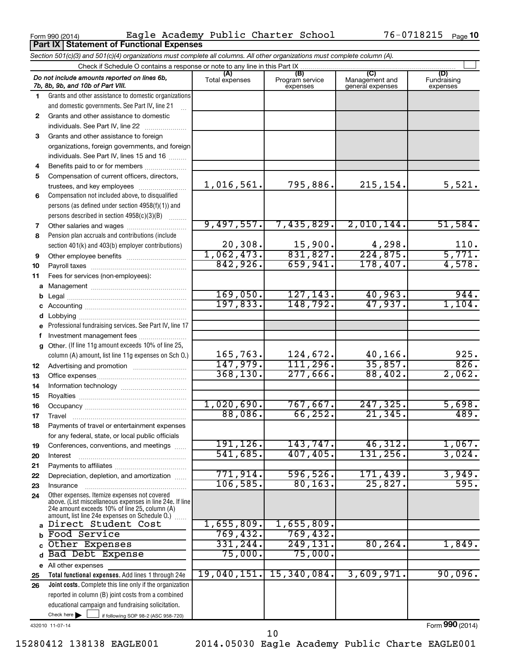**Part IX Statement of Functional Expenses** 

Form 990 (2014) Eagle Academy Public Charter School 76-0718215 <sub>Page</sub>

76-0718215 Page 10

|    | Section 501(c)(3) and 501(c)(4) organizations must complete all columns. All other organizations must complete column (A).                                                                                    |                |                             |                                    |                         |
|----|---------------------------------------------------------------------------------------------------------------------------------------------------------------------------------------------------------------|----------------|-----------------------------|------------------------------------|-------------------------|
|    | Check if Schedule O contains a response or note to any line in this Part IX                                                                                                                                   | (A)            | (B)                         | (C)                                | (D)                     |
|    | Do not include amounts reported on lines 6b,<br>7b, 8b, 9b, and 10b of Part VIII.                                                                                                                             | Total expenses | Program service<br>expenses | Management and<br>general expenses | Fundraising<br>expenses |
| 1. | Grants and other assistance to domestic organizations                                                                                                                                                         |                |                             |                                    |                         |
|    | and domestic governments. See Part IV, line 21                                                                                                                                                                |                |                             |                                    |                         |
| 2  | Grants and other assistance to domestic                                                                                                                                                                       |                |                             |                                    |                         |
|    | individuals. See Part IV, line 22                                                                                                                                                                             |                |                             |                                    |                         |
| 3  | Grants and other assistance to foreign                                                                                                                                                                        |                |                             |                                    |                         |
|    | organizations, foreign governments, and foreign                                                                                                                                                               |                |                             |                                    |                         |
|    | individuals. See Part IV, lines 15 and 16                                                                                                                                                                     |                |                             |                                    |                         |
| 4  | Benefits paid to or for members                                                                                                                                                                               |                |                             |                                    |                         |
| 5  | Compensation of current officers, directors,                                                                                                                                                                  |                |                             |                                    |                         |
|    | trustees, and key employees                                                                                                                                                                                   | 1,016,561.     | 795,886.                    | 215, 154.                          | 5,521.                  |
| 6  | Compensation not included above, to disqualified                                                                                                                                                              |                |                             |                                    |                         |
|    | persons (as defined under section 4958(f)(1)) and                                                                                                                                                             |                |                             |                                    |                         |
|    | persons described in section 4958(c)(3)(B)<br><b>Barbara</b>                                                                                                                                                  | 9,497,557.     | 7,435,829.                  | 2,010,144.                         | 51,584.                 |
| 7  | Other salaries and wages                                                                                                                                                                                      |                |                             |                                    |                         |
| 8  | Pension plan accruals and contributions (include                                                                                                                                                              | 20,308.        | 15,900.                     | 4,298.                             | 110.                    |
|    | section 401(k) and 403(b) employer contributions)                                                                                                                                                             | 1,062,473.     | 831,827.                    | 224,875.                           | 5,771.                  |
| 9  |                                                                                                                                                                                                               | 842,926.       | 659,941.                    | 178,407.                           | 4,578.                  |
| 10 |                                                                                                                                                                                                               |                |                             |                                    |                         |
| 11 | Fees for services (non-employees):                                                                                                                                                                            |                |                             |                                    |                         |
|    |                                                                                                                                                                                                               | 169,050.       | 127, 143.                   | 40,963.                            | 944.                    |
| b  |                                                                                                                                                                                                               | 197,833.       | 148,792.                    | 47,937.                            | 1,104.                  |
| С  |                                                                                                                                                                                                               |                |                             |                                    |                         |
| d  |                                                                                                                                                                                                               |                |                             |                                    |                         |
| е  | Professional fundraising services. See Part IV, line 17<br>Investment management fees                                                                                                                         |                |                             |                                    |                         |
| f  | Other. (If line 11g amount exceeds 10% of line 25,                                                                                                                                                            |                |                             |                                    |                         |
| g  | column (A) amount, list line 11g expenses on Sch O.)                                                                                                                                                          | 165, 763.      | 124,672.                    | 40,166.                            | 925.                    |
| 12 |                                                                                                                                                                                                               | 147,979.       | 111, 296.                   | 35,857.                            | 826.                    |
| 13 |                                                                                                                                                                                                               | 368, 130.      | $277,666$ .                 | 88,402.                            | 2,062.                  |
| 14 |                                                                                                                                                                                                               |                |                             |                                    |                         |
| 15 |                                                                                                                                                                                                               |                |                             |                                    |                         |
| 16 |                                                                                                                                                                                                               | 1,020,690.     | 767,667.                    | 247, 325.                          | 5,698.                  |
| 17 |                                                                                                                                                                                                               | 88,086.        | 66, 252.                    | 21,345.                            | 489.                    |
| 18 | Payments of travel or entertainment expenses                                                                                                                                                                  |                |                             |                                    |                         |
|    | for any federal, state, or local public officials                                                                                                                                                             |                |                             |                                    |                         |
| 19 | Conferences, conventions, and meetings                                                                                                                                                                        | 191,126.       | 143,747.                    | 46,312.                            | 1,067.                  |
| 20 | Interest                                                                                                                                                                                                      | 541,685.       | 407, 405.                   | $131,256$ .                        | 3,024.                  |
| 21 |                                                                                                                                                                                                               |                |                             |                                    |                         |
| 22 | Depreciation, depletion, and amortization                                                                                                                                                                     | 771,914.       | 596, 526.                   | 171,439.                           | 3,949.                  |
| 23 | Insurance                                                                                                                                                                                                     | 106,585.       | 80, 163.                    | 25,827.                            | 595.                    |
| 24 | Other expenses. Itemize expenses not covered<br>above. (List miscellaneous expenses in line 24e. If line<br>24e amount exceeds 10% of line 25, column (A)<br>amount, list line 24e expenses on Schedule O.) [ |                |                             |                                    |                         |
| a  | Direct Student Cost                                                                                                                                                                                           | 1,655,809.     | 1,655,809.                  |                                    |                         |
|    | Food Service                                                                                                                                                                                                  | 769,432.       | 769,432.                    |                                    |                         |
|    | Other Expenses                                                                                                                                                                                                | 331,244.       | 249, 131.                   | 80, 264.                           | 1,849.                  |
| d  | Bad Debt Expense                                                                                                                                                                                              | 75,000.        | 75,000.                     |                                    |                         |
|    | e All other expenses                                                                                                                                                                                          |                |                             |                                    |                         |
| 25 | Total functional expenses. Add lines 1 through 24e                                                                                                                                                            | 19,040,151.    | 15,340,084.                 | 3,609,971.                         | 90,096.                 |
| 26 | Joint costs. Complete this line only if the organization                                                                                                                                                      |                |                             |                                    |                         |
|    | reported in column (B) joint costs from a combined                                                                                                                                                            |                |                             |                                    |                         |
|    | educational campaign and fundraising solicitation.                                                                                                                                                            |                |                             |                                    |                         |
|    | Check here $\blacktriangleright$<br>if following SOP 98-2 (ASC 958-720)                                                                                                                                       |                |                             |                                    |                         |

432010 11-07-14

Form (2014) **990**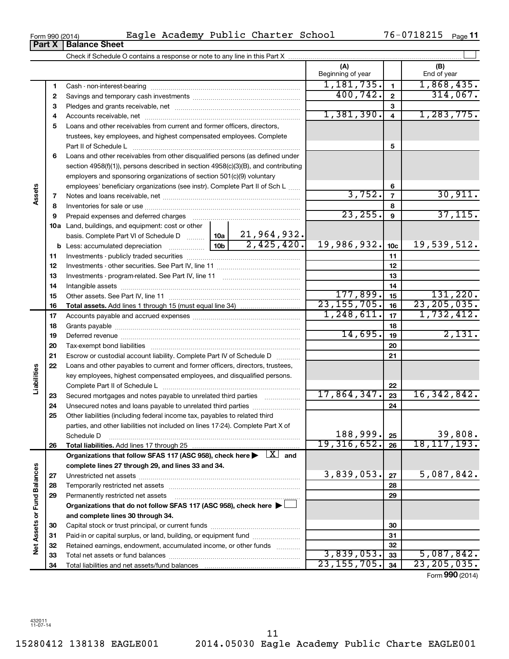**10 a** Land, buildings, and equipment: cost or other **11** Investments - publicly traded securities ~~~~~~~~~~~~~~~~~~~ **12** Investments - other securities. See Part IV, line 11 ~~~~~~~~~~~~~~ **10c 11 12 13 14 15 16 17 18 19 20 21 22 23 24 25 26 b** Less: accumulated depreciation  $\ldots$  [10b basis. Complete Part VI of Schedule D  $\frac{1}{10}$  10a **Total assets.**  Add lines 1 through 15 (must equal line 34) **Total liabilities.**  Add lines 17 through 25 Organizations that follow SFAS 117 (ASC 958), check here  $\blacktriangleright$   $\boxed{X}$  and **complete lines 27 through 29, and lines 33 and 34. 27 28 29 Organizations that do not follow SFAS 117 (ASC 958), check here** | † **and complete lines 30 through 34. 30 31 32** Prepaid expenses and deferred charges ~~~~~~~~~~~~~~~~~~ Investments - program-related. See Part IV, line 11 ~~~~~~~~~~~~~ Intangible assets ~~~~~~~~~~~~~~~~~~~~~~~~~~~~~~ Other assets. See Part IV, line 11 ~~~~~~~~~~~~~~~~~~~~~~ Accounts payable and accrued expenses ~~~~~~~~~~~~~~~~~~ Grants payable ~~~~~~~~~~~~~~~~~~~~~~~~~~~~~~~ Deferred revenue ~~~~~~~~~~~~~~~~~~~~~~~~~~~~~~ Tax-exempt bond liabilities ~~~~~~~~~~~~~~~~~~~~~~~~~ Escrow or custodial account liability. Complete Part IV of Schedule D ........... Loans and other payables to current and former officers, directors, trustees, key employees, highest compensated employees, and disqualified persons. Complete Part II of Schedule L ~~~~~~~~~~~~~~~~~~~~~~~ Secured mortgages and notes payable to unrelated third parties  $\ldots$  ................. Unsecured notes and loans payable to unrelated third parties ~~~~~~~~ Other liabilities (including federal income tax, payables to related third parties, and other liabilities not included on lines 17-24). Complete Part X of Schedule D ~~~~~~~~~~~~~~~~~~~~~~~~~~~~~~~~ Unrestricted net assets ~~~~~~~~~~~~~~~~~~~~~~~~~~~ Temporarily restricted net assets ~~~~~~~~~~~~~~~~~~~~~~ Permanently restricted net assets ~~~~~~~~~~~~~~~~~~~~~ Capital stock or trust principal, or current funds ~~~~~~~~~~~~~~~ Paid-in or capital surplus, or land, building, or equipment fund .......................  $23,255.$   $9$   $37,115.$ 21,964,932.  $2,425,420.$  19,986,932.  $10c$  19,539,512.  $177,899.$  15 131,220. 23,155,705**.** 16 23,205,035**.**  $1,248,611.$  1, 732, 412.  $14,695.$   $19$   $2,131.$  $17,864,347.$  23 16,342,842.  $188,999. |25|$  39,808. 19,316,652. 26 18,117,193.  $3,839,053$ .  $\boxed{27}$  5,087,842.

**Part X** | **Balance Sheet** 

**3** Pledges and grants receivable, net ~~~~~~~~~~~~~~~~~~~~~ **4** Accounts receivable, net ~~~~~~~~~~~~~~~~~~~~~~~~~~ **5** Loans and other receivables from current and former officers, directors,

Cash - non-interest-bearing ~~~~~~~~~~~~~~~~~~~~~~~~~ Savings and temporary cash investments ~~~~~~~~~~~~~~~~~~

Check if Schedule O contains a response or note to any line in this Part X

**6** Loans and other receivables from other disqualified persons (as defined under

employers and sponsoring organizations of section 501(c)(9) voluntary employees' beneficiary organizations (see instr). Complete Part II of Sch L ...... Notes and loans receivable, net ~~~~~~~~~~~~~~~~~~~~~~~ Inventories for sale or use ~~~~~~~~~~~~~~~~~~~~~~~~~~

section 4958(f)(1)), persons described in section 4958(c)(3)(B), and contributing

Retained earnings, endowment, accumulated income, or other funds ............ Total net assets or fund balances ~~~~~~~~~~~~~~~~~~~~~~

Total liabilities and net assets/fund balances

trustees, key employees, and highest compensated employees. Complete Part II of Schedule L ~~~~~~~~~~~~~~~~~~~~~~~~~~~~ **(A) (B)**

Beginning of year | | End of year

 $1,181,735.$   $1 \mid 1,868,435.$ 400,742. 314,067.

1,381,390. 4 1,283,775.

**5**

 $3,752.$   $7$   $30,911.$ 

**33 34**

 $3,839,053.$   $33$  5,087,842. 23,155,705. 23,205,035.

Form (2014) **990**

**1 2**

**7 8 9**

**Assets**

**23 24 25**

**Liabilities**

**26**

**27 28 29**

**Net Assets or Fund Balances**

**Vet Assets or Fund Balances**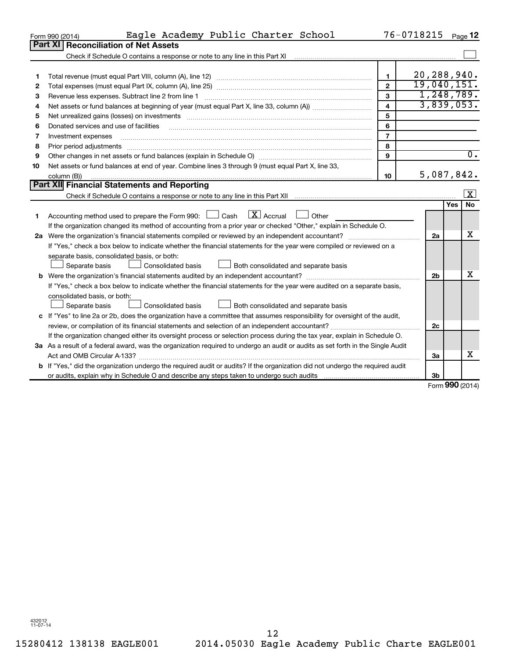| Form 990 (2014)                                    |                                                                                                    | Eagle Academy Public Charter School |  |                      |                                                                                                                                                                                                                                |                         | 76-0718215 Page 12 |                         |
|----------------------------------------------------|----------------------------------------------------------------------------------------------------|-------------------------------------|--|----------------------|--------------------------------------------------------------------------------------------------------------------------------------------------------------------------------------------------------------------------------|-------------------------|--------------------|-------------------------|
| Part XI   Reconciliation of Net Assets             |                                                                                                    |                                     |  |                      |                                                                                                                                                                                                                                |                         |                    |                         |
|                                                    | Check if Schedule O contains a response or note to any line in this Part XI                        |                                     |  |                      |                                                                                                                                                                                                                                |                         |                    |                         |
|                                                    |                                                                                                    |                                     |  |                      |                                                                                                                                                                                                                                |                         |                    |                         |
| 1                                                  |                                                                                                    |                                     |  |                      |                                                                                                                                                                                                                                | 1.                      | 20,288,940.        |                         |
| 2                                                  |                                                                                                    |                                     |  |                      |                                                                                                                                                                                                                                | $\overline{2}$          | 19,040,151.        |                         |
| З                                                  | Revenue less expenses. Subtract line 2 from line 1                                                 |                                     |  |                      |                                                                                                                                                                                                                                | $\mathbf{a}$            |                    | 1, 248, 789.            |
| 4                                                  |                                                                                                    |                                     |  |                      |                                                                                                                                                                                                                                | $\overline{\mathbf{4}}$ |                    | 3,839,053.              |
| 5                                                  |                                                                                                    |                                     |  |                      | Net unrealized gains (losses) on investments [11] matter than the control of the state of the state of the state of the state of the state of the state of the state of the state of the state of the state of the state of th | 5                       |                    |                         |
| 6                                                  | Donated services and use of facilities                                                             |                                     |  |                      |                                                                                                                                                                                                                                | 6                       |                    |                         |
| 7<br>Investment expenses                           |                                                                                                    |                                     |  |                      |                                                                                                                                                                                                                                | $\overline{7}$          |                    |                         |
| Prior period adjustments<br>8                      |                                                                                                    |                                     |  |                      |                                                                                                                                                                                                                                | 8                       |                    |                         |
| 9                                                  |                                                                                                    |                                     |  |                      |                                                                                                                                                                                                                                | 9                       |                    | $\overline{0}$ .        |
| 10                                                 | Net assets or fund balances at end of year. Combine lines 3 through 9 (must equal Part X, line 33, |                                     |  |                      |                                                                                                                                                                                                                                |                         |                    |                         |
| column (B))                                        |                                                                                                    |                                     |  |                      |                                                                                                                                                                                                                                | 10                      |                    | 5,087,842.              |
| <b>Part XII</b> Financial Statements and Reporting |                                                                                                    |                                     |  |                      |                                                                                                                                                                                                                                |                         |                    |                         |
|                                                    |                                                                                                    |                                     |  |                      |                                                                                                                                                                                                                                |                         |                    | $\overline{\mathbf{X}}$ |
|                                                    |                                                                                                    |                                     |  |                      |                                                                                                                                                                                                                                |                         |                    | <b>No</b><br>Yes        |
| 1                                                  | Accounting method used to prepare the Form 990: $\Box$ Cash                                        |                                     |  | $\mathbf{X}$ Accrual | $\Box$ Other                                                                                                                                                                                                                   |                         |                    |                         |
|                                                    |                                                                                                    |                                     |  |                      | If the organization changed its method of accounting from a prior year or checked "Other," explain in Schedule O.                                                                                                              |                         |                    |                         |
|                                                    |                                                                                                    |                                     |  |                      | 2a Were the organization's financial statements compiled or reviewed by an independent accountant?                                                                                                                             |                         | 2a                 | x                       |
|                                                    |                                                                                                    |                                     |  |                      | If "Yes," check a box below to indicate whether the financial statements for the year were compiled or reviewed on a                                                                                                           |                         |                    |                         |
|                                                    | separate basis, consolidated basis, or both:                                                       |                                     |  |                      |                                                                                                                                                                                                                                |                         |                    |                         |
|                                                    | Both consolidated and separate basis<br>Consolidated basis<br>Separate basis                       |                                     |  |                      |                                                                                                                                                                                                                                |                         |                    |                         |
|                                                    |                                                                                                    |                                     |  |                      |                                                                                                                                                                                                                                |                         | 2 <sub>b</sub>     | x                       |
|                                                    |                                                                                                    |                                     |  |                      | If "Yes," check a box below to indicate whether the financial statements for the year were audited on a separate basis,                                                                                                        |                         |                    |                         |
| consolidated basis, or both:                       |                                                                                                    |                                     |  |                      |                                                                                                                                                                                                                                |                         |                    |                         |
| Separate basis                                     |                                                                                                    | Consolidated basis                  |  |                      | Both consolidated and separate basis                                                                                                                                                                                           |                         |                    |                         |
|                                                    |                                                                                                    |                                     |  |                      | c If "Yes" to line 2a or 2b, does the organization have a committee that assumes responsibility for oversight of the audit,                                                                                                    |                         |                    |                         |
|                                                    |                                                                                                    |                                     |  |                      |                                                                                                                                                                                                                                |                         | 2c                 |                         |
|                                                    |                                                                                                    |                                     |  |                      | If the organization changed either its oversight process or selection process during the tax year, explain in Schedule O.                                                                                                      |                         |                    |                         |
|                                                    |                                                                                                    |                                     |  |                      | 3a As a result of a federal award, was the organization required to undergo an audit or audits as set forth in the Single Audit                                                                                                |                         |                    |                         |
|                                                    |                                                                                                    |                                     |  |                      |                                                                                                                                                                                                                                |                         | За                 | x                       |
|                                                    |                                                                                                    |                                     |  |                      | b If "Yes," did the organization undergo the required audit or audits? If the organization did not undergo the required audit                                                                                                  |                         |                    |                         |
|                                                    |                                                                                                    |                                     |  |                      |                                                                                                                                                                                                                                |                         | 3b                 | $000 \, \text{GeV}$     |

Form (2014) **990**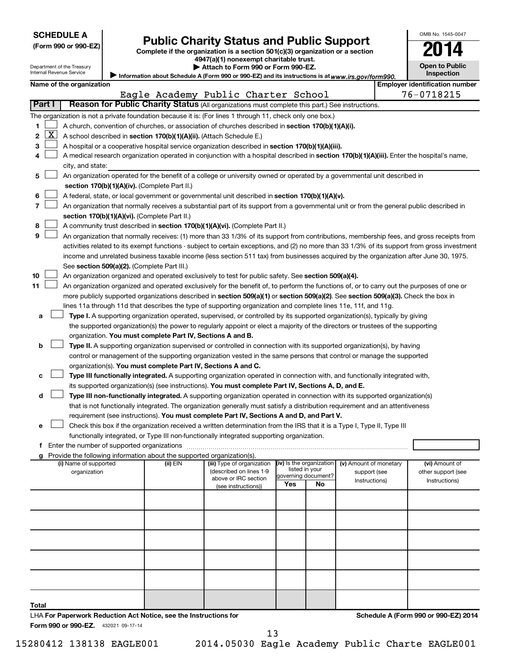Department of the Treasury Internal Revenue Service

| (Form 990 or 990-EZ) |  |  |  |
|----------------------|--|--|--|
|----------------------|--|--|--|

# Form 990 or 990-EZ) **Public Charity Status and Public Support**<br>
Complete if the organization is a section 501(c)(3) organization or a section<br> **2014**

**4947(a)(1) nonexempt charitable trust. | Attach to Form 990 or Form 990-EZ.** 

| <b>Open to Public</b><br>Inspection |  |
|-------------------------------------|--|

OMB No. 1545-0047

| Information about Schedule A (Form 990 or 990-EZ) and its instructions is at www.irs.gov/form990. | <b>Inspection</b> |
|---------------------------------------------------------------------------------------------------|-------------------|
|                                                                                                   |                   |

|               |                                                                   | internal Revenue Service |                                             |                                                                          | Information about Schedule A (Form 990 or 990-EZ) and its instructions is at www.irs.gov/form990.                                             |                                       |                          |                        |  | <b>Inspection</b>  |
|---------------|-------------------------------------------------------------------|--------------------------|---------------------------------------------|--------------------------------------------------------------------------|-----------------------------------------------------------------------------------------------------------------------------------------------|---------------------------------------|--------------------------|------------------------|--|--------------------|
|               | Name of the organization<br><b>Employer identification number</b> |                          |                                             |                                                                          |                                                                                                                                               |                                       |                          |                        |  |                    |
|               |                                                                   |                          |                                             |                                                                          | Eagle Academy Public Charter School                                                                                                           |                                       |                          |                        |  | 76-0718215         |
| <b>Part I</b> |                                                                   |                          |                                             |                                                                          | Reason for Public Charity Status (All organizations must complete this part.) See instructions.                                               |                                       |                          |                        |  |                    |
|               |                                                                   |                          |                                             |                                                                          | The organization is not a private foundation because it is: (For lines 1 through 11, check only one box.)                                     |                                       |                          |                        |  |                    |
| 1             |                                                                   |                          |                                             |                                                                          | A church, convention of churches, or association of churches described in section 170(b)(1)(A)(i).                                            |                                       |                          |                        |  |                    |
| 2             | $\mathbf{X}$                                                      |                          |                                             | A school described in section 170(b)(1)(A)(ii). (Attach Schedule E.)     |                                                                                                                                               |                                       |                          |                        |  |                    |
| з             |                                                                   |                          |                                             |                                                                          | A hospital or a cooperative hospital service organization described in section 170(b)(1)(A)(iii).                                             |                                       |                          |                        |  |                    |
| 4             |                                                                   |                          |                                             |                                                                          | A medical research organization operated in conjunction with a hospital described in section 170(b)(1)(A)(iii). Enter the hospital's name,    |                                       |                          |                        |  |                    |
|               |                                                                   | city, and state:         |                                             |                                                                          |                                                                                                                                               |                                       |                          |                        |  |                    |
| 5             |                                                                   |                          |                                             |                                                                          | An organization operated for the benefit of a college or university owned or operated by a governmental unit described in                     |                                       |                          |                        |  |                    |
|               |                                                                   |                          |                                             |                                                                          |                                                                                                                                               |                                       |                          |                        |  |                    |
|               |                                                                   |                          |                                             | section 170(b)(1)(A)(iv). (Complete Part II.)                            |                                                                                                                                               |                                       |                          |                        |  |                    |
| 6             |                                                                   |                          |                                             |                                                                          | A federal, state, or local government or governmental unit described in section 170(b)(1)(A)(v).                                              |                                       |                          |                        |  |                    |
| 7             |                                                                   |                          |                                             |                                                                          | An organization that normally receives a substantial part of its support from a governmental unit or from the general public described in     |                                       |                          |                        |  |                    |
|               |                                                                   |                          |                                             | section 170(b)(1)(A)(vi). (Complete Part II.)                            |                                                                                                                                               |                                       |                          |                        |  |                    |
| 8             |                                                                   |                          |                                             |                                                                          | A community trust described in section 170(b)(1)(A)(vi). (Complete Part II.)                                                                  |                                       |                          |                        |  |                    |
| 9             |                                                                   |                          |                                             |                                                                          | An organization that normally receives: (1) more than 33 1/3% of its support from contributions, membership fees, and gross receipts from     |                                       |                          |                        |  |                    |
|               |                                                                   |                          |                                             |                                                                          | activities related to its exempt functions - subject to certain exceptions, and (2) no more than 33 1/3% of its support from gross investment |                                       |                          |                        |  |                    |
|               |                                                                   |                          |                                             |                                                                          | income and unrelated business taxable income (less section 511 tax) from businesses acquired by the organization after June 30, 1975.         |                                       |                          |                        |  |                    |
|               |                                                                   |                          |                                             | See section 509(a)(2). (Complete Part III.)                              |                                                                                                                                               |                                       |                          |                        |  |                    |
| 10            |                                                                   |                          |                                             |                                                                          | An organization organized and operated exclusively to test for public safety. See section 509(a)(4).                                          |                                       |                          |                        |  |                    |
| 11            |                                                                   |                          |                                             |                                                                          | An organization organized and operated exclusively for the benefit of, to perform the functions of, or to carry out the purposes of one or    |                                       |                          |                        |  |                    |
|               |                                                                   |                          |                                             |                                                                          | more publicly supported organizations described in section 509(a)(1) or section 509(a)(2). See section 509(a)(3). Check the box in            |                                       |                          |                        |  |                    |
|               |                                                                   |                          |                                             |                                                                          | lines 11a through 11d that describes the type of supporting organization and complete lines 11e, 11f, and 11g.                                |                                       |                          |                        |  |                    |
| а             |                                                                   |                          |                                             |                                                                          | Type I. A supporting organization operated, supervised, or controlled by its supported organization(s), typically by giving                   |                                       |                          |                        |  |                    |
|               |                                                                   |                          |                                             |                                                                          | the supported organization(s) the power to regularly appoint or elect a majority of the directors or trustees of the supporting               |                                       |                          |                        |  |                    |
|               |                                                                   |                          |                                             | organization. You must complete Part IV, Sections A and B.               |                                                                                                                                               |                                       |                          |                        |  |                    |
| b             |                                                                   |                          |                                             |                                                                          | Type II. A supporting organization supervised or controlled in connection with its supported organization(s), by having                       |                                       |                          |                        |  |                    |
|               |                                                                   |                          |                                             |                                                                          | control or management of the supporting organization vested in the same persons that control or manage the supported                          |                                       |                          |                        |  |                    |
|               |                                                                   |                          |                                             | organization(s). You must complete Part IV, Sections A and C.            |                                                                                                                                               |                                       |                          |                        |  |                    |
| c             |                                                                   |                          |                                             |                                                                          | Type III functionally integrated. A supporting organization operated in connection with, and functionally integrated with,                    |                                       |                          |                        |  |                    |
|               |                                                                   |                          |                                             |                                                                          | its supported organization(s) (see instructions). You must complete Part IV, Sections A, D, and E.                                            |                                       |                          |                        |  |                    |
| d             |                                                                   |                          |                                             |                                                                          | Type III non-functionally integrated. A supporting organization operated in connection with its supported organization(s)                     |                                       |                          |                        |  |                    |
|               |                                                                   |                          |                                             |                                                                          | that is not functionally integrated. The organization generally must satisfy a distribution requirement and an attentiveness                  |                                       |                          |                        |  |                    |
|               |                                                                   |                          |                                             |                                                                          | requirement (see instructions). You must complete Part IV, Sections A and D, and Part V.                                                      |                                       |                          |                        |  |                    |
| e             |                                                                   |                          |                                             |                                                                          | Check this box if the organization received a written determination from the IRS that it is a Type I, Type II, Type III                       |                                       |                          |                        |  |                    |
|               |                                                                   |                          |                                             |                                                                          | functionally integrated, or Type III non-functionally integrated supporting organization.                                                     |                                       |                          |                        |  |                    |
|               |                                                                   |                          | Enter the number of supported organizations |                                                                          |                                                                                                                                               |                                       |                          |                        |  |                    |
|               |                                                                   |                          |                                             | g Provide the following information about the supported organization(s). |                                                                                                                                               |                                       |                          |                        |  |                    |
|               |                                                                   | (i) Name of supported    |                                             | (ii) EIN                                                                 | (iii) Type of organization                                                                                                                    |                                       | (iv) Is the organization | (v) Amount of monetary |  | (vi) Amount of     |
|               |                                                                   | organization             |                                             |                                                                          | (described on lines 1-9                                                                                                                       | listed in your<br>governing document? |                          | support (see           |  | other support (see |
|               |                                                                   |                          |                                             |                                                                          | above or IRC section<br>(see instructions))                                                                                                   | Yes                                   | No                       | Instructions)          |  | Instructions)      |
|               |                                                                   |                          |                                             |                                                                          |                                                                                                                                               |                                       |                          |                        |  |                    |
|               |                                                                   |                          |                                             |                                                                          |                                                                                                                                               |                                       |                          |                        |  |                    |
|               |                                                                   |                          |                                             |                                                                          |                                                                                                                                               |                                       |                          |                        |  |                    |
|               |                                                                   |                          |                                             |                                                                          |                                                                                                                                               |                                       |                          |                        |  |                    |
|               |                                                                   |                          |                                             |                                                                          |                                                                                                                                               |                                       |                          |                        |  |                    |

Form 990 or 990-EZ. 432021 09-17-14 LHA **For Paperwork Reduction Act Notice, see the Instructions for**  **Schedule A (Form 990 or 990-EZ) 2014**

**Total**

15280412 138138 EAGLE001 2014.05030 Eagle Academy Public Charte EAGLE001 13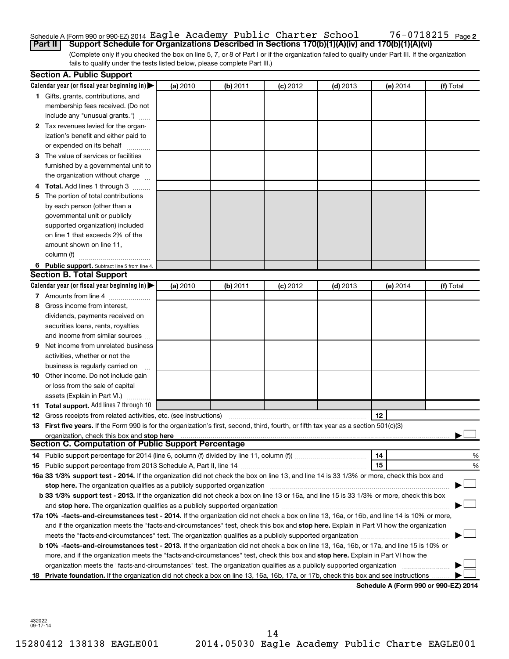#### 76-0718215 Page 2 Schedule A (Form 990 or 990-EZ) 2014  ${\tt Eagle\ Academy\ Public\ Charter\ School\ }\ 76-0718215$   $_{\tt Page}$

(Complete only if you checked the box on line 5, 7, or 8 of Part I or if the organization failed to qualify under Part III. If the organization fails to qualify under the tests listed below, please complete Part III.) **Part II Support Schedule for Organizations Described in Sections 170(b)(1)(A)(iv) and 170(b)(1)(A)(vi)**

|   | <b>Section A. Public Support</b>                                                                                                                                                                                               |          |          |            |            |          |           |
|---|--------------------------------------------------------------------------------------------------------------------------------------------------------------------------------------------------------------------------------|----------|----------|------------|------------|----------|-----------|
|   | Calendar year (or fiscal year beginning in)                                                                                                                                                                                    | (a) 2010 | (b) 2011 | $(c)$ 2012 | $(d)$ 2013 | (e) 2014 | (f) Total |
|   | 1 Gifts, grants, contributions, and                                                                                                                                                                                            |          |          |            |            |          |           |
|   | membership fees received. (Do not                                                                                                                                                                                              |          |          |            |            |          |           |
|   | include any "unusual grants.")                                                                                                                                                                                                 |          |          |            |            |          |           |
|   | 2 Tax revenues levied for the organ-                                                                                                                                                                                           |          |          |            |            |          |           |
|   | ization's benefit and either paid to                                                                                                                                                                                           |          |          |            |            |          |           |
|   | or expended on its behalf                                                                                                                                                                                                      |          |          |            |            |          |           |
|   | 3 The value of services or facilities                                                                                                                                                                                          |          |          |            |            |          |           |
|   | furnished by a governmental unit to                                                                                                                                                                                            |          |          |            |            |          |           |
|   | the organization without charge                                                                                                                                                                                                |          |          |            |            |          |           |
|   | 4 Total. Add lines 1 through 3                                                                                                                                                                                                 |          |          |            |            |          |           |
|   | 5 The portion of total contributions                                                                                                                                                                                           |          |          |            |            |          |           |
|   | by each person (other than a                                                                                                                                                                                                   |          |          |            |            |          |           |
|   | governmental unit or publicly                                                                                                                                                                                                  |          |          |            |            |          |           |
|   | supported organization) included                                                                                                                                                                                               |          |          |            |            |          |           |
|   | on line 1 that exceeds 2% of the                                                                                                                                                                                               |          |          |            |            |          |           |
|   | amount shown on line 11,                                                                                                                                                                                                       |          |          |            |            |          |           |
|   | column (f)                                                                                                                                                                                                                     |          |          |            |            |          |           |
|   | 6 Public support. Subtract line 5 from line 4.                                                                                                                                                                                 |          |          |            |            |          |           |
|   | <b>Section B. Total Support</b>                                                                                                                                                                                                |          |          |            |            |          |           |
|   | Calendar year (or fiscal year beginning in)                                                                                                                                                                                    | (a) 2010 | (b) 2011 | $(c)$ 2012 | $(d)$ 2013 | (e) 2014 | (f) Total |
|   | 7 Amounts from line 4                                                                                                                                                                                                          |          |          |            |            |          |           |
| 8 | Gross income from interest,                                                                                                                                                                                                    |          |          |            |            |          |           |
|   | dividends, payments received on                                                                                                                                                                                                |          |          |            |            |          |           |
|   | securities loans, rents, royalties                                                                                                                                                                                             |          |          |            |            |          |           |
|   | and income from similar sources                                                                                                                                                                                                |          |          |            |            |          |           |
| 9 | Net income from unrelated business                                                                                                                                                                                             |          |          |            |            |          |           |
|   | activities, whether or not the                                                                                                                                                                                                 |          |          |            |            |          |           |
|   | business is regularly carried on                                                                                                                                                                                               |          |          |            |            |          |           |
|   | 10 Other income. Do not include gain                                                                                                                                                                                           |          |          |            |            |          |           |
|   | or loss from the sale of capital                                                                                                                                                                                               |          |          |            |            |          |           |
|   | assets (Explain in Part VI.)                                                                                                                                                                                                   |          |          |            |            |          |           |
|   | 11 Total support. Add lines 7 through 10                                                                                                                                                                                       |          |          |            |            |          |           |
|   | <b>12</b> Gross receipts from related activities, etc. (see instructions)                                                                                                                                                      |          |          |            |            | 12       |           |
|   | 13 First five years. If the Form 990 is for the organization's first, second, third, fourth, or fifth tax year as a section 501(c)(3)                                                                                          |          |          |            |            |          |           |
|   | organization, check this box and stop here                                                                                                                                                                                     |          |          |            |            |          |           |
|   | <b>Section C. Computation of Public Support Percentage</b>                                                                                                                                                                     |          |          |            |            |          |           |
|   |                                                                                                                                                                                                                                |          |          |            |            | 14       | %         |
|   |                                                                                                                                                                                                                                |          |          |            |            | 15       | %         |
|   | 16a 33 1/3% support test - 2014. If the organization did not check the box on line 13, and line 14 is 33 1/3% or more, check this box and                                                                                      |          |          |            |            |          |           |
|   | stop here. The organization qualifies as a publicly supported organization manufactured content and the support of the state of the state of the state of the state of the state of the state of the state of the state of the |          |          |            |            |          |           |
|   | b 33 1/3% support test - 2013. If the organization did not check a box on line 13 or 16a, and line 15 is 33 1/3% or more, check this box                                                                                       |          |          |            |            |          |           |
|   | and stop here. The organization qualifies as a publicly supported organization [11] manuscription manuscription manuscription manuscription and stop here. The organization qualifies as a publicly supported organization     |          |          |            |            |          |           |
|   | 17a 10% -facts-and-circumstances test - 2014. If the organization did not check a box on line 13, 16a, or 16b, and line 14 is 10% or more,                                                                                     |          |          |            |            |          |           |
|   | and if the organization meets the "facts-and-circumstances" test, check this box and stop here. Explain in Part VI how the organization                                                                                        |          |          |            |            |          |           |
|   | meets the "facts-and-circumstances" test. The organization qualifies as a publicly supported organization <i>manumumumum</i>                                                                                                   |          |          |            |            |          |           |
|   | b 10% -facts-and-circumstances test - 2013. If the organization did not check a box on line 13, 16a, 16b, or 17a, and line 15 is 10% or                                                                                        |          |          |            |            |          |           |
|   | more, and if the organization meets the "facts-and-circumstances" test, check this box and stop here. Explain in Part VI how the                                                                                               |          |          |            |            |          |           |
|   | organization meets the "facts-and-circumstances" test. The organization qualifies as a publicly supported organization                                                                                                         |          |          |            |            |          |           |
|   | 18 Private foundation. If the organization did not check a box on line 13, 16a, 16b, 17a, or 17b, check this box and see instructions.                                                                                         |          |          |            |            |          |           |

**Schedule A (Form 990 or 990-EZ) 2014**

432022 09-17-14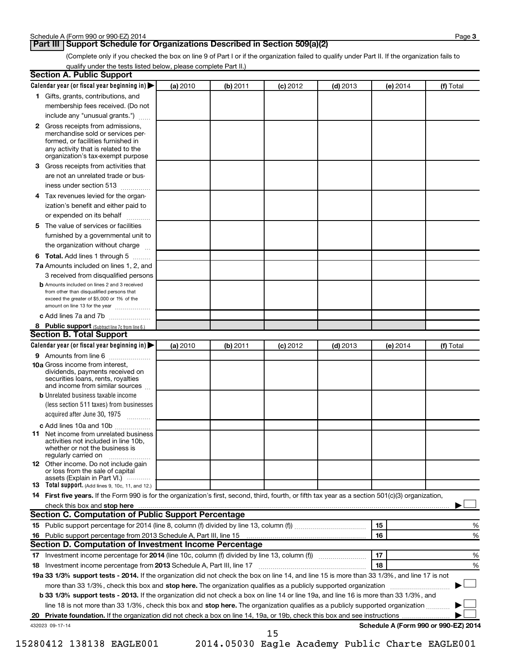# **Part III Support Schedule for Organizations Described in Section 509(a)(2)**

(Complete only if you checked the box on line 9 of Part I or if the organization failed to qualify under Part II. If the organization fails to qualify under the tests listed below, please complete Part II.)

| <b>Section A. Public Support</b>                                                                                                                                                                                         |          |          |            |            |          |                                      |
|--------------------------------------------------------------------------------------------------------------------------------------------------------------------------------------------------------------------------|----------|----------|------------|------------|----------|--------------------------------------|
| Calendar year (or fiscal year beginning in)                                                                                                                                                                              | (a) 2010 | (b) 2011 | $(c)$ 2012 | $(d)$ 2013 | (e) 2014 | (f) Total                            |
| 1 Gifts, grants, contributions, and                                                                                                                                                                                      |          |          |            |            |          |                                      |
| membership fees received. (Do not                                                                                                                                                                                        |          |          |            |            |          |                                      |
| include any "unusual grants.")                                                                                                                                                                                           |          |          |            |            |          |                                      |
| 2 Gross receipts from admissions,<br>merchandise sold or services per-<br>formed, or facilities furnished in<br>any activity that is related to the                                                                      |          |          |            |            |          |                                      |
| organization's tax-exempt purpose<br>3 Gross receipts from activities that                                                                                                                                               |          |          |            |            |          |                                      |
| are not an unrelated trade or bus-                                                                                                                                                                                       |          |          |            |            |          |                                      |
| iness under section 513                                                                                                                                                                                                  |          |          |            |            |          |                                      |
|                                                                                                                                                                                                                          |          |          |            |            |          |                                      |
| 4 Tax revenues levied for the organ-                                                                                                                                                                                     |          |          |            |            |          |                                      |
| ization's benefit and either paid to                                                                                                                                                                                     |          |          |            |            |          |                                      |
| or expended on its behalf<br>.                                                                                                                                                                                           |          |          |            |            |          |                                      |
| 5 The value of services or facilities                                                                                                                                                                                    |          |          |            |            |          |                                      |
| furnished by a governmental unit to                                                                                                                                                                                      |          |          |            |            |          |                                      |
| the organization without charge                                                                                                                                                                                          |          |          |            |            |          |                                      |
| 6 Total. Add lines 1 through 5                                                                                                                                                                                           |          |          |            |            |          |                                      |
| 7a Amounts included on lines 1, 2, and                                                                                                                                                                                   |          |          |            |            |          |                                      |
| 3 received from disqualified persons<br><b>b</b> Amounts included on lines 2 and 3 received<br>from other than disqualified persons that<br>exceed the greater of \$5,000 or 1% of the<br>amount on line 13 for the year |          |          |            |            |          |                                      |
| c Add lines 7a and 7b                                                                                                                                                                                                    |          |          |            |            |          |                                      |
| 8 Public support (Subtract line 7c from line 6.)                                                                                                                                                                         |          |          |            |            |          |                                      |
| <b>Section B. Total Support</b>                                                                                                                                                                                          |          |          |            |            |          |                                      |
| Calendar year (or fiscal year beginning in)                                                                                                                                                                              | (a) 2010 | (b) 2011 | $(c)$ 2012 | $(d)$ 2013 | (e) 2014 | (f) Total                            |
| 9 Amounts from line 6                                                                                                                                                                                                    |          |          |            |            |          |                                      |
| <b>10a</b> Gross income from interest,<br>dividends, payments received on<br>securities loans, rents, royalties<br>and income from similar sources                                                                       |          |          |            |            |          |                                      |
| <b>b</b> Unrelated business taxable income                                                                                                                                                                               |          |          |            |            |          |                                      |
| (less section 511 taxes) from businesses                                                                                                                                                                                 |          |          |            |            |          |                                      |
| acquired after June 30, 1975<br>$\overline{\phantom{a}}$                                                                                                                                                                 |          |          |            |            |          |                                      |
| c Add lines 10a and 10b                                                                                                                                                                                                  |          |          |            |            |          |                                      |
| <b>11</b> Net income from unrelated business<br>activities not included in line 10b.<br>whether or not the business is<br>regularly carried on                                                                           |          |          |            |            |          |                                      |
| 12 Other income. Do not include gain<br>or loss from the sale of capital<br>assets (Explain in Part VI.)                                                                                                                 |          |          |            |            |          |                                      |
| <b>13</b> Total support. (Add lines 9, 10c, 11, and 12.)                                                                                                                                                                 |          |          |            |            |          |                                      |
| 14 First five years. If the Form 990 is for the organization's first, second, third, fourth, or fifth tax year as a section 501(c)(3) organization,                                                                      |          |          |            |            |          |                                      |
| check this box and stop here                                                                                                                                                                                             |          |          |            |            |          |                                      |
| <b>Section C. Computation of Public Support Percentage</b>                                                                                                                                                               |          |          |            |            |          |                                      |
|                                                                                                                                                                                                                          |          |          |            |            | 15       | %                                    |
|                                                                                                                                                                                                                          |          |          |            |            | 16       | %                                    |
| Section D. Computation of Investment Income Percentage                                                                                                                                                                   |          |          |            |            |          |                                      |
|                                                                                                                                                                                                                          |          |          |            |            | 17       | %                                    |
| 18 Investment income percentage from 2013 Schedule A, Part III, line 17                                                                                                                                                  |          |          |            |            | 18       | %                                    |
| 19a 33 1/3% support tests - 2014. If the organization did not check the box on line 14, and line 15 is more than 33 1/3%, and line 17 is not                                                                             |          |          |            |            |          |                                      |
| more than 33 1/3%, check this box and stop here. The organization qualifies as a publicly supported organization                                                                                                         |          |          |            |            |          |                                      |
| b 33 1/3% support tests - 2013. If the organization did not check a box on line 14 or line 19a, and line 16 is more than 33 1/3%, and                                                                                    |          |          |            |            |          |                                      |
| line 18 is not more than 33 1/3%, check this box and stop here. The organization qualifies as a publicly supported organization <i></i>                                                                                  |          |          |            |            |          |                                      |
|                                                                                                                                                                                                                          |          |          |            |            |          |                                      |
| 432023 09-17-14                                                                                                                                                                                                          |          |          | 15         |            |          | Schedule A (Form 990 or 990-EZ) 2014 |
|                                                                                                                                                                                                                          |          |          |            |            |          |                                      |

15280412 138138 EAGLE001 2014.05030 Eagle Academy Public Charte EAGLE001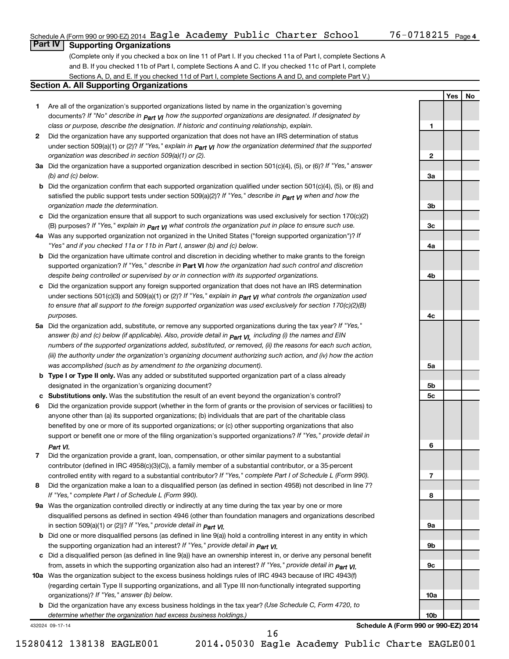**1**

**2**

**3a**

**3b**

**3c**

**4a**

**4b**

**4c**

**5a**

**5b 5c**

**6**

**7**

**8**

**9a**

**9b**

**9c**

**10a**

**10b**

**Yes No**

# **Part IV Supporting Organizations**

(Complete only if you checked a box on line 11 of Part I. If you checked 11a of Part I, complete Sections A and B. If you checked 11b of Part I, complete Sections A and C. If you checked 11c of Part I, complete Sections A, D, and E. If you checked 11d of Part I, complete Sections A and D, and complete Part V.)

## **Section A. All Supporting Organizations**

- **1** Are all of the organization's supported organizations listed by name in the organization's governing documents? If "No" describe in  $_{\mathsf{Part}}$   $_{\mathsf{V}}$  how the supported organizations are designated. If designated by *class or purpose, describe the designation. If historic and continuing relationship, explain.*
- **2** Did the organization have any supported organization that does not have an IRS determination of status under section 509(a)(1) or (2)? If "Yes," explain in  $_{\sf Part}$   $_{\sf VI}$  how the organization determined that the supported *organization was described in section 509(a)(1) or (2).*
- **3a** Did the organization have a supported organization described in section 501(c)(4), (5), or (6)? If "Yes," answer *(b) and (c) below.*
- **b** Did the organization confirm that each supported organization qualified under section 501(c)(4), (5), or (6) and satisfied the public support tests under section 509(a)(2)? If "Yes," describe in  $_{\rm Part}$   $_{\rm VI}$  when and how the *organization made the determination.*
- **c** Did the organization ensure that all support to such organizations was used exclusively for section 170(c)(2) (B) purposes? If "Yes," explain in  $_{\mathsf{Part}}$   $_{\mathsf{V}}$  what controls the organization put in place to ensure such use.
- **4 a** *If* Was any supported organization not organized in the United States ("foreign supported organization")? *"Yes" and if you checked 11a or 11b in Part I, answer (b) and (c) below.*
- **b** Did the organization have ultimate control and discretion in deciding whether to make grants to the foreign supported organization? If "Yes," describe in Part VI how the organization had such control and discretion *despite being controlled or supervised by or in connection with its supported organizations.*
- **c** Did the organization support any foreign supported organization that does not have an IRS determination under sections 501(c)(3) and 509(a)(1) or (2)? If "Yes," ex*plain in*  $_{\sf Part}$  *v*J what controls the organization used *to ensure that all support to the foreign supported organization was used exclusively for section 170(c)(2)(B) purposes.*
- **5a** Did the organization add, substitute, or remove any supported organizations during the tax year? If "Yes," answer (b) and (c) below (if applicable). Also, provide detail in  $_{\mathsf{Part}}$   $_{\mathsf{V{\mathsf{I}}}}$ , including (i) the names and EIN *numbers of the supported organizations added, substituted, or removed, (ii) the reasons for each such action, (iii) the authority under the organization's organizing document authorizing such action, and (iv) how the action was accomplished (such as by amendment to the organizing document).*
- **b Type I or Type II only.** Was any added or substituted supported organization part of a class already designated in the organization's organizing document?
- **c Substitutions only.**  Was the substitution the result of an event beyond the organization's control?
- **6** Did the organization provide support (whether in the form of grants or the provision of services or facilities) to support or benefit one or more of the filing organization's supported organizations? If "Yes," provide detail in anyone other than (a) its supported organizations; (b) individuals that are part of the charitable class benefited by one or more of its supported organizations; or (c) other supporting organizations that also *Part VI.*
- **7** Did the organization provide a grant, loan, compensation, or other similar payment to a substantial controlled entity with regard to a substantial contributor? If "Yes," complete Part I of Schedule L (Form 990). contributor (defined in IRC 4958(c)(3)(C)), a family member of a substantial contributor, or a 35-percent
- **8** Did the organization make a loan to a disqualified person (as defined in section 4958) not described in line 7? *If "Yes," complete Part I of Schedule L (Form 990).*
- **9 a** Was the organization controlled directly or indirectly at any time during the tax year by one or more *If "Yes," provide detail in*  in section 509(a)(1) or (2))? *Part VI.* disqualified persons as defined in section 4946 (other than foundation managers and organizations described
- **b** Did one or more disqualified persons (as defined in line 9(a)) hold a controlling interest in any entity in which  *If "Yes," provide detail in*  the supporting organization had an interest? *Part VI.*
- **c** Did a disqualified person (as defined in line 9(a)) have an ownership interest in, or derive any personal benefit from, assets in which the supporting organization also had an interest? If "Yes," *provide detail in Part VI.*
- **10 a** Was the organization subject to the excess business holdings rules of IRC 4943 because of IRC 4943(f)  *If "Yes," answer (b) below.* organizations)? (regarding certain Type II supporting organizations, and all Type III non-functionally integrated supporting
	- **b** Did the organization have any excess business holdings in the tax year? (Use Schedule C, Form 4720, to *determine whether the organization had excess business holdings.)*

432024 09-17-14

**Schedule A (Form 990 or 990-EZ) 2014**

16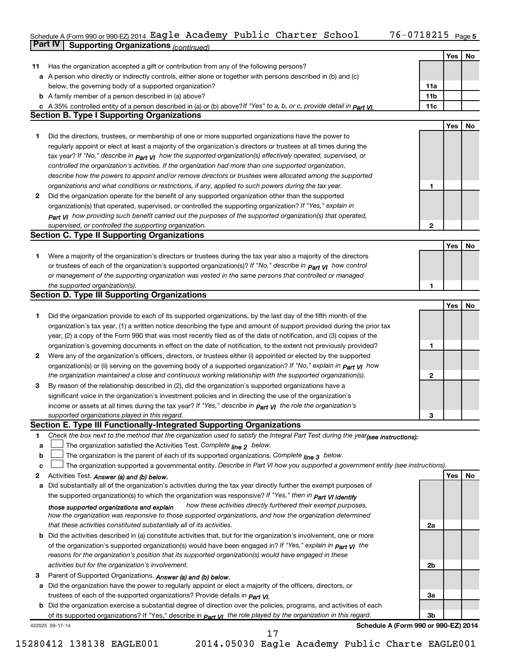#### Schedule A (Form 990 or 990-EZ) 2014 Eagle Academy Public Charter School  $\,$  /6-0718215  $\,$  Page **Part IV Supporting Organizations** *(continued)* Eagle Academy Public Charter School 76-0718215

|    |                                                                                                                                                                                |                | Yes        | No |
|----|--------------------------------------------------------------------------------------------------------------------------------------------------------------------------------|----------------|------------|----|
| 11 | Has the organization accepted a gift or contribution from any of the following persons?                                                                                        |                |            |    |
|    | a A person who directly or indirectly controls, either alone or together with persons described in (b) and (c)                                                                 |                |            |    |
|    | below, the governing body of a supported organization?                                                                                                                         | <b>11a</b>     |            |    |
|    |                                                                                                                                                                                |                |            |    |
|    | <b>b</b> A family member of a person described in (a) above?                                                                                                                   | 11b            |            |    |
|    | c A 35% controlled entity of a person described in (a) or (b) above? If "Yes" to a, b, or c, provide detail in $Part$ VI.<br><b>Section B. Type I Supporting Organizations</b> | 11c            |            |    |
|    |                                                                                                                                                                                |                | <b>Yes</b> | No |
|    |                                                                                                                                                                                |                |            |    |
| 1  | Did the directors, trustees, or membership of one or more supported organizations have the power to                                                                            |                |            |    |
|    | regularly appoint or elect at least a majority of the organization's directors or trustees at all times during the                                                             |                |            |    |
|    | tax year? If "No," describe in $p_{art}$ VI how the supported organization(s) effectively operated, supervised, or                                                             |                |            |    |
|    | controlled the organization's activities. If the organization had more than one supported organization,                                                                        |                |            |    |
|    | describe how the powers to appoint and/or remove directors or trustees were allocated among the supported                                                                      |                |            |    |
|    | organizations and what conditions or restrictions, if any, applied to such powers during the tax year.                                                                         | 1              |            |    |
| 2  | Did the organization operate for the benefit of any supported organization other than the supported                                                                            |                |            |    |
|    | organization(s) that operated, supervised, or controlled the supporting organization? If "Yes," explain in                                                                     |                |            |    |
|    | Part VI how providing such benefit carried out the purposes of the supported organization(s) that operated,                                                                    |                |            |    |
|    | supervised, or controlled the supporting organization.                                                                                                                         | 2              |            |    |
|    | <b>Section C. Type II Supporting Organizations</b>                                                                                                                             |                |            |    |
|    |                                                                                                                                                                                |                | <b>Yes</b> | No |
| 1. | Were a majority of the organization's directors or trustees during the tax year also a majority of the directors                                                               |                |            |    |
|    | or trustees of each of the organization's supported organization(s)? If "No," describe in part VI how control                                                                  |                |            |    |
|    | or management of the supporting organization was vested in the same persons that controlled or managed                                                                         |                |            |    |
|    | the supported organization(s).                                                                                                                                                 | 1              |            |    |
|    | <b>Section D. Type III Supporting Organizations</b>                                                                                                                            |                |            |    |
|    |                                                                                                                                                                                |                | Yes        | No |
| 1  | Did the organization provide to each of its supported organizations, by the last day of the fifth month of the                                                                 |                |            |    |
|    | organization's tax year, (1) a written notice describing the type and amount of support provided during the prior tax                                                          |                |            |    |
|    | year, (2) a copy of the Form 990 that was most recently filed as of the date of notification, and (3) copies of the                                                            |                |            |    |
|    | organization's governing documents in effect on the date of notification, to the extent not previously provided?                                                               | 1              |            |    |
| 2  | Were any of the organization's officers, directors, or trustees either (i) appointed or elected by the supported                                                               |                |            |    |
|    | organization(s) or (ii) serving on the governing body of a supported organization? If "No," explain in <b>Part VI</b> how                                                      |                |            |    |
|    | the organization maintained a close and continuous working relationship with the supported organization(s).                                                                    | 2              |            |    |
| 3  | By reason of the relationship described in (2), did the organization's supported organizations have a                                                                          |                |            |    |
|    | significant voice in the organization's investment policies and in directing the use of the organization's                                                                     |                |            |    |
|    | income or assets at all times during the tax year? If "Yes," describe in $P_{\text{art } VI}$ the role the organization's                                                      |                |            |    |
|    | supported organizations played in this regard.                                                                                                                                 | 3              |            |    |
|    | Section E. Type III Functionally-Integrated Supporting Organizations                                                                                                           |                |            |    |
| 1  | Check the box next to the method that the organization used to satisfy the Integral Part Test during the year(see instructions):                                               |                |            |    |
| а  | The organization satisfied the Activities Test. Complete line 2 below.                                                                                                         |                |            |    |
| b  | The organization is the parent of each of its supported organizations. Complete line 3 below.                                                                                  |                |            |    |
| с  | The organization supported a governmental entity. Describe in Part VI how you supported a government entity (see instructions).                                                |                |            |    |
| 2  | Activities Test. Answer (a) and (b) below.                                                                                                                                     |                | Yes        | No |
| a  | Did substantially all of the organization's activities during the tax year directly further the exempt purposes of                                                             |                |            |    |
|    | the supported organization(s) to which the organization was responsive? If "Yes," then in Part VI identify                                                                     |                |            |    |
|    | how these activities directly furthered their exempt purposes,<br>those supported organizations and explain                                                                    |                |            |    |
|    | how the organization was responsive to those supported organizations, and how the organization determined                                                                      |                |            |    |
|    | that these activities constituted substantially all of its activities.                                                                                                         | 2a             |            |    |
|    | b Did the activities described in (a) constitute activities that, but for the organization's involvement, one or more                                                          |                |            |    |
|    | of the organization's supported organization(s) would have been engaged in? If "Yes," explain in part VI the                                                                   |                |            |    |
|    | reasons for the organization's position that its supported organization(s) would have engaged in these                                                                         |                |            |    |
|    | activities but for the organization's involvement.                                                                                                                             | 2b             |            |    |
| з  | Parent of Supported Organizations. Answer (a) and (b) below.                                                                                                                   |                |            |    |
|    | a Did the organization have the power to regularly appoint or elect a majority of the officers, directors, or                                                                  |                |            |    |
|    | trustees of each of the supported organizations? Provide details in <i>Part VI</i> .                                                                                           | 3a             |            |    |
|    | b Did the organization exercise a substantial degree of direction over the policies, programs, and activities of each                                                          |                |            |    |
|    | of its supported organizations? If "Yes," describe in $Part$ $V1$ the role played by the organization in this regard.                                                          | 3 <sub>b</sub> |            |    |
|    | Schedule A (Form 990 or 990-EZ) 2014<br>432025 09-17-14                                                                                                                        |                |            |    |
|    | 17                                                                                                                                                                             |                |            |    |

15280412 138138 EAGLE001 2014.05030 Eagle Academy Public Charte EAGLE001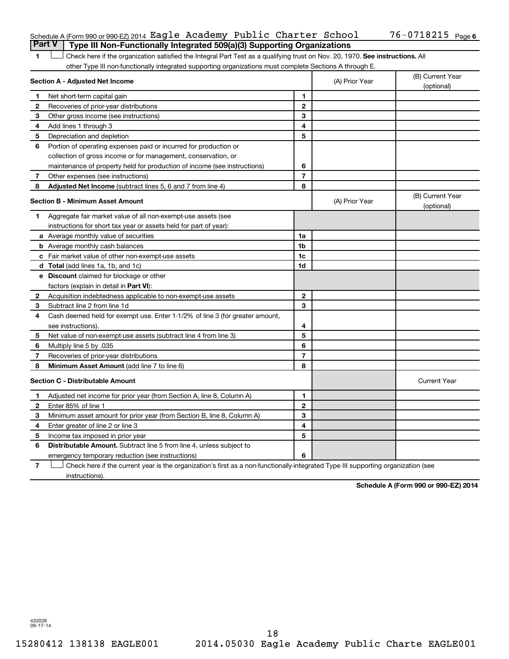## Schedule A (Form 990 or 990-EZ) 2014  ${\tt Eagle\ Academy\ Public\ Charter\ School\ }\ 76-0718215$   $_{\tt Page}$ **Part V Type III Non-Functionally Integrated 509(a)(3) Supporting Organizations**

1 **Letter on Reck here if the organization satisfied the Integral Part Test as a qualifying trust on Nov. 20, 1970. See instructions. All** other Type III non-functionally integrated supporting organizations must complete Sections A through E.

|              | Section A - Adjusted Net Income                                                                                                   | (A) Prior Year           | (B) Current Year<br>(optional) |                                |
|--------------|-----------------------------------------------------------------------------------------------------------------------------------|--------------------------|--------------------------------|--------------------------------|
| 1            | Net short-term capital gain                                                                                                       | 1                        |                                |                                |
| 2            | Recoveries of prior-year distributions                                                                                            | $\overline{2}$           |                                |                                |
| 3            | Other gross income (see instructions)                                                                                             | 3                        |                                |                                |
| 4            | Add lines 1 through 3                                                                                                             | 4                        |                                |                                |
| 5            | Depreciation and depletion                                                                                                        | 5                        |                                |                                |
| 6            | Portion of operating expenses paid or incurred for production or                                                                  |                          |                                |                                |
|              | collection of gross income or for management, conservation, or                                                                    |                          |                                |                                |
|              | maintenance of property held for production of income (see instructions)                                                          | 6                        |                                |                                |
| 7            | Other expenses (see instructions)                                                                                                 | $\overline{7}$           |                                |                                |
| 8            | Adjusted Net Income (subtract lines 5, 6 and 7 from line 4)                                                                       | 8                        |                                |                                |
|              | <b>Section B - Minimum Asset Amount</b>                                                                                           |                          | (A) Prior Year                 | (B) Current Year<br>(optional) |
| 1            | Aggregate fair market value of all non-exempt-use assets (see                                                                     |                          |                                |                                |
|              | instructions for short tax year or assets held for part of year):                                                                 |                          |                                |                                |
|              | <b>a</b> Average monthly value of securities                                                                                      | 1a                       |                                |                                |
|              | <b>b</b> Average monthly cash balances                                                                                            | 1b                       |                                |                                |
|              | <b>c</b> Fair market value of other non-exempt-use assets                                                                         | 1c                       |                                |                                |
|              | d Total (add lines 1a, 1b, and 1c)                                                                                                | 1d                       |                                |                                |
|              | e Discount claimed for blockage or other                                                                                          |                          |                                |                                |
|              | factors (explain in detail in <b>Part VI</b> ):                                                                                   |                          |                                |                                |
| 2            | Acquisition indebtedness applicable to non-exempt-use assets                                                                      | $\mathbf{2}$             |                                |                                |
| 3            | Subtract line 2 from line 1d                                                                                                      | 3                        |                                |                                |
| 4            | Cash deemed held for exempt use. Enter 1-1/2% of line 3 (for greater amount,                                                      |                          |                                |                                |
|              | see instructions).                                                                                                                | 4                        |                                |                                |
| 5            | Net value of non-exempt-use assets (subtract line 4 from line 3)                                                                  | 5                        |                                |                                |
| 6            | Multiply line 5 by .035                                                                                                           | 6                        |                                |                                |
| 7            | Recoveries of prior-year distributions                                                                                            | $\overline{\phantom{a}}$ |                                |                                |
| 8            | Minimum Asset Amount (add line 7 to line 6)                                                                                       | 8                        |                                |                                |
|              | <b>Section C - Distributable Amount</b>                                                                                           |                          |                                | <b>Current Year</b>            |
| 1            | Adjusted net income for prior year (from Section A, line 8, Column A)                                                             | 1                        |                                |                                |
| $\mathbf{2}$ | Enter 85% of line 1                                                                                                               | $\mathbf{2}$             |                                |                                |
| З            | Minimum asset amount for prior year (from Section B, line 8, Column A)                                                            | 3                        |                                |                                |
| 4            | Enter greater of line 2 or line 3                                                                                                 | 4                        |                                |                                |
| 5            | Income tax imposed in prior year                                                                                                  | 5                        |                                |                                |
| 6            | <b>Distributable Amount.</b> Subtract line 5 from line 4, unless subject to                                                       |                          |                                |                                |
|              | emergency temporary reduction (see instructions)                                                                                  | 6                        |                                |                                |
| 7            | Check here if the current year is the organization's first as a non-functionally-integrated Type III supporting organization (see |                          |                                |                                |

instructions).

**Schedule A (Form 990 or 990-EZ) 2014**

432026 09-17-14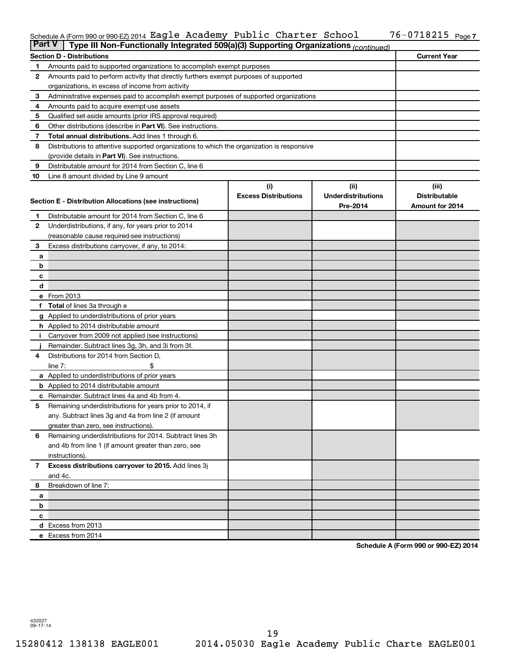#### Schedule A (Form 990 or 990-EZ) 2014 Eagle Academy Public Charter School  $\,$  /6-0718215  $\,$  Page Eagle Academy Public Charter School 76-0718215

| <b>Part V</b>  | Type III Non-Functionally Integrated 509(a)(3) Supporting Organizations (continued)                 |                             |                           |                        |  |  |  |  |  |  |
|----------------|-----------------------------------------------------------------------------------------------------|-----------------------------|---------------------------|------------------------|--|--|--|--|--|--|
|                | <b>Section D - Distributions</b>                                                                    |                             |                           | <b>Current Year</b>    |  |  |  |  |  |  |
| 1              | Amounts paid to supported organizations to accomplish exempt purposes                               |                             |                           |                        |  |  |  |  |  |  |
| 2              | Amounts paid to perform activity that directly furthers exempt purposes of supported                |                             |                           |                        |  |  |  |  |  |  |
|                | organizations, in excess of income from activity                                                    |                             |                           |                        |  |  |  |  |  |  |
| 3              | Administrative expenses paid to accomplish exempt purposes of supported organizations               |                             |                           |                        |  |  |  |  |  |  |
| 4              | Amounts paid to acquire exempt-use assets                                                           |                             |                           |                        |  |  |  |  |  |  |
| 5              | Qualified set-aside amounts (prior IRS approval required)                                           |                             |                           |                        |  |  |  |  |  |  |
| 6              | Other distributions (describe in Part VI). See instructions.                                        |                             |                           |                        |  |  |  |  |  |  |
| 7              | Total annual distributions. Add lines 1 through 6.                                                  |                             |                           |                        |  |  |  |  |  |  |
| 8              | Distributions to attentive supported organizations to which the organization is responsive          |                             |                           |                        |  |  |  |  |  |  |
|                | (provide details in Part VI). See instructions.                                                     |                             |                           |                        |  |  |  |  |  |  |
| 9              | Distributable amount for 2014 from Section C, line 6                                                |                             |                           |                        |  |  |  |  |  |  |
| 10             | Line 8 amount divided by Line 9 amount                                                              |                             |                           |                        |  |  |  |  |  |  |
|                |                                                                                                     | (i)                         | (ii)                      | (iii)                  |  |  |  |  |  |  |
|                | Section E - Distribution Allocations (see instructions)                                             | <b>Excess Distributions</b> | <b>Underdistributions</b> | <b>Distributable</b>   |  |  |  |  |  |  |
|                |                                                                                                     |                             | Pre-2014                  | <b>Amount for 2014</b> |  |  |  |  |  |  |
| 1              | Distributable amount for 2014 from Section C, line 6                                                |                             |                           |                        |  |  |  |  |  |  |
| $\mathbf{2}$   | Underdistributions, if any, for years prior to 2014                                                 |                             |                           |                        |  |  |  |  |  |  |
|                | (reasonable cause required-see instructions)                                                        |                             |                           |                        |  |  |  |  |  |  |
| З              | Excess distributions carryover, if any, to 2014:                                                    |                             |                           |                        |  |  |  |  |  |  |
| а              |                                                                                                     |                             |                           |                        |  |  |  |  |  |  |
| b              |                                                                                                     |                             |                           |                        |  |  |  |  |  |  |
| с              |                                                                                                     |                             |                           |                        |  |  |  |  |  |  |
| d              |                                                                                                     |                             |                           |                        |  |  |  |  |  |  |
|                | e From 2013                                                                                         |                             |                           |                        |  |  |  |  |  |  |
| f              | <b>Total</b> of lines 3a through e                                                                  |                             |                           |                        |  |  |  |  |  |  |
|                | <b>g</b> Applied to underdistributions of prior years                                               |                             |                           |                        |  |  |  |  |  |  |
|                | <b>h</b> Applied to 2014 distributable amount<br>Carryover from 2009 not applied (see instructions) |                             |                           |                        |  |  |  |  |  |  |
|                | Remainder. Subtract lines 3g, 3h, and 3i from 3f.                                                   |                             |                           |                        |  |  |  |  |  |  |
| 4              | Distributions for 2014 from Section D,                                                              |                             |                           |                        |  |  |  |  |  |  |
|                | $line 7$ :                                                                                          |                             |                           |                        |  |  |  |  |  |  |
|                | a Applied to underdistributions of prior years                                                      |                             |                           |                        |  |  |  |  |  |  |
|                | <b>b</b> Applied to 2014 distributable amount                                                       |                             |                           |                        |  |  |  |  |  |  |
| с              | Remainder. Subtract lines 4a and 4b from 4.                                                         |                             |                           |                        |  |  |  |  |  |  |
| 5              | Remaining underdistributions for years prior to 2014, if                                            |                             |                           |                        |  |  |  |  |  |  |
|                | any. Subtract lines 3g and 4a from line 2 (if amount                                                |                             |                           |                        |  |  |  |  |  |  |
|                | greater than zero, see instructions).                                                               |                             |                           |                        |  |  |  |  |  |  |
| 6              | Remaining underdistributions for 2014. Subtract lines 3h                                            |                             |                           |                        |  |  |  |  |  |  |
|                | and 4b from line 1 (if amount greater than zero, see                                                |                             |                           |                        |  |  |  |  |  |  |
|                | instructions).                                                                                      |                             |                           |                        |  |  |  |  |  |  |
| $\overline{7}$ | Excess distributions carryover to 2015. Add lines 3j                                                |                             |                           |                        |  |  |  |  |  |  |
|                | and 4c.                                                                                             |                             |                           |                        |  |  |  |  |  |  |
| 8              | Breakdown of line 7:                                                                                |                             |                           |                        |  |  |  |  |  |  |
| а              |                                                                                                     |                             |                           |                        |  |  |  |  |  |  |
| b              |                                                                                                     |                             |                           |                        |  |  |  |  |  |  |
| с              |                                                                                                     |                             |                           |                        |  |  |  |  |  |  |
|                | d Excess from 2013                                                                                  |                             |                           |                        |  |  |  |  |  |  |
|                | e Excess from 2014                                                                                  |                             |                           |                        |  |  |  |  |  |  |

**Schedule A (Form 990 or 990-EZ) 2014**

432027 09-17-14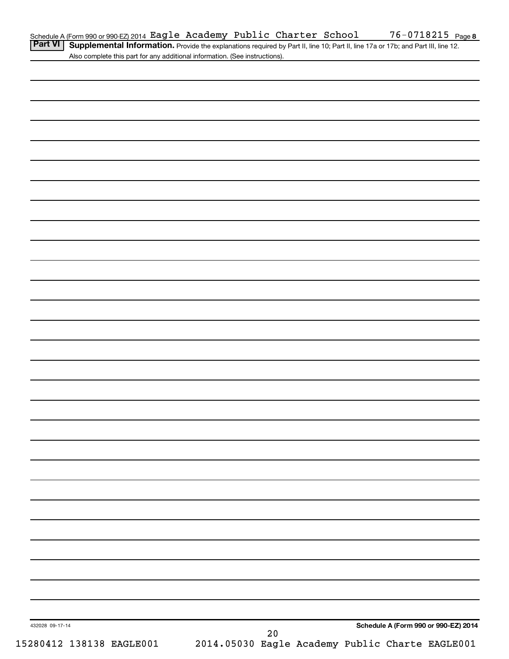Part VI | Supplemental Information. Provide the explanations required by Part II, line 10; Part II, line 17a or 17b; and Part III, line 12. Also complete this part for any additional information. (See instructions).

| 432028 09-17-14 | 20<br>2014.05030 Eagle Academy Public Charte EAGLE001 |  |  | Schedule A (Form 990 or 990-EZ) 2014 |
|-----------------|-------------------------------------------------------|--|--|--------------------------------------|
|                 |                                                       |  |  |                                      |
|                 |                                                       |  |  |                                      |
|                 |                                                       |  |  |                                      |
|                 |                                                       |  |  |                                      |
|                 |                                                       |  |  |                                      |
|                 |                                                       |  |  |                                      |
|                 |                                                       |  |  |                                      |
|                 |                                                       |  |  |                                      |
|                 |                                                       |  |  |                                      |
|                 |                                                       |  |  |                                      |
|                 |                                                       |  |  |                                      |
|                 |                                                       |  |  |                                      |
|                 |                                                       |  |  |                                      |
|                 |                                                       |  |  |                                      |
|                 |                                                       |  |  |                                      |
|                 |                                                       |  |  |                                      |
|                 |                                                       |  |  |                                      |
|                 |                                                       |  |  |                                      |
|                 |                                                       |  |  |                                      |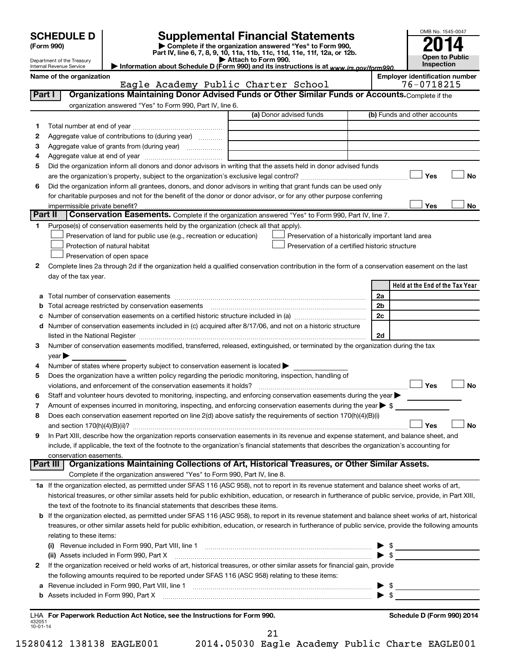|                          | <b>Supplemental Financial Statements</b><br><b>SCHEDULE D</b>                                                                                                                                                                                                                                              |                                                    | OMB No. 1545-0047                                   |  |  |  |  |  |  |  |
|--------------------------|------------------------------------------------------------------------------------------------------------------------------------------------------------------------------------------------------------------------------------------------------------------------------------------------------------|----------------------------------------------------|-----------------------------------------------------|--|--|--|--|--|--|--|
|                          | Complete if the organization answered "Yes" to Form 990,<br>(Form 990)                                                                                                                                                                                                                                     |                                                    |                                                     |  |  |  |  |  |  |  |
|                          | Part IV, line 6, 7, 8, 9, 10, 11a, 11b, 11c, 11d, 11e, 11f, 12a, or 12b.<br>Attach to Form 990.<br>Department of the Treasury                                                                                                                                                                              |                                                    | <b>Open to Public</b>                               |  |  |  |  |  |  |  |
|                          | Information about Schedule D (Form 990) and its instructions is at www.irs.gov/form990.<br>Internal Revenue Service                                                                                                                                                                                        |                                                    | Inspection                                          |  |  |  |  |  |  |  |
|                          | Name of the organization<br>Eagle Academy Public Charter School                                                                                                                                                                                                                                            |                                                    | <b>Employer identification number</b><br>76-0718215 |  |  |  |  |  |  |  |
| Part I                   | Organizations Maintaining Donor Advised Funds or Other Similar Funds or Accounts. Complete if the                                                                                                                                                                                                          |                                                    |                                                     |  |  |  |  |  |  |  |
|                          | organization answered "Yes" to Form 990, Part IV, line 6.                                                                                                                                                                                                                                                  |                                                    |                                                     |  |  |  |  |  |  |  |
|                          | (a) Donor advised funds                                                                                                                                                                                                                                                                                    |                                                    | (b) Funds and other accounts                        |  |  |  |  |  |  |  |
| 1.                       |                                                                                                                                                                                                                                                                                                            |                                                    |                                                     |  |  |  |  |  |  |  |
| 2                        | Aggregate value of contributions to (during year)                                                                                                                                                                                                                                                          |                                                    |                                                     |  |  |  |  |  |  |  |
| З                        | Aggregate value of grants from (during year)                                                                                                                                                                                                                                                               |                                                    |                                                     |  |  |  |  |  |  |  |
| 4                        |                                                                                                                                                                                                                                                                                                            |                                                    |                                                     |  |  |  |  |  |  |  |
| 5                        | Did the organization inform all donors and donor advisors in writing that the assets held in donor advised funds                                                                                                                                                                                           |                                                    |                                                     |  |  |  |  |  |  |  |
|                          |                                                                                                                                                                                                                                                                                                            |                                                    | Yes<br><b>No</b>                                    |  |  |  |  |  |  |  |
| 6                        | Did the organization inform all grantees, donors, and donor advisors in writing that grant funds can be used only                                                                                                                                                                                          |                                                    |                                                     |  |  |  |  |  |  |  |
|                          | for charitable purposes and not for the benefit of the donor or donor advisor, or for any other purpose conferring                                                                                                                                                                                         |                                                    |                                                     |  |  |  |  |  |  |  |
|                          | impermissible private benefit?                                                                                                                                                                                                                                                                             |                                                    | Yes<br>No                                           |  |  |  |  |  |  |  |
|                          | Part II<br>Conservation Easements. Complete if the organization answered "Yes" to Form 990, Part IV, line 7.                                                                                                                                                                                               |                                                    |                                                     |  |  |  |  |  |  |  |
| 1.                       | Purpose(s) of conservation easements held by the organization (check all that apply).                                                                                                                                                                                                                      |                                                    |                                                     |  |  |  |  |  |  |  |
|                          | Preservation of land for public use (e.g., recreation or education)                                                                                                                                                                                                                                        | Preservation of a historically important land area |                                                     |  |  |  |  |  |  |  |
|                          | Protection of natural habitat                                                                                                                                                                                                                                                                              | Preservation of a certified historic structure     |                                                     |  |  |  |  |  |  |  |
|                          | Preservation of open space                                                                                                                                                                                                                                                                                 |                                                    |                                                     |  |  |  |  |  |  |  |
| 2                        | Complete lines 2a through 2d if the organization held a qualified conservation contribution in the form of a conservation easement on the last                                                                                                                                                             |                                                    |                                                     |  |  |  |  |  |  |  |
|                          | day of the tax year.                                                                                                                                                                                                                                                                                       |                                                    | Held at the End of the Tax Year                     |  |  |  |  |  |  |  |
|                          |                                                                                                                                                                                                                                                                                                            |                                                    | 2a                                                  |  |  |  |  |  |  |  |
|                          | a Total number of conservation easements [11] matter conservation of the state of conservation easements [11] matter conservation executive conservation executive conservation of the state of the state of the state of the<br><b>b</b> Total acreage restricted by conservation easements               |                                                    | 2b                                                  |  |  |  |  |  |  |  |
|                          |                                                                                                                                                                                                                                                                                                            |                                                    | 2c                                                  |  |  |  |  |  |  |  |
|                          | d Number of conservation easements included in (c) acquired after 8/17/06, and not on a historic structure                                                                                                                                                                                                 |                                                    |                                                     |  |  |  |  |  |  |  |
|                          | 2d<br>listed in the National Register [111] [12] states and the National Property of the National Register [11] [12] the National Register [11] [12] states and the National Register [11] [12] the Main Register [12] [12] the Main                                                                       |                                                    |                                                     |  |  |  |  |  |  |  |
| 3                        | Number of conservation easements modified, transferred, released, extinguished, or terminated by the organization during the tax                                                                                                                                                                           |                                                    |                                                     |  |  |  |  |  |  |  |
|                          | $year \triangleright$                                                                                                                                                                                                                                                                                      |                                                    |                                                     |  |  |  |  |  |  |  |
|                          | Number of states where property subject to conservation easement is located >                                                                                                                                                                                                                              |                                                    |                                                     |  |  |  |  |  |  |  |
| 5                        | Does the organization have a written policy regarding the periodic monitoring, inspection, handling of                                                                                                                                                                                                     |                                                    |                                                     |  |  |  |  |  |  |  |
|                          | violations, and enforcement of the conservation easements it holds?                                                                                                                                                                                                                                        |                                                    | Yes<br>No                                           |  |  |  |  |  |  |  |
| 6                        | Staff and volunteer hours devoted to monitoring, inspecting, and enforcing conservation easements during the year                                                                                                                                                                                          |                                                    |                                                     |  |  |  |  |  |  |  |
| 7                        | Amount of expenses incurred in monitoring, inspecting, and enforcing conservation easements during the year $\triangleright$ \$                                                                                                                                                                            |                                                    |                                                     |  |  |  |  |  |  |  |
| 8                        | Does each conservation easement reported on line 2(d) above satisfy the requirements of section 170(h)(4)(B)(i)                                                                                                                                                                                            |                                                    |                                                     |  |  |  |  |  |  |  |
|                          |                                                                                                                                                                                                                                                                                                            |                                                    | Yes<br>No                                           |  |  |  |  |  |  |  |
| 9                        | In Part XIII, describe how the organization reports conservation easements in its revenue and expense statement, and balance sheet, and                                                                                                                                                                    |                                                    |                                                     |  |  |  |  |  |  |  |
|                          | include, if applicable, the text of the footnote to the organization's financial statements that describes the organization's accounting for                                                                                                                                                               |                                                    |                                                     |  |  |  |  |  |  |  |
|                          | conservation easements.                                                                                                                                                                                                                                                                                    |                                                    |                                                     |  |  |  |  |  |  |  |
|                          | Organizations Maintaining Collections of Art, Historical Treasures, or Other Similar Assets.<br>Part III                                                                                                                                                                                                   |                                                    |                                                     |  |  |  |  |  |  |  |
|                          | Complete if the organization answered "Yes" to Form 990, Part IV, line 8.                                                                                                                                                                                                                                  |                                                    |                                                     |  |  |  |  |  |  |  |
|                          | 1a If the organization elected, as permitted under SFAS 116 (ASC 958), not to report in its revenue statement and balance sheet works of art,<br>historical treasures, or other similar assets held for public exhibition, education, or research in furtherance of public service, provide, in Part XIII, |                                                    |                                                     |  |  |  |  |  |  |  |
|                          | the text of the footnote to its financial statements that describes these items.                                                                                                                                                                                                                           |                                                    |                                                     |  |  |  |  |  |  |  |
|                          | b If the organization elected, as permitted under SFAS 116 (ASC 958), to report in its revenue statement and balance sheet works of art, historical                                                                                                                                                        |                                                    |                                                     |  |  |  |  |  |  |  |
|                          | treasures, or other similar assets held for public exhibition, education, or research in furtherance of public service, provide the following amounts                                                                                                                                                      |                                                    |                                                     |  |  |  |  |  |  |  |
|                          | relating to these items:                                                                                                                                                                                                                                                                                   |                                                    |                                                     |  |  |  |  |  |  |  |
|                          | (i)                                                                                                                                                                                                                                                                                                        |                                                    | $\frac{1}{\sqrt{2}}$                                |  |  |  |  |  |  |  |
|                          | (ii) Assets included in Form 990, Part X [11] [12] Assets included in Form 990, Part X                                                                                                                                                                                                                     |                                                    |                                                     |  |  |  |  |  |  |  |
| 2                        | If the organization received or held works of art, historical treasures, or other similar assets for financial gain, provide                                                                                                                                                                               |                                                    |                                                     |  |  |  |  |  |  |  |
|                          | the following amounts required to be reported under SFAS 116 (ASC 958) relating to these items:                                                                                                                                                                                                            |                                                    |                                                     |  |  |  |  |  |  |  |
| а                        | Revenue included in Form 990, Part VIII, line 1 [2000] [2000] [2000] [2000] [3000] [3000] [3000] [3000] [3000                                                                                                                                                                                              |                                                    | $\triangleright$ \$                                 |  |  |  |  |  |  |  |
|                          |                                                                                                                                                                                                                                                                                                            |                                                    |                                                     |  |  |  |  |  |  |  |
|                          |                                                                                                                                                                                                                                                                                                            |                                                    |                                                     |  |  |  |  |  |  |  |
| 432051<br>$10 - 01 - 14$ | LHA For Paperwork Reduction Act Notice, see the Instructions for Form 990.                                                                                                                                                                                                                                 |                                                    | Schedule D (Form 990) 2014                          |  |  |  |  |  |  |  |

| 15280412 138138 EAGLE001 |  |  |
|--------------------------|--|--|
|--------------------------|--|--|

15280412 138138 EAGLE001 2014.05030 Eagle Academy Public Charte EAGLE001 21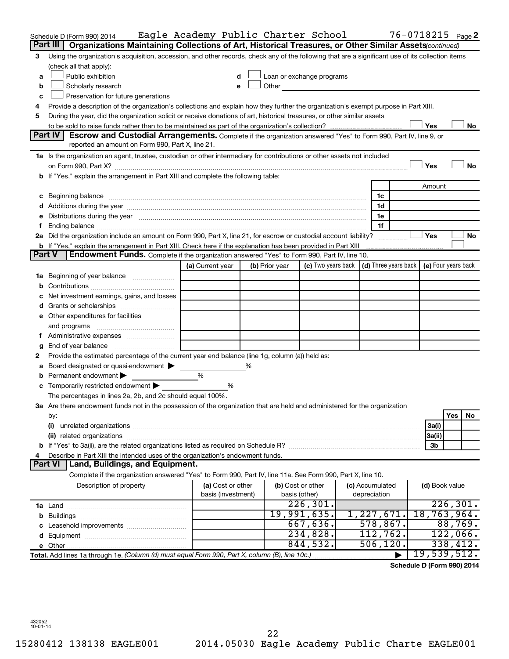| Part III<br>Organizations Maintaining Collections of Art, Historical Treasures, or Other Similar Assets continued)<br>Using the organization's acquisition, accession, and other records, check any of the following that are a significant use of its collection items<br>з<br>(check all that apply):<br>Public exhibition<br>Loan or exchange programs<br>a<br>Other<br>Scholarly research<br>b<br>e<br>Preservation for future generations<br>с<br>Provide a description of the organization's collections and explain how they further the organization's exempt purpose in Part XIII.<br>During the year, did the organization solicit or receive donations of art, historical treasures, or other similar assets<br>5<br>Yes<br>No<br><b>Part IV</b><br><b>Escrow and Custodial Arrangements.</b> Complete if the organization answered "Yes" to Form 990, Part IV, line 9, or<br>reported an amount on Form 990, Part X, line 21.<br>1a Is the organization an agent, trustee, custodian or other intermediary for contributions or other assets not included<br>No<br>Yes<br>b If "Yes," explain the arrangement in Part XIII and complete the following table:<br>Amount<br>c Beginning balance measurements and the contract of the contract of the contract of the contract of the contract of the contract of the contract of the contract of the contract of the contract of the contract of the contr<br>1c<br>1d<br>e Distributions during the year manufactured and continuum and contact the year manufactured and contact the year manufactured and contact the year manufactured and contact the year manufactured and contact the year manufa<br>1e<br>1f<br>2a Did the organization include an amount on Form 990, Part X, line 21, for escrow or custodial account liability?<br>Yes<br>No<br><b>b</b> If "Yes," explain the arrangement in Part XIII. Check here if the explanation has been provided in Part XIII<br>Endowment Funds. Complete if the organization answered "Yes" to Form 990, Part IV, line 10.<br>Part V<br>$\vert$ (d) Three years back $\vert$<br>(c) Two years back<br>(e) Four years back<br>(a) Current year<br>(b) Prior year<br><b>1a</b> Beginning of year balance<br>Net investment earnings, gains, and losses<br>Grants or scholarships<br>e Other expenditures for facilities<br>and programs<br>g<br>Provide the estimated percentage of the current year end balance (line 1g, column (a)) held as:<br>2<br>Board designated or quasi-endowment<br>℅<br><b>b</b> Permanent endowment $\blacktriangleright$<br>%<br>c Temporarily restricted endowment $\blacktriangleright$<br>%<br>The percentages in lines 2a, 2b, and 2c should equal 100%.<br>3a Are there endowment funds not in the possession of the organization that are held and administered for the organization<br>Yes<br>No.<br>by:<br>3a(i)<br>(i)<br>3a(ii)<br>3b<br>Describe in Part XIII the intended uses of the organization's endowment funds.<br>Land, Buildings, and Equipment.<br>Part VI<br>Complete if the organization answered "Yes" to Form 990, Part IV, line 11a. See Form 990, Part X, line 10.<br>Description of property<br>(a) Cost or other<br>(b) Cost or other<br>(c) Accumulated<br>(d) Book value<br>basis (investment)<br>depreciation<br>basis (other)<br>226, 301.<br>226, 301.<br>19,991,635.<br>1,227,671.<br>18,763,964.<br>667,636.<br>578,867.<br>88,769.<br>112,762.<br>234,828.<br>$122,066$ .<br>844,532.<br>506, 120.<br>338,412.<br>19,539,512.<br>Total. Add lines 1a through 1e. (Column (d) must equal Form 990, Part X, column (B), line 10c.)<br>$1.1.5 \times 10^{10}$ | Schedule D (Form 990) 2014 | Eagle Academy Public Charter School |  |  |  |  |  | 76-0718215 Page 2 |  |  |  |
|--------------------------------------------------------------------------------------------------------------------------------------------------------------------------------------------------------------------------------------------------------------------------------------------------------------------------------------------------------------------------------------------------------------------------------------------------------------------------------------------------------------------------------------------------------------------------------------------------------------------------------------------------------------------------------------------------------------------------------------------------------------------------------------------------------------------------------------------------------------------------------------------------------------------------------------------------------------------------------------------------------------------------------------------------------------------------------------------------------------------------------------------------------------------------------------------------------------------------------------------------------------------------------------------------------------------------------------------------------------------------------------------------------------------------------------------------------------------------------------------------------------------------------------------------------------------------------------------------------------------------------------------------------------------------------------------------------------------------------------------------------------------------------------------------------------------------------------------------------------------------------------------------------------------------------------------------------------------------------------------------------------------------------------------------------------------------------------------------------------------------------------------------------------------------------------------------------------------------------------------------------------------------------------------------------------------------------------------------------------------------------------------------------------------------------------------------------------------------------------------------------------------------------------------------------------------------------------------------------------------------------------------------------------------------------------------------------------------------------------------------------------------------------------------------------------------------------------------------------------------------------------------------------------------------------------------------------------------------------------------------------------------------------------------------------------------------------------------------------------------------------------------------------------------------------------------------------------------------------------------------------------------------------------------------------------------------------------------------------------------------------------------------------------------------------------------------------------------------------------------------------------------------------------------------------------------------------------------------------------------------------------------|----------------------------|-------------------------------------|--|--|--|--|--|-------------------|--|--|--|
|                                                                                                                                                                                                                                                                                                                                                                                                                                                                                                                                                                                                                                                                                                                                                                                                                                                                                                                                                                                                                                                                                                                                                                                                                                                                                                                                                                                                                                                                                                                                                                                                                                                                                                                                                                                                                                                                                                                                                                                                                                                                                                                                                                                                                                                                                                                                                                                                                                                                                                                                                                                                                                                                                                                                                                                                                                                                                                                                                                                                                                                                                                                                                                                                                                                                                                                                                                                                                                                                                                                                                                                                                                            |                            |                                     |  |  |  |  |  |                   |  |  |  |
|                                                                                                                                                                                                                                                                                                                                                                                                                                                                                                                                                                                                                                                                                                                                                                                                                                                                                                                                                                                                                                                                                                                                                                                                                                                                                                                                                                                                                                                                                                                                                                                                                                                                                                                                                                                                                                                                                                                                                                                                                                                                                                                                                                                                                                                                                                                                                                                                                                                                                                                                                                                                                                                                                                                                                                                                                                                                                                                                                                                                                                                                                                                                                                                                                                                                                                                                                                                                                                                                                                                                                                                                                                            |                            |                                     |  |  |  |  |  |                   |  |  |  |
|                                                                                                                                                                                                                                                                                                                                                                                                                                                                                                                                                                                                                                                                                                                                                                                                                                                                                                                                                                                                                                                                                                                                                                                                                                                                                                                                                                                                                                                                                                                                                                                                                                                                                                                                                                                                                                                                                                                                                                                                                                                                                                                                                                                                                                                                                                                                                                                                                                                                                                                                                                                                                                                                                                                                                                                                                                                                                                                                                                                                                                                                                                                                                                                                                                                                                                                                                                                                                                                                                                                                                                                                                                            |                            |                                     |  |  |  |  |  |                   |  |  |  |
|                                                                                                                                                                                                                                                                                                                                                                                                                                                                                                                                                                                                                                                                                                                                                                                                                                                                                                                                                                                                                                                                                                                                                                                                                                                                                                                                                                                                                                                                                                                                                                                                                                                                                                                                                                                                                                                                                                                                                                                                                                                                                                                                                                                                                                                                                                                                                                                                                                                                                                                                                                                                                                                                                                                                                                                                                                                                                                                                                                                                                                                                                                                                                                                                                                                                                                                                                                                                                                                                                                                                                                                                                                            |                            |                                     |  |  |  |  |  |                   |  |  |  |
|                                                                                                                                                                                                                                                                                                                                                                                                                                                                                                                                                                                                                                                                                                                                                                                                                                                                                                                                                                                                                                                                                                                                                                                                                                                                                                                                                                                                                                                                                                                                                                                                                                                                                                                                                                                                                                                                                                                                                                                                                                                                                                                                                                                                                                                                                                                                                                                                                                                                                                                                                                                                                                                                                                                                                                                                                                                                                                                                                                                                                                                                                                                                                                                                                                                                                                                                                                                                                                                                                                                                                                                                                                            |                            |                                     |  |  |  |  |  |                   |  |  |  |
|                                                                                                                                                                                                                                                                                                                                                                                                                                                                                                                                                                                                                                                                                                                                                                                                                                                                                                                                                                                                                                                                                                                                                                                                                                                                                                                                                                                                                                                                                                                                                                                                                                                                                                                                                                                                                                                                                                                                                                                                                                                                                                                                                                                                                                                                                                                                                                                                                                                                                                                                                                                                                                                                                                                                                                                                                                                                                                                                                                                                                                                                                                                                                                                                                                                                                                                                                                                                                                                                                                                                                                                                                                            |                            |                                     |  |  |  |  |  |                   |  |  |  |
|                                                                                                                                                                                                                                                                                                                                                                                                                                                                                                                                                                                                                                                                                                                                                                                                                                                                                                                                                                                                                                                                                                                                                                                                                                                                                                                                                                                                                                                                                                                                                                                                                                                                                                                                                                                                                                                                                                                                                                                                                                                                                                                                                                                                                                                                                                                                                                                                                                                                                                                                                                                                                                                                                                                                                                                                                                                                                                                                                                                                                                                                                                                                                                                                                                                                                                                                                                                                                                                                                                                                                                                                                                            |                            |                                     |  |  |  |  |  |                   |  |  |  |
|                                                                                                                                                                                                                                                                                                                                                                                                                                                                                                                                                                                                                                                                                                                                                                                                                                                                                                                                                                                                                                                                                                                                                                                                                                                                                                                                                                                                                                                                                                                                                                                                                                                                                                                                                                                                                                                                                                                                                                                                                                                                                                                                                                                                                                                                                                                                                                                                                                                                                                                                                                                                                                                                                                                                                                                                                                                                                                                                                                                                                                                                                                                                                                                                                                                                                                                                                                                                                                                                                                                                                                                                                                            |                            |                                     |  |  |  |  |  |                   |  |  |  |
|                                                                                                                                                                                                                                                                                                                                                                                                                                                                                                                                                                                                                                                                                                                                                                                                                                                                                                                                                                                                                                                                                                                                                                                                                                                                                                                                                                                                                                                                                                                                                                                                                                                                                                                                                                                                                                                                                                                                                                                                                                                                                                                                                                                                                                                                                                                                                                                                                                                                                                                                                                                                                                                                                                                                                                                                                                                                                                                                                                                                                                                                                                                                                                                                                                                                                                                                                                                                                                                                                                                                                                                                                                            |                            |                                     |  |  |  |  |  |                   |  |  |  |
|                                                                                                                                                                                                                                                                                                                                                                                                                                                                                                                                                                                                                                                                                                                                                                                                                                                                                                                                                                                                                                                                                                                                                                                                                                                                                                                                                                                                                                                                                                                                                                                                                                                                                                                                                                                                                                                                                                                                                                                                                                                                                                                                                                                                                                                                                                                                                                                                                                                                                                                                                                                                                                                                                                                                                                                                                                                                                                                                                                                                                                                                                                                                                                                                                                                                                                                                                                                                                                                                                                                                                                                                                                            |                            |                                     |  |  |  |  |  |                   |  |  |  |
|                                                                                                                                                                                                                                                                                                                                                                                                                                                                                                                                                                                                                                                                                                                                                                                                                                                                                                                                                                                                                                                                                                                                                                                                                                                                                                                                                                                                                                                                                                                                                                                                                                                                                                                                                                                                                                                                                                                                                                                                                                                                                                                                                                                                                                                                                                                                                                                                                                                                                                                                                                                                                                                                                                                                                                                                                                                                                                                                                                                                                                                                                                                                                                                                                                                                                                                                                                                                                                                                                                                                                                                                                                            |                            |                                     |  |  |  |  |  |                   |  |  |  |
|                                                                                                                                                                                                                                                                                                                                                                                                                                                                                                                                                                                                                                                                                                                                                                                                                                                                                                                                                                                                                                                                                                                                                                                                                                                                                                                                                                                                                                                                                                                                                                                                                                                                                                                                                                                                                                                                                                                                                                                                                                                                                                                                                                                                                                                                                                                                                                                                                                                                                                                                                                                                                                                                                                                                                                                                                                                                                                                                                                                                                                                                                                                                                                                                                                                                                                                                                                                                                                                                                                                                                                                                                                            |                            |                                     |  |  |  |  |  |                   |  |  |  |
|                                                                                                                                                                                                                                                                                                                                                                                                                                                                                                                                                                                                                                                                                                                                                                                                                                                                                                                                                                                                                                                                                                                                                                                                                                                                                                                                                                                                                                                                                                                                                                                                                                                                                                                                                                                                                                                                                                                                                                                                                                                                                                                                                                                                                                                                                                                                                                                                                                                                                                                                                                                                                                                                                                                                                                                                                                                                                                                                                                                                                                                                                                                                                                                                                                                                                                                                                                                                                                                                                                                                                                                                                                            |                            |                                     |  |  |  |  |  |                   |  |  |  |
|                                                                                                                                                                                                                                                                                                                                                                                                                                                                                                                                                                                                                                                                                                                                                                                                                                                                                                                                                                                                                                                                                                                                                                                                                                                                                                                                                                                                                                                                                                                                                                                                                                                                                                                                                                                                                                                                                                                                                                                                                                                                                                                                                                                                                                                                                                                                                                                                                                                                                                                                                                                                                                                                                                                                                                                                                                                                                                                                                                                                                                                                                                                                                                                                                                                                                                                                                                                                                                                                                                                                                                                                                                            |                            |                                     |  |  |  |  |  |                   |  |  |  |
|                                                                                                                                                                                                                                                                                                                                                                                                                                                                                                                                                                                                                                                                                                                                                                                                                                                                                                                                                                                                                                                                                                                                                                                                                                                                                                                                                                                                                                                                                                                                                                                                                                                                                                                                                                                                                                                                                                                                                                                                                                                                                                                                                                                                                                                                                                                                                                                                                                                                                                                                                                                                                                                                                                                                                                                                                                                                                                                                                                                                                                                                                                                                                                                                                                                                                                                                                                                                                                                                                                                                                                                                                                            |                            |                                     |  |  |  |  |  |                   |  |  |  |
|                                                                                                                                                                                                                                                                                                                                                                                                                                                                                                                                                                                                                                                                                                                                                                                                                                                                                                                                                                                                                                                                                                                                                                                                                                                                                                                                                                                                                                                                                                                                                                                                                                                                                                                                                                                                                                                                                                                                                                                                                                                                                                                                                                                                                                                                                                                                                                                                                                                                                                                                                                                                                                                                                                                                                                                                                                                                                                                                                                                                                                                                                                                                                                                                                                                                                                                                                                                                                                                                                                                                                                                                                                            |                            |                                     |  |  |  |  |  |                   |  |  |  |
|                                                                                                                                                                                                                                                                                                                                                                                                                                                                                                                                                                                                                                                                                                                                                                                                                                                                                                                                                                                                                                                                                                                                                                                                                                                                                                                                                                                                                                                                                                                                                                                                                                                                                                                                                                                                                                                                                                                                                                                                                                                                                                                                                                                                                                                                                                                                                                                                                                                                                                                                                                                                                                                                                                                                                                                                                                                                                                                                                                                                                                                                                                                                                                                                                                                                                                                                                                                                                                                                                                                                                                                                                                            |                            |                                     |  |  |  |  |  |                   |  |  |  |
|                                                                                                                                                                                                                                                                                                                                                                                                                                                                                                                                                                                                                                                                                                                                                                                                                                                                                                                                                                                                                                                                                                                                                                                                                                                                                                                                                                                                                                                                                                                                                                                                                                                                                                                                                                                                                                                                                                                                                                                                                                                                                                                                                                                                                                                                                                                                                                                                                                                                                                                                                                                                                                                                                                                                                                                                                                                                                                                                                                                                                                                                                                                                                                                                                                                                                                                                                                                                                                                                                                                                                                                                                                            |                            |                                     |  |  |  |  |  |                   |  |  |  |
|                                                                                                                                                                                                                                                                                                                                                                                                                                                                                                                                                                                                                                                                                                                                                                                                                                                                                                                                                                                                                                                                                                                                                                                                                                                                                                                                                                                                                                                                                                                                                                                                                                                                                                                                                                                                                                                                                                                                                                                                                                                                                                                                                                                                                                                                                                                                                                                                                                                                                                                                                                                                                                                                                                                                                                                                                                                                                                                                                                                                                                                                                                                                                                                                                                                                                                                                                                                                                                                                                                                                                                                                                                            |                            |                                     |  |  |  |  |  |                   |  |  |  |
|                                                                                                                                                                                                                                                                                                                                                                                                                                                                                                                                                                                                                                                                                                                                                                                                                                                                                                                                                                                                                                                                                                                                                                                                                                                                                                                                                                                                                                                                                                                                                                                                                                                                                                                                                                                                                                                                                                                                                                                                                                                                                                                                                                                                                                                                                                                                                                                                                                                                                                                                                                                                                                                                                                                                                                                                                                                                                                                                                                                                                                                                                                                                                                                                                                                                                                                                                                                                                                                                                                                                                                                                                                            |                            |                                     |  |  |  |  |  |                   |  |  |  |
|                                                                                                                                                                                                                                                                                                                                                                                                                                                                                                                                                                                                                                                                                                                                                                                                                                                                                                                                                                                                                                                                                                                                                                                                                                                                                                                                                                                                                                                                                                                                                                                                                                                                                                                                                                                                                                                                                                                                                                                                                                                                                                                                                                                                                                                                                                                                                                                                                                                                                                                                                                                                                                                                                                                                                                                                                                                                                                                                                                                                                                                                                                                                                                                                                                                                                                                                                                                                                                                                                                                                                                                                                                            |                            |                                     |  |  |  |  |  |                   |  |  |  |
|                                                                                                                                                                                                                                                                                                                                                                                                                                                                                                                                                                                                                                                                                                                                                                                                                                                                                                                                                                                                                                                                                                                                                                                                                                                                                                                                                                                                                                                                                                                                                                                                                                                                                                                                                                                                                                                                                                                                                                                                                                                                                                                                                                                                                                                                                                                                                                                                                                                                                                                                                                                                                                                                                                                                                                                                                                                                                                                                                                                                                                                                                                                                                                                                                                                                                                                                                                                                                                                                                                                                                                                                                                            |                            |                                     |  |  |  |  |  |                   |  |  |  |
|                                                                                                                                                                                                                                                                                                                                                                                                                                                                                                                                                                                                                                                                                                                                                                                                                                                                                                                                                                                                                                                                                                                                                                                                                                                                                                                                                                                                                                                                                                                                                                                                                                                                                                                                                                                                                                                                                                                                                                                                                                                                                                                                                                                                                                                                                                                                                                                                                                                                                                                                                                                                                                                                                                                                                                                                                                                                                                                                                                                                                                                                                                                                                                                                                                                                                                                                                                                                                                                                                                                                                                                                                                            |                            |                                     |  |  |  |  |  |                   |  |  |  |
|                                                                                                                                                                                                                                                                                                                                                                                                                                                                                                                                                                                                                                                                                                                                                                                                                                                                                                                                                                                                                                                                                                                                                                                                                                                                                                                                                                                                                                                                                                                                                                                                                                                                                                                                                                                                                                                                                                                                                                                                                                                                                                                                                                                                                                                                                                                                                                                                                                                                                                                                                                                                                                                                                                                                                                                                                                                                                                                                                                                                                                                                                                                                                                                                                                                                                                                                                                                                                                                                                                                                                                                                                                            |                            |                                     |  |  |  |  |  |                   |  |  |  |
|                                                                                                                                                                                                                                                                                                                                                                                                                                                                                                                                                                                                                                                                                                                                                                                                                                                                                                                                                                                                                                                                                                                                                                                                                                                                                                                                                                                                                                                                                                                                                                                                                                                                                                                                                                                                                                                                                                                                                                                                                                                                                                                                                                                                                                                                                                                                                                                                                                                                                                                                                                                                                                                                                                                                                                                                                                                                                                                                                                                                                                                                                                                                                                                                                                                                                                                                                                                                                                                                                                                                                                                                                                            |                            |                                     |  |  |  |  |  |                   |  |  |  |
|                                                                                                                                                                                                                                                                                                                                                                                                                                                                                                                                                                                                                                                                                                                                                                                                                                                                                                                                                                                                                                                                                                                                                                                                                                                                                                                                                                                                                                                                                                                                                                                                                                                                                                                                                                                                                                                                                                                                                                                                                                                                                                                                                                                                                                                                                                                                                                                                                                                                                                                                                                                                                                                                                                                                                                                                                                                                                                                                                                                                                                                                                                                                                                                                                                                                                                                                                                                                                                                                                                                                                                                                                                            |                            |                                     |  |  |  |  |  |                   |  |  |  |
|                                                                                                                                                                                                                                                                                                                                                                                                                                                                                                                                                                                                                                                                                                                                                                                                                                                                                                                                                                                                                                                                                                                                                                                                                                                                                                                                                                                                                                                                                                                                                                                                                                                                                                                                                                                                                                                                                                                                                                                                                                                                                                                                                                                                                                                                                                                                                                                                                                                                                                                                                                                                                                                                                                                                                                                                                                                                                                                                                                                                                                                                                                                                                                                                                                                                                                                                                                                                                                                                                                                                                                                                                                            |                            |                                     |  |  |  |  |  |                   |  |  |  |
|                                                                                                                                                                                                                                                                                                                                                                                                                                                                                                                                                                                                                                                                                                                                                                                                                                                                                                                                                                                                                                                                                                                                                                                                                                                                                                                                                                                                                                                                                                                                                                                                                                                                                                                                                                                                                                                                                                                                                                                                                                                                                                                                                                                                                                                                                                                                                                                                                                                                                                                                                                                                                                                                                                                                                                                                                                                                                                                                                                                                                                                                                                                                                                                                                                                                                                                                                                                                                                                                                                                                                                                                                                            |                            |                                     |  |  |  |  |  |                   |  |  |  |
|                                                                                                                                                                                                                                                                                                                                                                                                                                                                                                                                                                                                                                                                                                                                                                                                                                                                                                                                                                                                                                                                                                                                                                                                                                                                                                                                                                                                                                                                                                                                                                                                                                                                                                                                                                                                                                                                                                                                                                                                                                                                                                                                                                                                                                                                                                                                                                                                                                                                                                                                                                                                                                                                                                                                                                                                                                                                                                                                                                                                                                                                                                                                                                                                                                                                                                                                                                                                                                                                                                                                                                                                                                            |                            |                                     |  |  |  |  |  |                   |  |  |  |
|                                                                                                                                                                                                                                                                                                                                                                                                                                                                                                                                                                                                                                                                                                                                                                                                                                                                                                                                                                                                                                                                                                                                                                                                                                                                                                                                                                                                                                                                                                                                                                                                                                                                                                                                                                                                                                                                                                                                                                                                                                                                                                                                                                                                                                                                                                                                                                                                                                                                                                                                                                                                                                                                                                                                                                                                                                                                                                                                                                                                                                                                                                                                                                                                                                                                                                                                                                                                                                                                                                                                                                                                                                            |                            |                                     |  |  |  |  |  |                   |  |  |  |
|                                                                                                                                                                                                                                                                                                                                                                                                                                                                                                                                                                                                                                                                                                                                                                                                                                                                                                                                                                                                                                                                                                                                                                                                                                                                                                                                                                                                                                                                                                                                                                                                                                                                                                                                                                                                                                                                                                                                                                                                                                                                                                                                                                                                                                                                                                                                                                                                                                                                                                                                                                                                                                                                                                                                                                                                                                                                                                                                                                                                                                                                                                                                                                                                                                                                                                                                                                                                                                                                                                                                                                                                                                            |                            |                                     |  |  |  |  |  |                   |  |  |  |
|                                                                                                                                                                                                                                                                                                                                                                                                                                                                                                                                                                                                                                                                                                                                                                                                                                                                                                                                                                                                                                                                                                                                                                                                                                                                                                                                                                                                                                                                                                                                                                                                                                                                                                                                                                                                                                                                                                                                                                                                                                                                                                                                                                                                                                                                                                                                                                                                                                                                                                                                                                                                                                                                                                                                                                                                                                                                                                                                                                                                                                                                                                                                                                                                                                                                                                                                                                                                                                                                                                                                                                                                                                            |                            |                                     |  |  |  |  |  |                   |  |  |  |
|                                                                                                                                                                                                                                                                                                                                                                                                                                                                                                                                                                                                                                                                                                                                                                                                                                                                                                                                                                                                                                                                                                                                                                                                                                                                                                                                                                                                                                                                                                                                                                                                                                                                                                                                                                                                                                                                                                                                                                                                                                                                                                                                                                                                                                                                                                                                                                                                                                                                                                                                                                                                                                                                                                                                                                                                                                                                                                                                                                                                                                                                                                                                                                                                                                                                                                                                                                                                                                                                                                                                                                                                                                            |                            |                                     |  |  |  |  |  |                   |  |  |  |
|                                                                                                                                                                                                                                                                                                                                                                                                                                                                                                                                                                                                                                                                                                                                                                                                                                                                                                                                                                                                                                                                                                                                                                                                                                                                                                                                                                                                                                                                                                                                                                                                                                                                                                                                                                                                                                                                                                                                                                                                                                                                                                                                                                                                                                                                                                                                                                                                                                                                                                                                                                                                                                                                                                                                                                                                                                                                                                                                                                                                                                                                                                                                                                                                                                                                                                                                                                                                                                                                                                                                                                                                                                            |                            |                                     |  |  |  |  |  |                   |  |  |  |
|                                                                                                                                                                                                                                                                                                                                                                                                                                                                                                                                                                                                                                                                                                                                                                                                                                                                                                                                                                                                                                                                                                                                                                                                                                                                                                                                                                                                                                                                                                                                                                                                                                                                                                                                                                                                                                                                                                                                                                                                                                                                                                                                                                                                                                                                                                                                                                                                                                                                                                                                                                                                                                                                                                                                                                                                                                                                                                                                                                                                                                                                                                                                                                                                                                                                                                                                                                                                                                                                                                                                                                                                                                            |                            |                                     |  |  |  |  |  |                   |  |  |  |
|                                                                                                                                                                                                                                                                                                                                                                                                                                                                                                                                                                                                                                                                                                                                                                                                                                                                                                                                                                                                                                                                                                                                                                                                                                                                                                                                                                                                                                                                                                                                                                                                                                                                                                                                                                                                                                                                                                                                                                                                                                                                                                                                                                                                                                                                                                                                                                                                                                                                                                                                                                                                                                                                                                                                                                                                                                                                                                                                                                                                                                                                                                                                                                                                                                                                                                                                                                                                                                                                                                                                                                                                                                            |                            |                                     |  |  |  |  |  |                   |  |  |  |
|                                                                                                                                                                                                                                                                                                                                                                                                                                                                                                                                                                                                                                                                                                                                                                                                                                                                                                                                                                                                                                                                                                                                                                                                                                                                                                                                                                                                                                                                                                                                                                                                                                                                                                                                                                                                                                                                                                                                                                                                                                                                                                                                                                                                                                                                                                                                                                                                                                                                                                                                                                                                                                                                                                                                                                                                                                                                                                                                                                                                                                                                                                                                                                                                                                                                                                                                                                                                                                                                                                                                                                                                                                            |                            |                                     |  |  |  |  |  |                   |  |  |  |
|                                                                                                                                                                                                                                                                                                                                                                                                                                                                                                                                                                                                                                                                                                                                                                                                                                                                                                                                                                                                                                                                                                                                                                                                                                                                                                                                                                                                                                                                                                                                                                                                                                                                                                                                                                                                                                                                                                                                                                                                                                                                                                                                                                                                                                                                                                                                                                                                                                                                                                                                                                                                                                                                                                                                                                                                                                                                                                                                                                                                                                                                                                                                                                                                                                                                                                                                                                                                                                                                                                                                                                                                                                            |                            |                                     |  |  |  |  |  |                   |  |  |  |
|                                                                                                                                                                                                                                                                                                                                                                                                                                                                                                                                                                                                                                                                                                                                                                                                                                                                                                                                                                                                                                                                                                                                                                                                                                                                                                                                                                                                                                                                                                                                                                                                                                                                                                                                                                                                                                                                                                                                                                                                                                                                                                                                                                                                                                                                                                                                                                                                                                                                                                                                                                                                                                                                                                                                                                                                                                                                                                                                                                                                                                                                                                                                                                                                                                                                                                                                                                                                                                                                                                                                                                                                                                            |                            |                                     |  |  |  |  |  |                   |  |  |  |
|                                                                                                                                                                                                                                                                                                                                                                                                                                                                                                                                                                                                                                                                                                                                                                                                                                                                                                                                                                                                                                                                                                                                                                                                                                                                                                                                                                                                                                                                                                                                                                                                                                                                                                                                                                                                                                                                                                                                                                                                                                                                                                                                                                                                                                                                                                                                                                                                                                                                                                                                                                                                                                                                                                                                                                                                                                                                                                                                                                                                                                                                                                                                                                                                                                                                                                                                                                                                                                                                                                                                                                                                                                            |                            |                                     |  |  |  |  |  |                   |  |  |  |
|                                                                                                                                                                                                                                                                                                                                                                                                                                                                                                                                                                                                                                                                                                                                                                                                                                                                                                                                                                                                                                                                                                                                                                                                                                                                                                                                                                                                                                                                                                                                                                                                                                                                                                                                                                                                                                                                                                                                                                                                                                                                                                                                                                                                                                                                                                                                                                                                                                                                                                                                                                                                                                                                                                                                                                                                                                                                                                                                                                                                                                                                                                                                                                                                                                                                                                                                                                                                                                                                                                                                                                                                                                            |                            |                                     |  |  |  |  |  |                   |  |  |  |
|                                                                                                                                                                                                                                                                                                                                                                                                                                                                                                                                                                                                                                                                                                                                                                                                                                                                                                                                                                                                                                                                                                                                                                                                                                                                                                                                                                                                                                                                                                                                                                                                                                                                                                                                                                                                                                                                                                                                                                                                                                                                                                                                                                                                                                                                                                                                                                                                                                                                                                                                                                                                                                                                                                                                                                                                                                                                                                                                                                                                                                                                                                                                                                                                                                                                                                                                                                                                                                                                                                                                                                                                                                            |                            |                                     |  |  |  |  |  |                   |  |  |  |
|                                                                                                                                                                                                                                                                                                                                                                                                                                                                                                                                                                                                                                                                                                                                                                                                                                                                                                                                                                                                                                                                                                                                                                                                                                                                                                                                                                                                                                                                                                                                                                                                                                                                                                                                                                                                                                                                                                                                                                                                                                                                                                                                                                                                                                                                                                                                                                                                                                                                                                                                                                                                                                                                                                                                                                                                                                                                                                                                                                                                                                                                                                                                                                                                                                                                                                                                                                                                                                                                                                                                                                                                                                            |                            |                                     |  |  |  |  |  |                   |  |  |  |
|                                                                                                                                                                                                                                                                                                                                                                                                                                                                                                                                                                                                                                                                                                                                                                                                                                                                                                                                                                                                                                                                                                                                                                                                                                                                                                                                                                                                                                                                                                                                                                                                                                                                                                                                                                                                                                                                                                                                                                                                                                                                                                                                                                                                                                                                                                                                                                                                                                                                                                                                                                                                                                                                                                                                                                                                                                                                                                                                                                                                                                                                                                                                                                                                                                                                                                                                                                                                                                                                                                                                                                                                                                            |                            |                                     |  |  |  |  |  |                   |  |  |  |
|                                                                                                                                                                                                                                                                                                                                                                                                                                                                                                                                                                                                                                                                                                                                                                                                                                                                                                                                                                                                                                                                                                                                                                                                                                                                                                                                                                                                                                                                                                                                                                                                                                                                                                                                                                                                                                                                                                                                                                                                                                                                                                                                                                                                                                                                                                                                                                                                                                                                                                                                                                                                                                                                                                                                                                                                                                                                                                                                                                                                                                                                                                                                                                                                                                                                                                                                                                                                                                                                                                                                                                                                                                            |                            |                                     |  |  |  |  |  |                   |  |  |  |
|                                                                                                                                                                                                                                                                                                                                                                                                                                                                                                                                                                                                                                                                                                                                                                                                                                                                                                                                                                                                                                                                                                                                                                                                                                                                                                                                                                                                                                                                                                                                                                                                                                                                                                                                                                                                                                                                                                                                                                                                                                                                                                                                                                                                                                                                                                                                                                                                                                                                                                                                                                                                                                                                                                                                                                                                                                                                                                                                                                                                                                                                                                                                                                                                                                                                                                                                                                                                                                                                                                                                                                                                                                            |                            |                                     |  |  |  |  |  |                   |  |  |  |
|                                                                                                                                                                                                                                                                                                                                                                                                                                                                                                                                                                                                                                                                                                                                                                                                                                                                                                                                                                                                                                                                                                                                                                                                                                                                                                                                                                                                                                                                                                                                                                                                                                                                                                                                                                                                                                                                                                                                                                                                                                                                                                                                                                                                                                                                                                                                                                                                                                                                                                                                                                                                                                                                                                                                                                                                                                                                                                                                                                                                                                                                                                                                                                                                                                                                                                                                                                                                                                                                                                                                                                                                                                            |                            |                                     |  |  |  |  |  |                   |  |  |  |
|                                                                                                                                                                                                                                                                                                                                                                                                                                                                                                                                                                                                                                                                                                                                                                                                                                                                                                                                                                                                                                                                                                                                                                                                                                                                                                                                                                                                                                                                                                                                                                                                                                                                                                                                                                                                                                                                                                                                                                                                                                                                                                                                                                                                                                                                                                                                                                                                                                                                                                                                                                                                                                                                                                                                                                                                                                                                                                                                                                                                                                                                                                                                                                                                                                                                                                                                                                                                                                                                                                                                                                                                                                            |                            |                                     |  |  |  |  |  |                   |  |  |  |
|                                                                                                                                                                                                                                                                                                                                                                                                                                                                                                                                                                                                                                                                                                                                                                                                                                                                                                                                                                                                                                                                                                                                                                                                                                                                                                                                                                                                                                                                                                                                                                                                                                                                                                                                                                                                                                                                                                                                                                                                                                                                                                                                                                                                                                                                                                                                                                                                                                                                                                                                                                                                                                                                                                                                                                                                                                                                                                                                                                                                                                                                                                                                                                                                                                                                                                                                                                                                                                                                                                                                                                                                                                            |                            |                                     |  |  |  |  |  |                   |  |  |  |
|                                                                                                                                                                                                                                                                                                                                                                                                                                                                                                                                                                                                                                                                                                                                                                                                                                                                                                                                                                                                                                                                                                                                                                                                                                                                                                                                                                                                                                                                                                                                                                                                                                                                                                                                                                                                                                                                                                                                                                                                                                                                                                                                                                                                                                                                                                                                                                                                                                                                                                                                                                                                                                                                                                                                                                                                                                                                                                                                                                                                                                                                                                                                                                                                                                                                                                                                                                                                                                                                                                                                                                                                                                            |                            |                                     |  |  |  |  |  |                   |  |  |  |

**Schedule D (Form 990) 2014**

432052 10-01-14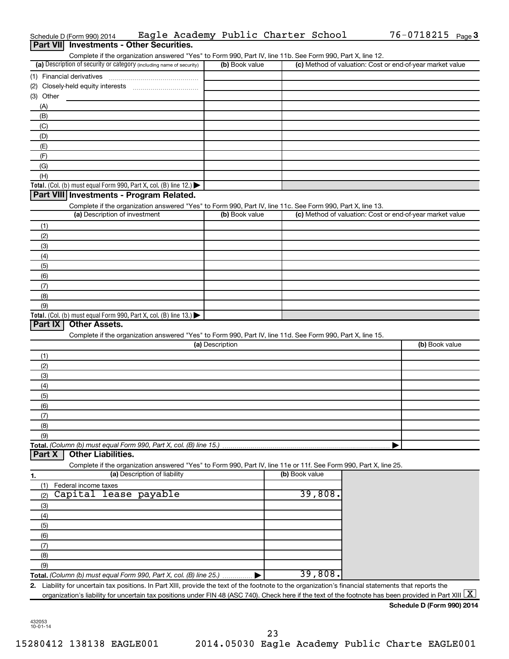|                 | Schedule D (Form 990) 2014                                                                                                                               |                 | Eagle Academy Public Charter School | $76 - 0718215$ Page 3                                     |
|-----------------|----------------------------------------------------------------------------------------------------------------------------------------------------------|-----------------|-------------------------------------|-----------------------------------------------------------|
| <b>Part VII</b> | <b>Investments - Other Securities.</b>                                                                                                                   |                 |                                     |                                                           |
|                 | Complete if the organization answered "Yes" to Form 990, Part IV, line 11b. See Form 990, Part X, line 12.                                               |                 |                                     |                                                           |
|                 | (a) Description of security or category (including name of security)                                                                                     | (b) Book value  |                                     | (c) Method of valuation: Cost or end-of-year market value |
|                 | (1) Financial derivatives                                                                                                                                |                 |                                     |                                                           |
|                 |                                                                                                                                                          |                 |                                     |                                                           |
| (3) Other       |                                                                                                                                                          |                 |                                     |                                                           |
| (A)             |                                                                                                                                                          |                 |                                     |                                                           |
| (B)             |                                                                                                                                                          |                 |                                     |                                                           |
| (C)             |                                                                                                                                                          |                 |                                     |                                                           |
| (D)             |                                                                                                                                                          |                 |                                     |                                                           |
| (E)             |                                                                                                                                                          |                 |                                     |                                                           |
| (F)             |                                                                                                                                                          |                 |                                     |                                                           |
| (G)             |                                                                                                                                                          |                 |                                     |                                                           |
| (H)             |                                                                                                                                                          |                 |                                     |                                                           |
|                 | Total. (Col. (b) must equal Form 990, Part X, col. (B) line 12.) $\blacktriangleright$                                                                   |                 |                                     |                                                           |
|                 | Part VIII Investments - Program Related.                                                                                                                 |                 |                                     |                                                           |
|                 | Complete if the organization answered "Yes" to Form 990, Part IV, line 11c. See Form 990, Part X, line 13.                                               |                 |                                     |                                                           |
|                 | (a) Description of investment                                                                                                                            | (b) Book value  |                                     | (c) Method of valuation: Cost or end-of-year market value |
| (1)             |                                                                                                                                                          |                 |                                     |                                                           |
| (2)             |                                                                                                                                                          |                 |                                     |                                                           |
| (3)             |                                                                                                                                                          |                 |                                     |                                                           |
| (4)             |                                                                                                                                                          |                 |                                     |                                                           |
| (5)             |                                                                                                                                                          |                 |                                     |                                                           |
| (6)             |                                                                                                                                                          |                 |                                     |                                                           |
| (7)             |                                                                                                                                                          |                 |                                     |                                                           |
| (8)             |                                                                                                                                                          |                 |                                     |                                                           |
| (9)             |                                                                                                                                                          |                 |                                     |                                                           |
| <b>Part IX</b>  | Total. (Col. (b) must equal Form 990, Part X, col. (B) line 13.)<br><b>Other Assets.</b>                                                                 |                 |                                     |                                                           |
|                 |                                                                                                                                                          |                 |                                     |                                                           |
|                 | Complete if the organization answered "Yes" to Form 990, Part IV, line 11d. See Form 990, Part X, line 15.                                               | (a) Description |                                     | (b) Book value                                            |
|                 |                                                                                                                                                          |                 |                                     |                                                           |
| (1)             |                                                                                                                                                          |                 |                                     |                                                           |
| (2)             |                                                                                                                                                          |                 |                                     |                                                           |
| (3)             |                                                                                                                                                          |                 |                                     |                                                           |
| (4)             |                                                                                                                                                          |                 |                                     |                                                           |
| (5)             |                                                                                                                                                          |                 |                                     |                                                           |
| (6)             |                                                                                                                                                          |                 |                                     |                                                           |
| (7)             |                                                                                                                                                          |                 |                                     |                                                           |
| (8)<br>(9)      |                                                                                                                                                          |                 |                                     |                                                           |
|                 | Total. (Column (b) must equal Form 990, Part X, col. (B) line 15.)                                                                                       |                 |                                     |                                                           |
| <b>Part X</b>   | <b>Other Liabilities.</b>                                                                                                                                |                 |                                     |                                                           |
|                 | Complete if the organization answered "Yes" to Form 990, Part IV, line 11e or 11f. See Form 990, Part X, line 25.                                        |                 |                                     |                                                           |
| 1.              | (a) Description of liability                                                                                                                             |                 | (b) Book value                      |                                                           |
| (1)             | Federal income taxes                                                                                                                                     |                 |                                     |                                                           |
| (2)             | Capital lease payable                                                                                                                                    |                 | 39,808.                             |                                                           |
| (3)             |                                                                                                                                                          |                 |                                     |                                                           |
| (4)             |                                                                                                                                                          |                 |                                     |                                                           |
| (5)             |                                                                                                                                                          |                 |                                     |                                                           |
| (6)             |                                                                                                                                                          |                 |                                     |                                                           |
| (7)             |                                                                                                                                                          |                 |                                     |                                                           |
| (8)             |                                                                                                                                                          |                 |                                     |                                                           |
| (9)             |                                                                                                                                                          |                 |                                     |                                                           |
|                 | Total. (Column (b) must equal Form 990, Part X, col. (B) line 25.)                                                                                       |                 | 39,808.                             |                                                           |
|                 | 2. Liability for uncertain tax positions. In Part XIII, provide the text of the footnote to the organization's financial statements that reports the     |                 |                                     |                                                           |
|                 | organization's liability for uncertain tax positions under FIN 48 (ASC 740). Check here if the text of the footnote has been provided in Part XIII $ X $ |                 |                                     |                                                           |

432053 10-01-14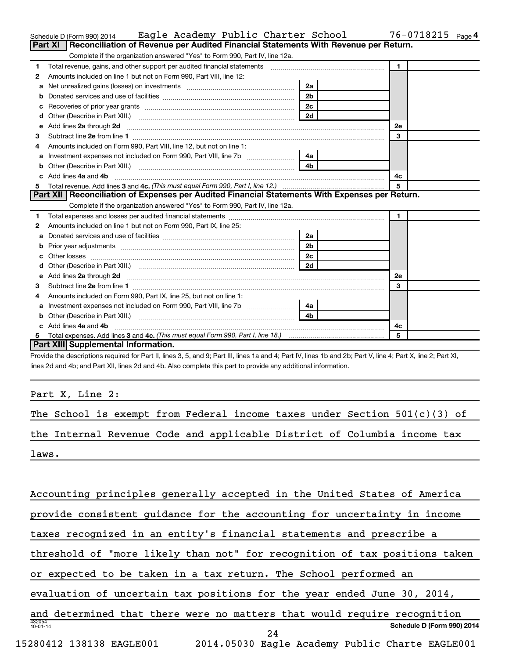|    | Schedule D (Form 990) 2014 Eagle Academy Public Charter School                                                                                                                                   |                | $76 - 0718215$ Page 4 |
|----|--------------------------------------------------------------------------------------------------------------------------------------------------------------------------------------------------|----------------|-----------------------|
|    | Reconciliation of Revenue per Audited Financial Statements With Revenue per Return.<br>Part XI                                                                                                   |                |                       |
|    | Complete if the organization answered "Yes" to Form 990, Part IV, line 12a.                                                                                                                      |                |                       |
| 1  | Total revenue, gains, and other support per audited financial statements [[[[[[[[[[[[[[[[[[[[[[]]]]]]]]]]]]]]                                                                                    |                | $\mathbf{1}$          |
| 2  | Amounts included on line 1 but not on Form 990, Part VIII, line 12:                                                                                                                              |                |                       |
| a  | Net unrealized gains (losses) on investments [111] [12] matter contracts and the unrealized gains (losses) on investments [11] matter contracts and the unrealized gains (losses) on investments | 2a             |                       |
|    |                                                                                                                                                                                                  | 2 <sub>b</sub> |                       |
| с  |                                                                                                                                                                                                  | 2 <sub>c</sub> |                       |
| d  |                                                                                                                                                                                                  | 2d             |                       |
| е  |                                                                                                                                                                                                  |                | <b>2e</b>             |
| 3  |                                                                                                                                                                                                  |                | 3                     |
| 4  | Amounts included on Form 990, Part VIII, line 12, but not on line 1:                                                                                                                             |                |                       |
|    |                                                                                                                                                                                                  | 4a             |                       |
| b  |                                                                                                                                                                                                  | 4 <sub>b</sub> |                       |
| c. | Add lines 4a and 4b                                                                                                                                                                              |                | 4с                    |
| 5  |                                                                                                                                                                                                  |                | 5                     |
|    | Part XII   Reconciliation of Expenses per Audited Financial Statements With Expenses per Return.                                                                                                 |                |                       |
|    | Complete if the organization answered "Yes" to Form 990, Part IV, line 12a.                                                                                                                      |                |                       |
| 1  |                                                                                                                                                                                                  |                | $\mathbf{1}$          |
| 2  | Amounts included on line 1 but not on Form 990, Part IX, line 25:                                                                                                                                |                |                       |
| a  |                                                                                                                                                                                                  | 2a             |                       |
| b  |                                                                                                                                                                                                  | 2 <sub>b</sub> |                       |
| c  |                                                                                                                                                                                                  | 2 <sub>c</sub> |                       |
|    |                                                                                                                                                                                                  | 2d             |                       |
| е  |                                                                                                                                                                                                  |                | <b>2e</b>             |
| 3  |                                                                                                                                                                                                  |                | 3                     |
| 4  | Amounts included on Form 990, Part IX, line 25, but not on line 1:                                                                                                                               |                |                       |
| а  |                                                                                                                                                                                                  | 4a             |                       |
| b  |                                                                                                                                                                                                  | 4 <sub>h</sub> |                       |
|    | Add lines 4a and 4b                                                                                                                                                                              |                | 4с                    |
|    |                                                                                                                                                                                                  |                | 5                     |
|    | Part XIII Supplemental Information.                                                                                                                                                              |                |                       |

Provide the descriptions required for Part II, lines 3, 5, and 9; Part III, lines 1a and 4; Part IV, lines 1b and 2b; Part V, line 4; Part X, line 2; Part XI, lines 2d and 4b; and Part XII, lines 2d and 4b. Also complete this part to provide any additional information.

Part X, Line 2:

|       |  |  |  |  |  | The School is exempt from Federal income taxes under Section $501(c)(3)$ of |  |
|-------|--|--|--|--|--|-----------------------------------------------------------------------------|--|
|       |  |  |  |  |  | the Internal Revenue Code and applicable District of Columbia income tax    |  |
| laws. |  |  |  |  |  |                                                                             |  |

| Accounting principles generally accepted in the United States of America    |
|-----------------------------------------------------------------------------|
| provide consistent guidance for the accounting for uncertainty in income    |
| taxes recognized in an entity's financial statements and prescribe a        |
| threshold of "more likely than not" for recognition of tax positions taken  |
| or expected to be taken in a tax return. The School performed an            |
| evaluation of uncertain tax positions for the year ended June 30, 2014,     |
| and determined that there were no matters that would require recognition    |
| 432054<br>Schedule D (Form 990) 2014<br>$10 - 01 - 14$<br>24                |
| 15280412 138138 EAGLE001<br>2014.05030 Eagle Academy Public Charte EAGLE001 |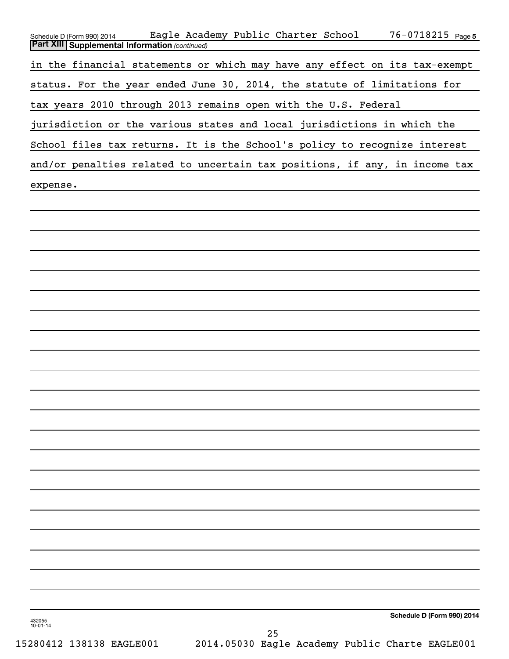|                    | Schedule D (Form 990) 2014                                     | Eagle Academy Public Charter School |    | $76 - 0718215$ Page 5                                                      |  |
|--------------------|----------------------------------------------------------------|-------------------------------------|----|----------------------------------------------------------------------------|--|
|                    | <b>Part XIII Supplemental Information (continued)</b>          |                                     |    |                                                                            |  |
|                    |                                                                |                                     |    | in the financial statements or which may have any effect on its tax-exempt |  |
|                    |                                                                |                                     |    | status. For the year ended June 30, 2014, the statute of limitations for   |  |
|                    | tax years 2010 through 2013 remains open with the U.S. Federal |                                     |    |                                                                            |  |
|                    |                                                                |                                     |    | jurisdiction or the various states and local jurisdictions in which the    |  |
|                    |                                                                |                                     |    | School files tax returns. It is the School's policy to recognize interest  |  |
|                    |                                                                |                                     |    | and/or penalties related to uncertain tax positions, if any, in income tax |  |
| expense.           |                                                                |                                     |    |                                                                            |  |
|                    |                                                                |                                     |    |                                                                            |  |
|                    |                                                                |                                     |    |                                                                            |  |
|                    |                                                                |                                     |    |                                                                            |  |
|                    |                                                                |                                     |    |                                                                            |  |
|                    |                                                                |                                     |    |                                                                            |  |
|                    |                                                                |                                     |    |                                                                            |  |
|                    |                                                                |                                     |    |                                                                            |  |
|                    |                                                                |                                     |    |                                                                            |  |
|                    |                                                                |                                     |    |                                                                            |  |
|                    |                                                                |                                     |    |                                                                            |  |
|                    |                                                                |                                     |    |                                                                            |  |
|                    |                                                                |                                     |    |                                                                            |  |
|                    |                                                                |                                     |    |                                                                            |  |
|                    |                                                                |                                     |    |                                                                            |  |
|                    |                                                                |                                     |    |                                                                            |  |
|                    |                                                                |                                     |    |                                                                            |  |
|                    |                                                                |                                     |    |                                                                            |  |
|                    |                                                                |                                     |    |                                                                            |  |
|                    |                                                                |                                     |    |                                                                            |  |
|                    |                                                                |                                     |    |                                                                            |  |
|                    |                                                                |                                     |    |                                                                            |  |
|                    |                                                                |                                     |    | Schedule D (Form 990) 2014                                                 |  |
| 432055<br>10-01-14 |                                                                |                                     | 25 |                                                                            |  |
|                    |                                                                |                                     |    |                                                                            |  |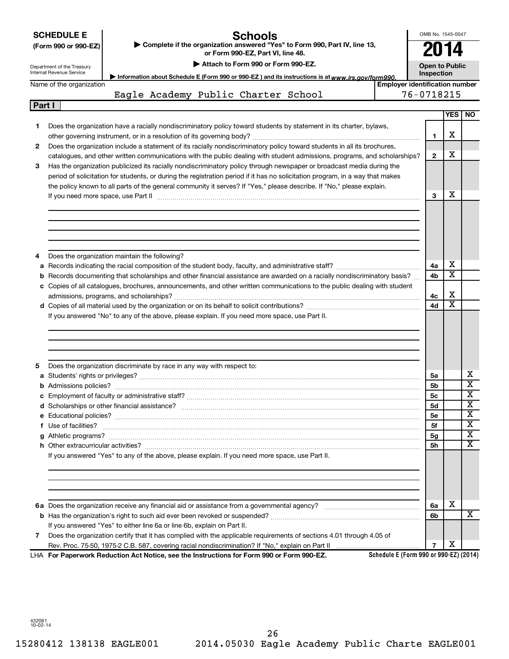|        | <b>SCHEDULE E</b>                                                                                                                                                                                |  |                                                                            | <b>Schools</b>                    |  |                       |                                       |              | OMB No. 1545-0047 |            |           |
|--------|--------------------------------------------------------------------------------------------------------------------------------------------------------------------------------------------------|--|----------------------------------------------------------------------------|-----------------------------------|--|-----------------------|---------------------------------------|--------------|-------------------|------------|-----------|
|        | (Form 990 or 990-EZ)                                                                                                                                                                             |  | Complete if the organization answered "Yes" to Form 990, Part IV, line 13, | or Form 990-EZ, Part VI, line 48. |  |                       |                                       |              | 2014              |            |           |
|        | Attach to Form 990 or Form 990-EZ.<br>Department of the Treasury                                                                                                                                 |  |                                                                            |                                   |  | <b>Open to Public</b> |                                       |              |                   |            |           |
|        | Internal Revenue Service<br>Information about Schedule E (Form 990 or 990-EZ) and its instructions is at www.irs.gov/form990.<br>Name of the organization<br>Eagle Academy Public Charter School |  |                                                                            |                                   |  | <b>Inspection</b>     |                                       |              |                   |            |           |
|        |                                                                                                                                                                                                  |  |                                                                            |                                   |  |                       | <b>Employer identification number</b> |              |                   |            |           |
|        |                                                                                                                                                                                                  |  |                                                                            |                                   |  |                       |                                       | 76-0718215   |                   |            |           |
| Part I |                                                                                                                                                                                                  |  |                                                                            |                                   |  |                       |                                       |              |                   |            |           |
|        |                                                                                                                                                                                                  |  |                                                                            |                                   |  |                       |                                       |              |                   | <b>YES</b> | <b>NO</b> |
|        | Does the organization have a racially nondiscriminatory policy toward students by statement in its charter, bylaws,                                                                              |  |                                                                            |                                   |  |                       |                                       |              |                   |            |           |
|        | other governing instrument, or in a resolution of its governing body?                                                                                                                            |  |                                                                            |                                   |  |                       |                                       |              | x                 |            |           |
| 2      | Does the organization include a statement of its racially nondiscriminatory policy toward students in all its brochures,                                                                         |  |                                                                            |                                   |  |                       |                                       |              |                   |            |           |
|        | catalogues, and other written communications with the public dealing with student admissions, programs, and scholarships?                                                                        |  |                                                                            |                                   |  |                       |                                       | $\mathbf{2}$ | х                 |            |           |
| 3      | Has the organization publicized its racially nondiscriminatory policy through newspaper or broadcast media during the                                                                            |  |                                                                            |                                   |  |                       |                                       |              |                   |            |           |
|        | period of solicitation for students, or during the registration period if it has no solicitation program, in a way that makes                                                                    |  |                                                                            |                                   |  |                       |                                       |              |                   |            |           |
|        |                                                                                                                                                                                                  |  |                                                                            |                                   |  |                       |                                       |              |                   |            |           |

|    | the policy known to all parts of the general community it serves? If "Yes," please describe. If "No," please explain.                                                                                                         |                |                         |                         |
|----|-------------------------------------------------------------------------------------------------------------------------------------------------------------------------------------------------------------------------------|----------------|-------------------------|-------------------------|
|    | If you need more space, use Part II manufactured and continuum contract to the Part II manufactured and the contract of the space of the manufactured and the space of the manufactured and the space of the manufactured and | 3              | x                       |                         |
|    |                                                                                                                                                                                                                               |                |                         |                         |
|    |                                                                                                                                                                                                                               |                |                         |                         |
|    |                                                                                                                                                                                                                               |                |                         |                         |
|    |                                                                                                                                                                                                                               |                |                         |                         |
|    |                                                                                                                                                                                                                               |                |                         |                         |
|    | Does the organization maintain the following?                                                                                                                                                                                 |                |                         |                         |
|    |                                                                                                                                                                                                                               | 4a             | X                       |                         |
|    | <b>b</b> Records documenting that scholarships and other financial assistance are awarded on a racially nondiscriminatory basis?                                                                                              | 4 <sub>b</sub> | $\overline{\textbf{x}}$ |                         |
|    | c Copies of all catalogues, brochures, announcements, and other written communications to the public dealing with student                                                                                                     |                | X                       |                         |
|    |                                                                                                                                                                                                                               | 4c             |                         |                         |
|    |                                                                                                                                                                                                                               | 4d             | $\overline{\mathbf{X}}$ |                         |
|    | If you answered "No" to any of the above, please explain. If you need more space, use Part II.                                                                                                                                |                |                         |                         |
|    |                                                                                                                                                                                                                               |                |                         |                         |
|    |                                                                                                                                                                                                                               |                |                         |                         |
|    |                                                                                                                                                                                                                               |                |                         |                         |
|    |                                                                                                                                                                                                                               |                |                         |                         |
| 5. | Does the organization discriminate by race in any way with respect to:                                                                                                                                                        |                |                         |                         |
|    |                                                                                                                                                                                                                               | 5a             |                         | х                       |
|    |                                                                                                                                                                                                                               | 5b             |                         | $\overline{\mathbf{X}}$ |
|    |                                                                                                                                                                                                                               | 5c             |                         | $\overline{\mathbf{X}}$ |
|    |                                                                                                                                                                                                                               | 5d             |                         | $\overline{\text{x}}$   |
|    |                                                                                                                                                                                                                               |                |                         | $\overline{\textbf{x}}$ |
|    |                                                                                                                                                                                                                               | <b>5e</b>      |                         | $\overline{\textbf{x}}$ |
|    |                                                                                                                                                                                                                               | 5f             |                         |                         |
|    |                                                                                                                                                                                                                               | 5g             |                         | $\overline{\textbf{x}}$ |
|    |                                                                                                                                                                                                                               | 5h             |                         | X                       |
|    | If you answered "Yes" to any of the above, please explain. If you need more space, use Part II.                                                                                                                               |                |                         |                         |
|    |                                                                                                                                                                                                                               |                |                         |                         |
|    |                                                                                                                                                                                                                               |                |                         |                         |
|    |                                                                                                                                                                                                                               |                |                         |                         |
|    |                                                                                                                                                                                                                               |                |                         |                         |
|    |                                                                                                                                                                                                                               | 6a             | х                       |                         |
|    |                                                                                                                                                                                                                               | 6b             |                         | x                       |
|    | If you answered "Yes" to either line 6a or line 6b, explain on Part II.                                                                                                                                                       |                |                         |                         |
|    | 7 Does the organization certify that it has complied with the applicable requirements of sections 4.01 through 4.05 of                                                                                                        |                |                         |                         |
|    |                                                                                                                                                                                                                               | $\overline{7}$ | X                       |                         |
|    | Schedule E (Form 990 or 990-EZ) (2014)<br>LHA For Paperwork Reduction Act Notice, see the Instructions for Form 990 or Form 990-EZ.                                                                                           |                |                         |                         |
|    |                                                                                                                                                                                                                               |                |                         |                         |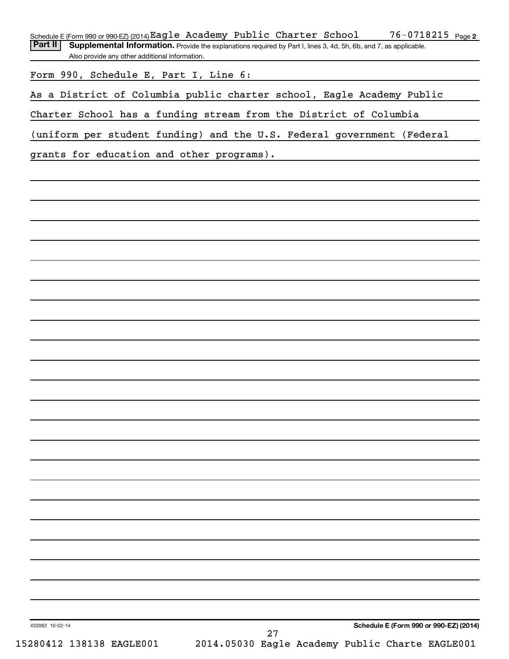76-0718215 <sub>Page 2</sub> Schedule E(Form 990 or 990-EZ)(2014) ${\tt Edge}$  Academy Public Charter School  $36-0718215$   $_{\sf Page}$ 

Part II | Supplemental Information. Provide the explanations required by Part I, lines 3, 4d, 5h, 6b, and 7, as applicable. Also provide any other additional information.

Form 990, Schedule E, Part I, Line 6:

As a District of Columbia public charter school, Eagle Academy Public

Charter School has a funding stream from the District of Columbia

(uniform per student funding) and the U.S. Federal government (Federal

grants for education and other programs).

432062 10-02-14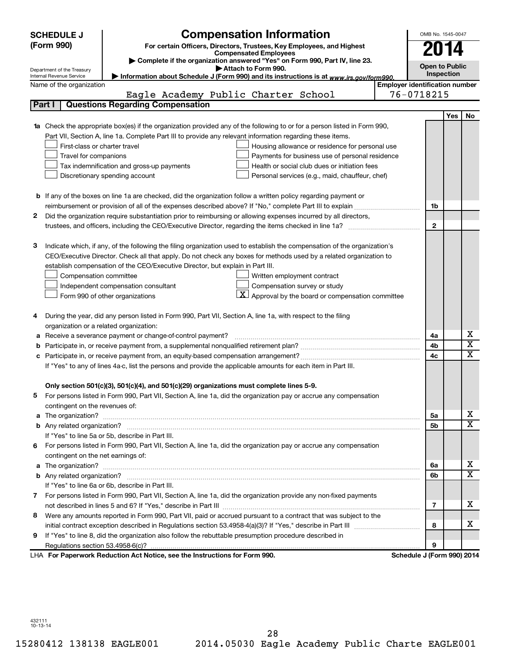|        | <b>SCHEDULE J</b>                                                                 | <b>Compensation Information</b>                                                                                           |                                       | OMB No. 1545-0047          |            |                              |  |  |
|--------|-----------------------------------------------------------------------------------|---------------------------------------------------------------------------------------------------------------------------|---------------------------------------|----------------------------|------------|------------------------------|--|--|
|        | (Form 990)                                                                        | For certain Officers, Directors, Trustees, Key Employees, and Highest                                                     |                                       |                            |            |                              |  |  |
|        |                                                                                   | <b>Compensated Employees</b>                                                                                              |                                       | 2014                       |            |                              |  |  |
|        |                                                                                   | Complete if the organization answered "Yes" on Form 990, Part IV, line 23.<br>Attach to Form 990.                         |                                       | <b>Open to Public</b>      |            |                              |  |  |
|        | Department of the Treasury<br>Internal Revenue Service                            | Information about Schedule J (Form 990) and its instructions is at www.irs.gov/form990.                                   |                                       | Inspection                 |            |                              |  |  |
|        | Name of the organization                                                          |                                                                                                                           | <b>Employer identification number</b> |                            |            |                              |  |  |
|        |                                                                                   | Eagle Academy Public Charter School                                                                                       |                                       | 76-0718215                 |            |                              |  |  |
| Part I |                                                                                   | <b>Questions Regarding Compensation</b>                                                                                   |                                       |                            |            |                              |  |  |
|        |                                                                                   |                                                                                                                           |                                       |                            | <b>Yes</b> | No                           |  |  |
| 1a     |                                                                                   | Check the appropriate box(es) if the organization provided any of the following to or for a person listed in Form 990,    |                                       |                            |            |                              |  |  |
|        |                                                                                   | Part VII, Section A, line 1a. Complete Part III to provide any relevant information regarding these items.                |                                       |                            |            |                              |  |  |
|        | First-class or charter travel                                                     | Housing allowance or residence for personal use                                                                           |                                       |                            |            |                              |  |  |
|        | Travel for companions                                                             | Payments for business use of personal residence                                                                           |                                       |                            |            |                              |  |  |
|        |                                                                                   | Health or social club dues or initiation fees<br>Tax indemnification and gross-up payments                                |                                       |                            |            |                              |  |  |
|        | Discretionary spending account<br>Personal services (e.g., maid, chauffeur, chef) |                                                                                                                           |                                       |                            |            |                              |  |  |
|        |                                                                                   |                                                                                                                           |                                       |                            |            |                              |  |  |
|        |                                                                                   | <b>b</b> If any of the boxes on line 1a are checked, did the organization follow a written policy regarding payment or    |                                       |                            |            |                              |  |  |
|        |                                                                                   |                                                                                                                           |                                       | 1b                         |            |                              |  |  |
| 2      |                                                                                   | Did the organization require substantiation prior to reimbursing or allowing expenses incurred by all directors,          |                                       |                            |            |                              |  |  |
|        |                                                                                   |                                                                                                                           |                                       | $\mathbf{2}$               |            |                              |  |  |
|        |                                                                                   |                                                                                                                           |                                       |                            |            |                              |  |  |
| з      |                                                                                   | Indicate which, if any, of the following the filing organization used to establish the compensation of the organization's |                                       |                            |            |                              |  |  |
|        |                                                                                   | CEO/Executive Director. Check all that apply. Do not check any boxes for methods used by a related organization to        |                                       |                            |            |                              |  |  |
|        |                                                                                   | establish compensation of the CEO/Executive Director, but explain in Part III.                                            |                                       |                            |            |                              |  |  |
|        | Compensation committee                                                            | Written employment contract                                                                                               |                                       |                            |            |                              |  |  |
|        |                                                                                   | Compensation survey or study<br>Independent compensation consultant                                                       |                                       |                            |            |                              |  |  |
|        |                                                                                   | $\mathbf{X}$ Approval by the board or compensation committee<br>Form 990 of other organizations                           |                                       |                            |            |                              |  |  |
|        |                                                                                   |                                                                                                                           |                                       |                            |            |                              |  |  |
| 4      |                                                                                   | During the year, did any person listed in Form 990, Part VII, Section A, line 1a, with respect to the filing              |                                       |                            |            |                              |  |  |
|        | organization or a related organization:                                           |                                                                                                                           |                                       |                            |            |                              |  |  |
| а      |                                                                                   | Receive a severance payment or change-of-control payment?                                                                 |                                       | 4a                         |            | х                            |  |  |
| b      |                                                                                   |                                                                                                                           |                                       | 4b                         |            | $\overline{\textbf{x}}$      |  |  |
| c      |                                                                                   |                                                                                                                           |                                       | 4c                         |            | $\overline{\textbf{X}}$      |  |  |
|        |                                                                                   | If "Yes" to any of lines 4a-c, list the persons and provide the applicable amounts for each item in Part III.             |                                       |                            |            |                              |  |  |
|        |                                                                                   |                                                                                                                           |                                       |                            |            |                              |  |  |
|        |                                                                                   | Only section 501(c)(3), 501(c)(4), and 501(c)(29) organizations must complete lines 5-9.                                  |                                       |                            |            |                              |  |  |
|        |                                                                                   | For persons listed in Form 990, Part VII, Section A, line 1a, did the organization pay or accrue any compensation         |                                       |                            |            |                              |  |  |
|        | contingent on the revenues of:                                                    |                                                                                                                           |                                       |                            |            |                              |  |  |
|        |                                                                                   |                                                                                                                           |                                       | 5а                         |            | x<br>$\overline{\mathbf{x}}$ |  |  |
|        |                                                                                   |                                                                                                                           |                                       | 5b                         |            |                              |  |  |
|        |                                                                                   | If "Yes" to line 5a or 5b, describe in Part III.                                                                          |                                       |                            |            |                              |  |  |
| 6.     |                                                                                   | For persons listed in Form 990, Part VII, Section A, line 1a, did the organization pay or accrue any compensation         |                                       |                            |            |                              |  |  |
|        | contingent on the net earnings of:                                                |                                                                                                                           |                                       |                            |            | х                            |  |  |
|        |                                                                                   |                                                                                                                           |                                       | 6a                         |            | $\overline{\mathbf{X}}$      |  |  |
|        |                                                                                   |                                                                                                                           |                                       | 6b                         |            |                              |  |  |
|        |                                                                                   | If "Yes" to line 6a or 6b, describe in Part III.                                                                          |                                       |                            |            |                              |  |  |
| 7      |                                                                                   | For persons listed in Form 990, Part VII, Section A, line 1a, did the organization provide any non-fixed payments         |                                       |                            |            | x                            |  |  |
|        |                                                                                   |                                                                                                                           |                                       | 7                          |            |                              |  |  |
| 8      |                                                                                   | Were any amounts reported in Form 990, Part VII, paid or accrued pursuant to a contract that was subject to the           |                                       |                            |            | x                            |  |  |
|        |                                                                                   |                                                                                                                           |                                       | 8                          |            |                              |  |  |
| 9      |                                                                                   | If "Yes" to line 8, did the organization also follow the rebuttable presumption procedure described in                    |                                       |                            |            |                              |  |  |
|        |                                                                                   |                                                                                                                           |                                       | 9                          |            |                              |  |  |
|        |                                                                                   | LHA For Paperwork Reduction Act Notice, see the Instructions for Form 990.                                                |                                       | Schedule J (Form 990) 2014 |            |                              |  |  |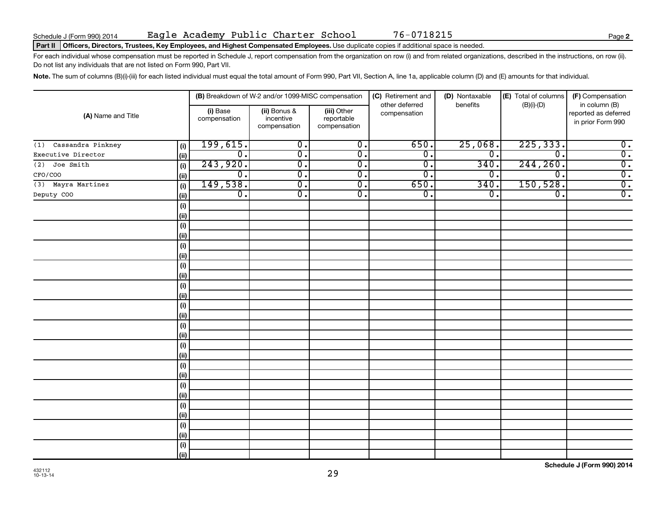### Part II | Officers, Directors, Trustees, Key Employees, and Highest Compensated Employees. Use duplicate copies if additional space is needed.

For each individual whose compensation must be reported in Schedule J, report compensation from the organization on row (i) and from related organizations, described in the instructions, on row (ii). Do not list any individuals that are not listed on Form 990, Part VII.

Note. The sum of columns (B)(i)-(iii) for each listed individual must equal the total amount of Form 990, Part VII, Section A, line 1a, applicable column (D) and (E) amounts for that individual.

|                          |            |                          | (B) Breakdown of W-2 and/or 1099-MISC compensation |                                           | (C) Retirement and<br>other deferred | (D) Nontaxable<br>benefits | (E) Total of columns | (F) Compensation<br>in column (B)         |
|--------------------------|------------|--------------------------|----------------------------------------------------|-------------------------------------------|--------------------------------------|----------------------------|----------------------|-------------------------------------------|
| (A) Name and Title       |            | (i) Base<br>compensation | (ii) Bonus &<br>incentive<br>compensation          | (iii) Other<br>reportable<br>compensation | compensation                         |                            | $(B)(i)-(D)$         | reported as deferred<br>in prior Form 990 |
| Cassandra Pinkney<br>(1) | (i)        | 199,615.                 | $\overline{0}$ .                                   | $\overline{0}$ .                          | 650.                                 | 25,068                     | 225, 333.            | $\overline{0}$ .                          |
| Executive Director       | (ii)       | $\overline{0}$ .         | $\overline{\mathfrak{o}}$ .                        | $\overline{0}$ .                          | σ.                                   | $\overline{0}$ .           | 0.                   | $\overline{0}$ .                          |
| (2)<br>Joe Smith         | (i)        | 243,920.                 | $\overline{0}$ .                                   | $\overline{0}$ .                          | σ.                                   | 340                        | 244, 260.            | $\overline{\mathbf{0}}$ .                 |
| CFO/COO                  | (ii)       | $\overline{0}$ .         | $\overline{\mathfrak{o}}$ .                        | $\overline{0}$ .                          | 0.                                   | $\overline{0}$             | 0.                   | $\overline{0}$ .                          |
| (3) Mayra Martinez       | (i)        | 149,538.                 | $\overline{\mathfrak{o}}$ .                        | $\overline{0}$ .                          | 650.                                 | 340                        | 150,528.             | $\overline{0}$ .                          |
| Deputy COO               | (ii)       | $\overline{0}$ .         | $\overline{0}$ .                                   | $\overline{0}$ .                          | $\overline{\mathfrak{o}}$ .          | $\overline{0}$ .           | $\overline{0}$ .     | $\overline{0}$ .                          |
|                          | (i)        |                          |                                                    |                                           |                                      |                            |                      |                                           |
|                          | (ii)       |                          |                                                    |                                           |                                      |                            |                      |                                           |
|                          | (i)        |                          |                                                    |                                           |                                      |                            |                      |                                           |
|                          | (ii)       |                          |                                                    |                                           |                                      |                            |                      |                                           |
|                          | (i)        |                          |                                                    |                                           |                                      |                            |                      |                                           |
|                          | (ii)       |                          |                                                    |                                           |                                      |                            |                      |                                           |
|                          | (i)        |                          |                                                    |                                           |                                      |                            |                      |                                           |
|                          | (ii)       |                          |                                                    |                                           |                                      |                            |                      |                                           |
|                          | (i)        |                          |                                                    |                                           |                                      |                            |                      |                                           |
|                          | (ii)       |                          |                                                    |                                           |                                      |                            |                      |                                           |
|                          | (i)        |                          |                                                    |                                           |                                      |                            |                      |                                           |
|                          | (ii)       |                          |                                                    |                                           |                                      |                            |                      |                                           |
|                          | (i)        |                          |                                                    |                                           |                                      |                            |                      |                                           |
|                          | (ii)       |                          |                                                    |                                           |                                      |                            |                      |                                           |
|                          | (i)        |                          |                                                    |                                           |                                      |                            |                      |                                           |
|                          | (ii)       |                          |                                                    |                                           |                                      |                            |                      |                                           |
|                          | (i)        |                          |                                                    |                                           |                                      |                            |                      |                                           |
|                          | (ii)       |                          |                                                    |                                           |                                      |                            |                      |                                           |
|                          | (i)        |                          |                                                    |                                           |                                      |                            |                      |                                           |
|                          | (ii)       |                          |                                                    |                                           |                                      |                            |                      |                                           |
|                          | $(\sf{i})$ |                          |                                                    |                                           |                                      |                            |                      |                                           |
|                          | (ii)       |                          |                                                    |                                           |                                      |                            |                      |                                           |
|                          | $(\sf{i})$ |                          |                                                    |                                           |                                      |                            |                      |                                           |
|                          | (ii)       |                          |                                                    |                                           |                                      |                            |                      |                                           |
|                          | (i)        |                          |                                                    |                                           |                                      |                            |                      |                                           |
|                          | (ii)       |                          |                                                    |                                           |                                      |                            |                      |                                           |

**Schedule J (Form 990) 2014**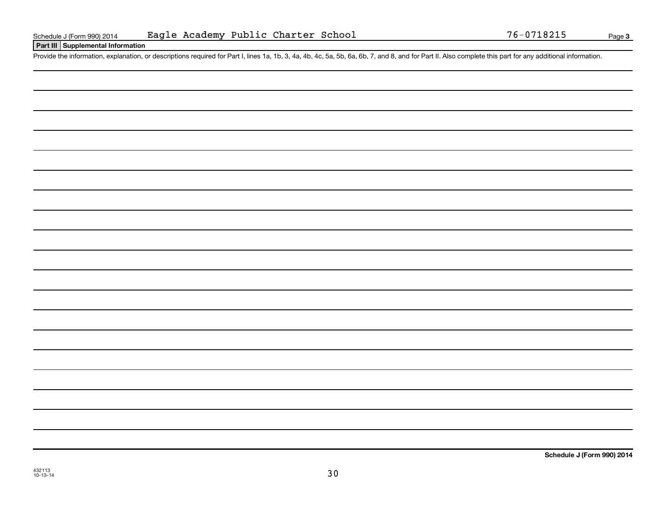## **Part III Supplemental Information**

Provide the information, explanation, or descriptions required for Part I, lines 1a, 1b, 3, 4a, 4b, 4c, 5a, 5b, 6a, 6b, 7, and 8, and for Part II. Also complete this part for any additional information.

**Schedule J (Form 990) 2014**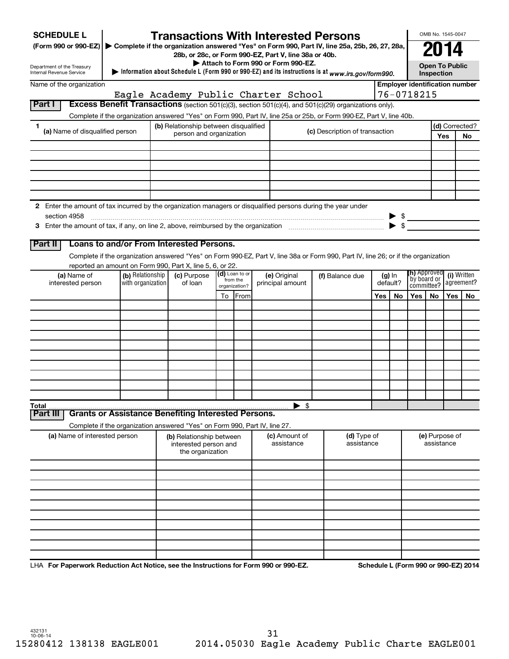| <b>SCHEDULE L</b>        |                                                                                                                                    |                                                                                                   | <b>Transactions With Interested Persons</b>           |    |                            |                                    |                                |     |                      |                                       |            | OMB No. 1545-0047     |                           |
|--------------------------|------------------------------------------------------------------------------------------------------------------------------------|---------------------------------------------------------------------------------------------------|-------------------------------------------------------|----|----------------------------|------------------------------------|--------------------------------|-----|----------------------|---------------------------------------|------------|-----------------------|---------------------------|
|                          | (Form 990 or 990-EZ) > Complete if the organization answered "Yes" on Form 990, Part IV, line 25a, 25b, 26, 27, 28a,               |                                                                                                   | 28b, or 28c, or Form 990-EZ, Part V, line 38a or 40b. |    |                            |                                    |                                |     |                      |                                       |            |                       |                           |
| Internal Revenue Service | Department of the Treasury                                                                                                         | Information about Schedule L (Form 990 or 990-EZ) and its instructions is at www.irs.gov/form990. |                                                       |    |                            | Attach to Form 990 or Form 990-EZ. |                                |     |                      |                                       | Inspection | <b>Open To Public</b> |                           |
|                          | Name of the organization                                                                                                           |                                                                                                   |                                                       |    |                            |                                    |                                |     |                      | <b>Employer identification number</b> |            |                       |                           |
|                          |                                                                                                                                    | Eagle Academy Public Charter School                                                               |                                                       |    |                            |                                    |                                |     |                      | 76-0718215                            |            |                       |                           |
| Part I                   | Excess Benefit Transactions (section 501(c)(3), section 501(c)(4), and 501(c)(29) organizations only).                             |                                                                                                   |                                                       |    |                            |                                    |                                |     |                      |                                       |            |                       |                           |
| 1                        | Complete if the organization answered "Yes" on Form 990, Part IV, line 25a or 25b, or Form 990-EZ, Part V, line 40b.               |                                                                                                   | (b) Relationship between disqualified                 |    |                            |                                    |                                |     |                      |                                       |            |                       | (d) Corrected?            |
|                          | (a) Name of disqualified person                                                                                                    |                                                                                                   | person and organization                               |    |                            |                                    | (c) Description of transaction |     |                      |                                       |            | Yes                   | No                        |
|                          |                                                                                                                                    |                                                                                                   |                                                       |    |                            |                                    |                                |     |                      |                                       |            |                       |                           |
|                          |                                                                                                                                    |                                                                                                   |                                                       |    |                            |                                    |                                |     |                      |                                       |            |                       |                           |
|                          |                                                                                                                                    |                                                                                                   |                                                       |    |                            |                                    |                                |     |                      |                                       |            |                       |                           |
|                          |                                                                                                                                    |                                                                                                   |                                                       |    |                            |                                    |                                |     |                      |                                       |            |                       |                           |
|                          |                                                                                                                                    |                                                                                                   |                                                       |    |                            |                                    |                                |     |                      |                                       |            |                       |                           |
|                          | 2 Enter the amount of tax incurred by the organization managers or disqualified persons during the year under                      |                                                                                                   |                                                       |    |                            |                                    |                                |     |                      |                                       |            |                       |                           |
|                          | section 4958                                                                                                                       |                                                                                                   |                                                       |    |                            |                                    |                                |     |                      | $\triangleright$ \$                   |            |                       |                           |
|                          |                                                                                                                                    |                                                                                                   |                                                       |    |                            |                                    |                                |     |                      | $\blacktriangleright$ \$              |            |                       |                           |
| Part II                  | Loans to and/or From Interested Persons.                                                                                           |                                                                                                   |                                                       |    |                            |                                    |                                |     |                      |                                       |            |                       |                           |
|                          | Complete if the organization answered "Yes" on Form 990-EZ, Part V, line 38a or Form 990, Part IV, line 26; or if the organization |                                                                                                   |                                                       |    |                            |                                    |                                |     |                      |                                       |            |                       |                           |
|                          | reported an amount on Form 990, Part X, line 5, 6, or 22.                                                                          |                                                                                                   |                                                       |    |                            |                                    |                                |     |                      |                                       |            |                       |                           |
|                          | (a) Name of<br>interested person                                                                                                   | (b) Relationship<br>with organization                                                             | (c) Purpose<br>of loan                                |    | (d) Loan to or<br>from the | (e) Original<br>principal amount   | (f) Balance due                |     | $(g)$ In<br>default? | <b>(h)</b> Approved<br>`by board or   |            |                       | (i) Written<br>agreement? |
|                          |                                                                                                                                    |                                                                                                   |                                                       |    | organization?              |                                    |                                | Yes |                      | committee?<br>Yes                     | No         | Yes                   |                           |
|                          |                                                                                                                                    |                                                                                                   |                                                       | To | From                       |                                    |                                |     | <b>No</b>            |                                       |            |                       | <b>No</b>                 |
|                          |                                                                                                                                    |                                                                                                   |                                                       |    |                            |                                    |                                |     |                      |                                       |            |                       |                           |
|                          |                                                                                                                                    |                                                                                                   |                                                       |    |                            |                                    |                                |     |                      |                                       |            |                       |                           |
|                          |                                                                                                                                    |                                                                                                   |                                                       |    |                            |                                    |                                |     |                      |                                       |            |                       |                           |
|                          |                                                                                                                                    |                                                                                                   |                                                       |    |                            |                                    |                                |     |                      |                                       |            |                       |                           |
|                          |                                                                                                                                    |                                                                                                   |                                                       |    |                            |                                    |                                |     |                      |                                       |            |                       |                           |
|                          |                                                                                                                                    |                                                                                                   |                                                       |    |                            |                                    |                                |     |                      |                                       |            |                       |                           |
|                          |                                                                                                                                    |                                                                                                   |                                                       |    |                            |                                    |                                |     |                      |                                       |            |                       |                           |
|                          |                                                                                                                                    |                                                                                                   |                                                       |    |                            |                                    |                                |     |                      |                                       |            |                       |                           |
| Total<br>Part II         | <b>Grants or Assistance Benefiting Interested Persons.</b>                                                                         |                                                                                                   |                                                       |    |                            | $\blacktriangleright$ \$           |                                |     |                      |                                       |            |                       |                           |
|                          | Complete if the organization answered "Yes" on Form 990, Part IV, line 27.                                                         |                                                                                                   |                                                       |    |                            |                                    |                                |     |                      |                                       |            |                       |                           |
|                          | (a) Name of interested person                                                                                                      |                                                                                                   | (b) Relationship between<br>interested person and     |    |                            | (c) Amount of<br>assistance        | (d) Type of<br>assistance      |     |                      |                                       | assistance | (e) Purpose of        |                           |
|                          |                                                                                                                                    |                                                                                                   | the organization                                      |    |                            |                                    |                                |     |                      |                                       |            |                       |                           |
|                          |                                                                                                                                    |                                                                                                   |                                                       |    |                            |                                    |                                |     |                      |                                       |            |                       |                           |
|                          |                                                                                                                                    |                                                                                                   |                                                       |    |                            |                                    |                                |     |                      |                                       |            |                       |                           |
|                          |                                                                                                                                    |                                                                                                   |                                                       |    |                            |                                    |                                |     |                      |                                       |            |                       |                           |
|                          |                                                                                                                                    |                                                                                                   |                                                       |    |                            |                                    |                                |     |                      |                                       |            |                       |                           |
|                          |                                                                                                                                    |                                                                                                   |                                                       |    |                            |                                    |                                |     |                      |                                       |            |                       |                           |
|                          |                                                                                                                                    |                                                                                                   |                                                       |    |                            |                                    |                                |     |                      |                                       |            |                       |                           |
|                          |                                                                                                                                    |                                                                                                   |                                                       |    |                            |                                    |                                |     |                      |                                       |            |                       |                           |
|                          |                                                                                                                                    |                                                                                                   |                                                       |    |                            |                                    |                                |     |                      |                                       |            |                       |                           |
|                          |                                                                                                                                    |                                                                                                   |                                                       |    |                            | 000E7                              |                                |     |                      |                                       |            |                       |                           |

LHA For Paperwork Reduction Act Notice, see the Instructions for Form 990 or 990-EZ. Schedule L (Form 990 or 990-EZ) 2014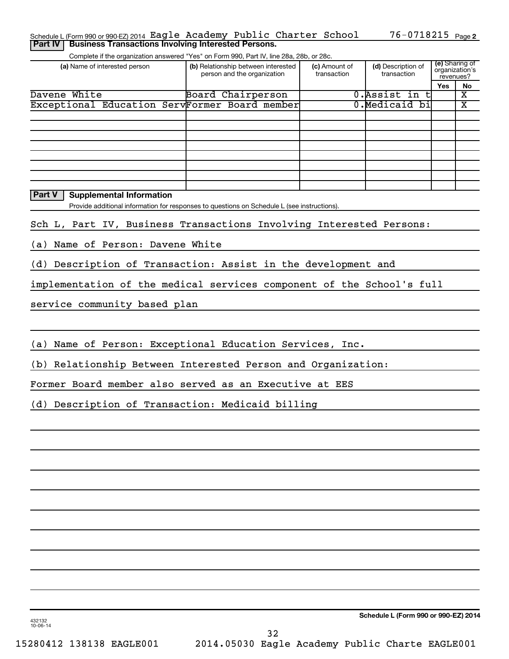| Schedule L (Form 990 or 990 EZ) 2014 $\verb Edge $ Academy <code>Public Charter School</code> |  |  | 76-0718215 <sub>Page 2</sub> |  |
|-----------------------------------------------------------------------------------------------|--|--|------------------------------|--|
| <b>Part IV   Business Transactions Involving Interested Persons.</b>                          |  |  |                              |  |

Complete if the organization answered "Yes" on Form 990, Part IV, line 28a, 28b, or 28c.

| (a) Name of interested person                 | (b) Relationship between interested<br>person and the organization | (c) Amount of<br>transaction | (d) Description of<br>transaction | organization's<br>revenues? | (e) Sharing of |
|-----------------------------------------------|--------------------------------------------------------------------|------------------------------|-----------------------------------|-----------------------------|----------------|
|                                               |                                                                    |                              |                                   | <b>Yes</b>                  | No             |
| Davene White                                  | Board Chairperson                                                  |                              | 0. Assist in                      |                             | х              |
| Exceptional Education ServFormer Board member |                                                                    |                              | 0.Medicaid bi                     |                             | х              |
|                                               |                                                                    |                              |                                   |                             |                |
|                                               |                                                                    |                              |                                   |                             |                |
|                                               |                                                                    |                              |                                   |                             |                |
|                                               |                                                                    |                              |                                   |                             |                |
|                                               |                                                                    |                              |                                   |                             |                |
|                                               |                                                                    |                              |                                   |                             |                |
|                                               |                                                                    |                              |                                   |                             |                |
|                                               |                                                                    |                              |                                   |                             |                |
| $R = 1$                                       |                                                                    |                              |                                   |                             |                |

**Part V Supplemental Information**

Provide additional information for responses to questions on Schedule L (see instructions).

Sch L, Part IV, Business Transactions Involving Interested Persons:

(a) Name of Person: Davene White

(d) Description of Transaction: Assist in the development and

implementation of the medical services component of the School's full

service community based plan

(a) Name of Person: Exceptional Education Services, Inc.

(b) Relationship Between Interested Person and Organization:

Former Board member also served as an Executive at EES

(d) Description of Transaction: Medicaid billing

**Schedule L (Form 990 or 990-EZ) 2014**

432132 10-06-14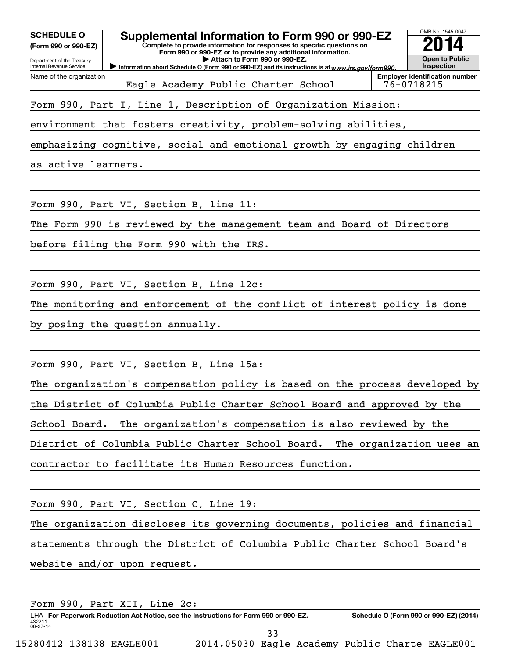| Supplemental Information to Form 990 or 990-EZ<br><b>SCHEDULE O</b><br>Complete to provide information for responses to specific questions on<br>(Form 990 or 990-EZ)<br>Form 990 or 990-EZ or to provide any additional information.<br>Attach to Form 990 or 990-EZ.<br>Department of the Treasury<br><b>Internal Revenue Service</b><br>Information about Schedule O (Form 990 or 990-EZ) and its instructions is at www.irs.gov/form990. | OMB No. 1545-0047<br><b>Open to Public</b><br><b>Inspection</b> |
|----------------------------------------------------------------------------------------------------------------------------------------------------------------------------------------------------------------------------------------------------------------------------------------------------------------------------------------------------------------------------------------------------------------------------------------------|-----------------------------------------------------------------|
| Name of the organization<br>Eagle Academy Public Charter School                                                                                                                                                                                                                                                                                                                                                                              | <b>Employer identification number</b><br>76-0718215             |
| Form 990, Part I, Line 1, Description of Organization Mission:<br>environment that fosters creativity, problem-solving abilities,                                                                                                                                                                                                                                                                                                            |                                                                 |
| emphasizing cognitive, social and emotional growth by engaging children<br>as active learners.                                                                                                                                                                                                                                                                                                                                               |                                                                 |
| Form 990, Part VI, Section B, line 11:<br>The Form 990 is reviewed by the management team and Board of Directors<br>before filing the Form 990 with the IRS.                                                                                                                                                                                                                                                                                 |                                                                 |
| Form 990, Part VI, Section B, Line 12c:<br>The monitoring and enforcement of the conflict of interest policy is done<br>by posing the question annually.                                                                                                                                                                                                                                                                                     |                                                                 |
| Form 990, Part VI, Section B, Line 15a:<br>The organization's compensation policy is based on the process developed by<br>the District of Columbia Public Charter School Board and approved by the<br>The organization's compensation is also reviewed by the<br>School Board.                                                                                                                                                               |                                                                 |
| District of Columbia Public Charter School Board.<br>contractor to facilitate its Human Resources function.                                                                                                                                                                                                                                                                                                                                  | The organization uses an                                        |

Form 990, Part VI, Section C, Line 19:

The organization discloses its governing documents, policies and financial statements through the District of Columbia Public Charter School Board's website and/or upon request.

432211 08-27-14 LHA For Paperwork Reduction Act Notice, see the Instructions for Form 990 or 990-EZ. Schedule O (Form 990 or 990-EZ) (2014) Form 990, Part XII, Line 2c: 33